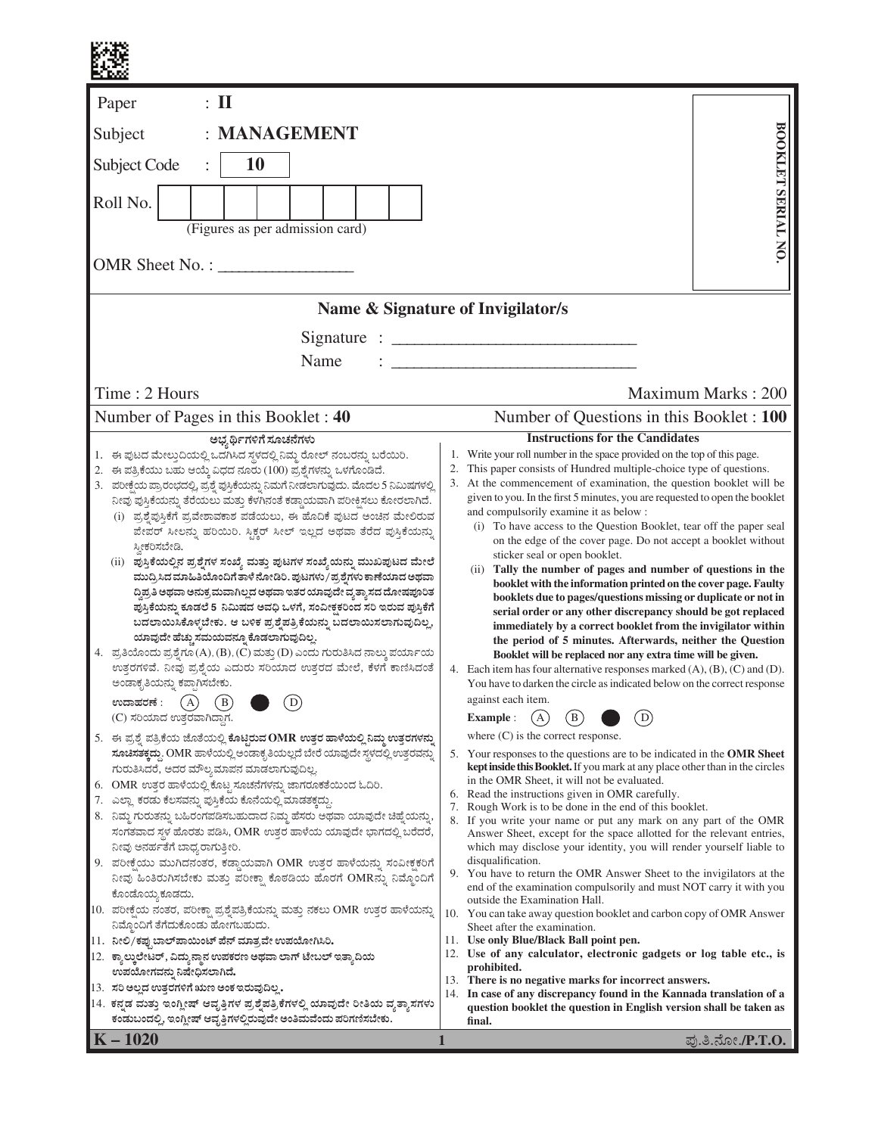| $\colon \mathrm{I}\mathrm{I}$<br>Paper                                                                                                                                                                                                                                                                                                                                                                                                                                                                                                                                                                                                                                                                                                                                                                                                                                                                                                                                                                                                                                                                                                                                               |                                                                                                                                                                                                                                                                                                                                                                                                                                                                                                                                                                                                                                                                                                                                                                                                                                                                                                                                                                                                                                                                                                                                                                                                                                                                                     |  |  |  |  |  |  |  |  |  |
|--------------------------------------------------------------------------------------------------------------------------------------------------------------------------------------------------------------------------------------------------------------------------------------------------------------------------------------------------------------------------------------------------------------------------------------------------------------------------------------------------------------------------------------------------------------------------------------------------------------------------------------------------------------------------------------------------------------------------------------------------------------------------------------------------------------------------------------------------------------------------------------------------------------------------------------------------------------------------------------------------------------------------------------------------------------------------------------------------------------------------------------------------------------------------------------|-------------------------------------------------------------------------------------------------------------------------------------------------------------------------------------------------------------------------------------------------------------------------------------------------------------------------------------------------------------------------------------------------------------------------------------------------------------------------------------------------------------------------------------------------------------------------------------------------------------------------------------------------------------------------------------------------------------------------------------------------------------------------------------------------------------------------------------------------------------------------------------------------------------------------------------------------------------------------------------------------------------------------------------------------------------------------------------------------------------------------------------------------------------------------------------------------------------------------------------------------------------------------------------|--|--|--|--|--|--|--|--|--|
| : MANAGEMENT<br>Subject                                                                                                                                                                                                                                                                                                                                                                                                                                                                                                                                                                                                                                                                                                                                                                                                                                                                                                                                                                                                                                                                                                                                                              |                                                                                                                                                                                                                                                                                                                                                                                                                                                                                                                                                                                                                                                                                                                                                                                                                                                                                                                                                                                                                                                                                                                                                                                                                                                                                     |  |  |  |  |  |  |  |  |  |
| 10<br>Subject Code                                                                                                                                                                                                                                                                                                                                                                                                                                                                                                                                                                                                                                                                                                                                                                                                                                                                                                                                                                                                                                                                                                                                                                   |                                                                                                                                                                                                                                                                                                                                                                                                                                                                                                                                                                                                                                                                                                                                                                                                                                                                                                                                                                                                                                                                                                                                                                                                                                                                                     |  |  |  |  |  |  |  |  |  |
| Roll No.<br>(Figures as per admission card)                                                                                                                                                                                                                                                                                                                                                                                                                                                                                                                                                                                                                                                                                                                                                                                                                                                                                                                                                                                                                                                                                                                                          | BOOKLET SERIAL NO.                                                                                                                                                                                                                                                                                                                                                                                                                                                                                                                                                                                                                                                                                                                                                                                                                                                                                                                                                                                                                                                                                                                                                                                                                                                                  |  |  |  |  |  |  |  |  |  |
| OMR Sheet No. :                                                                                                                                                                                                                                                                                                                                                                                                                                                                                                                                                                                                                                                                                                                                                                                                                                                                                                                                                                                                                                                                                                                                                                      |                                                                                                                                                                                                                                                                                                                                                                                                                                                                                                                                                                                                                                                                                                                                                                                                                                                                                                                                                                                                                                                                                                                                                                                                                                                                                     |  |  |  |  |  |  |  |  |  |
|                                                                                                                                                                                                                                                                                                                                                                                                                                                                                                                                                                                                                                                                                                                                                                                                                                                                                                                                                                                                                                                                                                                                                                                      | Name & Signature of Invigilator/s                                                                                                                                                                                                                                                                                                                                                                                                                                                                                                                                                                                                                                                                                                                                                                                                                                                                                                                                                                                                                                                                                                                                                                                                                                                   |  |  |  |  |  |  |  |  |  |
| Name<br>Time: 2 Hours                                                                                                                                                                                                                                                                                                                                                                                                                                                                                                                                                                                                                                                                                                                                                                                                                                                                                                                                                                                                                                                                                                                                                                | Signature : $\frac{1}{2}$                                                                                                                                                                                                                                                                                                                                                                                                                                                                                                                                                                                                                                                                                                                                                                                                                                                                                                                                                                                                                                                                                                                                                                                                                                                           |  |  |  |  |  |  |  |  |  |
| Number of Pages in this Booklet: 40                                                                                                                                                                                                                                                                                                                                                                                                                                                                                                                                                                                                                                                                                                                                                                                                                                                                                                                                                                                                                                                                                                                                                  | Maximum Marks: 200<br>Number of Questions in this Booklet : 100                                                                                                                                                                                                                                                                                                                                                                                                                                                                                                                                                                                                                                                                                                                                                                                                                                                                                                                                                                                                                                                                                                                                                                                                                     |  |  |  |  |  |  |  |  |  |
| ಅಭ್ಯರ್ಥಿಗಳಿಗೆ ಸೂಚನೆಗಳು<br>1. ಈ ಪುಟದ ಮೇಲ್ತುದಿಯಲ್ಲಿ ಒದಗಿಸಿದ ಸ್ಥಳದಲ್ಲಿ ನಿಮ್ಮ ರೋಲ್ ನಂಬರನ್ನು ಬರೆಯಿರಿ.<br>2. ಈ ಪತ್ರಿಕೆಯು ಬಹು ಆಯ್ಕೆ ವಿಧದ ನೂರು (100) ಪ್ರಶ್ನೆಗಳನ್ನು ಒಳಗೊಂಡಿದೆ.<br>3. ಪರೀಕ್ಷೆಯ ಪ್ರಾರಂಭದಲ್ಲಿ, ಪ್ರಶ್ನೆ ಪುಸ್ತಿಕೆಯನ್ನು ನಿಮಗೆ ನೀಡಲಾಗುವುದು. ಮೊದಲ 5 ನಿಮಿಷಗಳಲ್ಲಿ<br>ನೀವು ಪುಸ್ತಿಕೆಯನ್ನು ತೆರೆಯಲು ಮತ್ತು ಕೆಳಗಿನಂತೆ ಕಡ್ಡಾಯವಾಗಿ ಪರೀಕ್ಷಿಸಲು ಕೋರಲಾಗಿದೆ.<br>(i) ಪ್ರಶೈಪುಸ್ತಿಕೆಗೆ ಪ್ರವೇಶಾವಕಾಶ ಪಡೆಯಲು, ಈ ಹೊದಿಕೆ ಪುಟದ ಅಂಚಿನ ಮೇಲಿರುವ<br>ಪೇಪರ್ ಸೀಲನ್ನು ಹರಿಯಿರಿ. ಸ್ಟಿಕ್ಕರ್ ಸೀಲ್ ಇಲ್ಲದ ಅಥವಾ ತೆರೆದ ಪುಸ್ತಿಕೆಯನ್ನು<br>ಸ್ತೀಕರಿಸಬೇಡಿ.<br>(ii)   ಪುಸ್ತಿಕೆಯಲ್ಲಿನ ಪ್ರಶ್ನೆಗಳ ಸಂಖ್ಯೆ ಮತ್ತು ಪುಟಗಳ ಸಂಖ್ಯೆಯನ್ನು ಮುಖಪುಟದ ಮೇಲೆ<br>ಮುದ್ರಿಸಿದ ಮಾಹಿತಿಯೊಂದಿಗೆ ತಾಳೆ ನೋಡಿರಿ. ಪುಟಗಳು/ಪ್ರಶ್ನೆಗಳು ಕಾಣೆಯಾದ ಅಥವಾ<br>ದ್ದಿಪ್ರತಿ ಅಥವಾ ಅನುಕ್ರಮವಾಗಿಲ್ಲದ ಅಥವಾ ಇತರ ಯಾವುದೇ ವ್ಯತ್ಯಾಸದ ದೋಷಪೂರಿತ<br>ಪುಸ್ತಿಕೆಯನ್ನು ಕೂಡಲೆ 5 ನಿಮಿಷದ ಅವಧಿ ಒಳಗೆ, ಸಂವೀಕ್ಷಕರಿಂದ ಸರಿ ಇರುವ ಪುಸ್ತಿಕೆಗೆ<br>ಬದಲಾಯಿಸಿಕೊಳ್ಳಬೇಕು. ಆ ಬಳಿಕ ಪ್ರಶ್ನೆಪತ್ರಿಕೆಯನ್ನು ಬದಲಾಯಿಸಲಾಗುವುದಿಲ್ಲ,<br>ಯಾವುದೇ ಹೆಚ್ಚು ಸಮಯವನ್ನೂ ಕೊಡಲಾಗುವುದಿಲ್ಲ.<br>4. ಪ್ರತಿಯೊಂದು ಪ್ರಶ್ನೆಗೂ (A), (B), (C) ಮತ್ತು (D) ಎಂದು ಗುರುತಿಸಿದ ನಾಲ್ಕು ಪರ್ಯಾಯ<br>ಉತ್ತರಗಳಿವೆ. ನೀವು ಪ್ರಶ್ನೆಯ ಎದುರು ಸರಿಯಾದ ಉತ್ತರದ ಮೇಲೆ, ಕೆಳಗೆ ಕಾಣಿಸಿದಂತೆ<br>ಅಂಡಾಕೃತಿಯನ್ನು ಕಪ್ಪಾಗಿಸಬೇಕು.<br>ಉದಾಹರಣೆ :<br>D<br>А<br>B<br>(C) ಸರಿಯಾದ ಉತ್ತರವಾಗಿದ್ದಾಗ. | <b>Instructions for the Candidates</b><br>1. Write your roll number in the space provided on the top of this page.<br>This paper consists of Hundred multiple-choice type of questions.<br>2.<br>3. At the commencement of examination, the question booklet will be<br>given to you. In the first 5 minutes, you are requested to open the booklet<br>and compulsorily examine it as below :<br>(i) To have access to the Question Booklet, tear off the paper seal<br>on the edge of the cover page. Do not accept a booklet without<br>sticker seal or open booklet.<br>(ii) Tally the number of pages and number of questions in the<br>booklet with the information printed on the cover page. Faulty<br>booklets due to pages/questions missing or duplicate or not in<br>serial order or any other discrepancy should be got replaced<br>immediately by a correct booklet from the invigilator within<br>the period of 5 minutes. Afterwards, neither the Question<br>Booklet will be replaced nor any extra time will be given.<br>4. Each item has four alternative responses marked $(A)$ , $(B)$ , $(C)$ and $(D)$ .<br>You have to darken the circle as indicated below on the correct response<br>against each item.<br>(B <sup>1</sup> )<br>D<br><b>Example:</b><br>A |  |  |  |  |  |  |  |  |  |
| 5. ಈ ಪ್ರಶ್ನೆ ಪತ್ರಿಕೆಯ ಜೊತೆಯಲ್ಲಿ ಕೊಟ್ಟಿರುವ OMR ಉತ್ತರ ಹಾಳೆಯಲ್ಲಿ ನಿಮ್ಮ ಉತ್ತರಗಳನ್ನು<br>ಸೂಚಿಸತಕ್ಕದ್ದು. OMR ಹಾಳೆಯಲ್ಲಿ ಅಂಡಾಕೃತಿಯಲ್ಲದೆ ಬೇರೆ ಯಾವುದೇ ಸ್ಥಳದಲ್ಲಿ ಉತ್ತರವನ್ನು<br>ಗುರುತಿಸಿದರೆ, ಅದರ ಮೌಲ್ಯಮಾಪನ ಮಾಡಲಾಗುವುದಿಲ್ಲ.<br>OMR ಉತ್ತರ ಹಾಳೆಯಲ್ಲಿ ಕೊಟ್ಟ ಸೂಚನೆಗಳನ್ನು ಜಾಗರೂಕತೆಯಿಂದ ಓದಿರಿ.<br>6.<br>7. ಎಲ್ಲಾ ಕರಡು ಕೆಲಸವನ್ನು ಪುಸ್ತಿಕೆಯ ಕೊನೆಯಲ್ಲಿ ಮಾಡತಕ್ಕದ್ದು.<br>8. ನಿಮ್ಮ ಗುರುತನ್ನು ಬಹಿರಂಗಪಡಿಸಬಹುದಾದ ನಿಮ್ಮ ಹೆಸರು ಅಥವಾ ಯಾವುದೇ ಚಿಹ್ನೆಯನ್ನು,<br>ಸಂಗತವಾದ ಸ್ಥಳ ಹೊರತು ಪಡಿಸಿ, OMR ಉತ್ತರ ಹಾಳೆಯ ಯಾವುದೇ ಭಾಗದಲ್ಲಿ ಬರೆದರೆ,<br>ನೀವು ಅನರ್ಹತೆಗೆ ಬಾಧ್ಯರಾಗುತ್ತೀರಿ.<br>9. ಪರೀಕ್ಷೆಯು ಮುಗಿದನಂತರ, ಕಡ್ಡಾಯವಾಗಿ OMR ಉತ್ತರ ಹಾಳೆಯನ್ನು ಸಂವೀಕ್ಷಕರಿಗೆ<br>ನೀವು ಹಿಂತಿರುಗಿಸಬೇಕು ಮತ್ತು ಪರೀಕ್ಷಾ ಕೊಠಡಿಯ ಹೊರಗೆ OMRನ್ನು ನಿಮ್ಮೊಂದಿಗೆ<br>ಕೊಂಡೊಯ್ಯ ಕೂಡದು.<br>10. ಪರೀಕ್ಷೆಯ ನಂತರ, ಪರೀಕ್ಷಾ ಪ್ರಶ್ನೆಪತ್ರಿಕೆಯನ್ನು ಮತ್ತು ನಕಲು OMR ಉತ್ತರ ಹಾಳೆಯನ್ನು<br>ನಿಮ್ಮೊಂದಿಗೆ ತೆಗೆದುಕೊಂಡು ಹೋಗಬಹುದು.<br>11. ನೀಲಿ/ಕಪ್ಪುಬಾಲ್ ಪಾಯಿಂಟ್ ಪೆನ್ ಮಾತ್ರವೇ ಉಪಯೋಗಿಸಿರಿ.<br>12. ಕ್ಯಾಲ್ಕುಲೇಟರ್, ವಿದ್ಯುನ್ಜಾನ ಉಪಕರಣ ಅಥವಾ ಲಾಗ್ ಟೇಬಲ್ ಇತ್ತಾದಿಯ<br>ಉಪಯೋಗವನ್ನು ನಿಷೇಧಿಸಲಾಗಿದೆ.<br>13. ಸರಿ ಅಲ್ಲದ ಉತ್ತರಗಳಿಗೆ ಋಣ ಅಂಕ ಇರುವುದಿಲ್ಲ.<br>14. ಕನ್ನಡ ಮತ್ತು ಇಂಗ್ಲೀಷ್ ಆವೃತ್ತಿಗಳ ಪ್ರಶ್ನೆಪತ್ರಿಕೆಗಳಲ್ಲಿ ಯಾವುದೇ ರೀತಿಯ ವ್ಯತ್ಯಾಸಗಳು<br>ಕಂಡುಬಂದಲ್ಲಿ, ಇಂಗ್ಲೀಷ್ ಆವೃತ್ತಿಗಳಲ್ಲಿರುವುದೇ ಅಂತಿಮವೆಂದು ಪರಿಗಣಿಸಬೇಕು.  | where $(C)$ is the correct response.<br>5. Your responses to the questions are to be indicated in the OMR Sheet<br>kept inside this Booklet. If you mark at any place other than in the circles<br>in the OMR Sheet, it will not be evaluated.<br>Read the instructions given in OMR carefully.<br>6.<br>7.<br>Rough Work is to be done in the end of this booklet.<br>8. If you write your name or put any mark on any part of the OMR<br>Answer Sheet, except for the space allotted for the relevant entries,<br>which may disclose your identity, you will render yourself liable to<br>disqualification.<br>9. You have to return the OMR Answer Sheet to the invigilators at the<br>end of the examination compulsorily and must NOT carry it with you<br>outside the Examination Hall.<br>10. You can take away question booklet and carbon copy of OMR Answer<br>Sheet after the examination.<br>11. Use only Blue/Black Ball point pen.<br>Use of any calculator, electronic gadgets or log table etc., is<br>12.<br>prohibited.<br>There is no negative marks for incorrect answers.<br>13.<br>14. In case of any discrepancy found in the Kannada translation of a<br>question booklet the question in English version shall be taken as<br>final.                       |  |  |  |  |  |  |  |  |  |
| $\vert$ K – 1020                                                                                                                                                                                                                                                                                                                                                                                                                                                                                                                                                                                                                                                                                                                                                                                                                                                                                                                                                                                                                                                                                                                                                                     | ಪು.ತಿ.ನೋ./P.T.O.<br>$\mathbf 1$                                                                                                                                                                                                                                                                                                                                                                                                                                                                                                                                                                                                                                                                                                                                                                                                                                                                                                                                                                                                                                                                                                                                                                                                                                                     |  |  |  |  |  |  |  |  |  |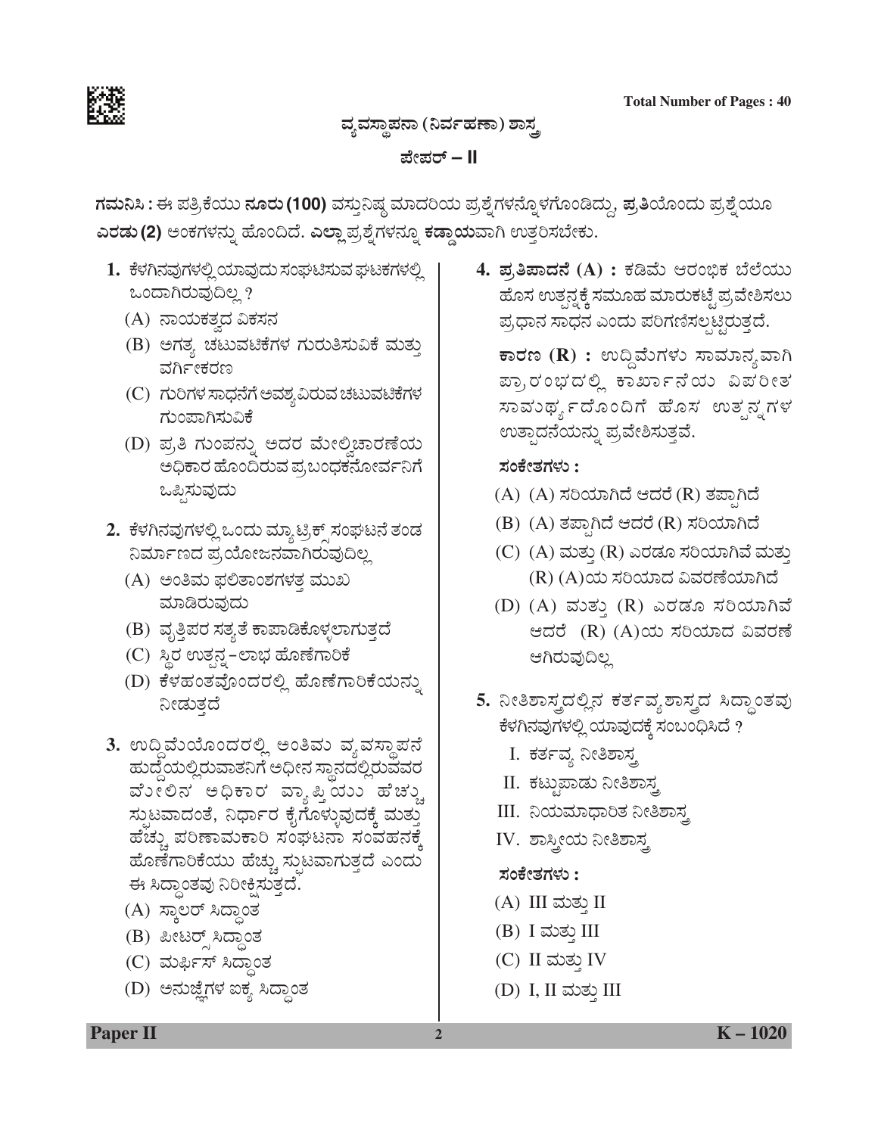

ವ್ಯವಸ್ಥಾಪನಾ (ನಿರ್ವಹಣಾ) ಶಾಸ್ತ್ರ

ಪೇಪರ್ – II

ಗಮನಿಸಿ : ಈ ಪತ್ರಿಕೆಯು ನೂರು (100) ವಸ್ತುನಿಷ್ಠ ಮಾದರಿಯ ಪ್ರಶ್ನೆಗಳನ್ನೊಳಗೊಂಡಿದ್ದು, ಪ್ರತಿಯೊಂದು ಪ್ರಶ್ನೆಯೂ ಎರಡು (2) ಅಂಕಗಳನ್ನು ಹೊಂದಿದೆ. ಎಲ್ಲಾ ಪ್ರಶ್ನೆಗಳನ್ನೂ ಕಡ್ಡಾಯವಾಗಿ ಉತ್ತರಿಸಬೇಕು.

- 1. ಕೆಳಗಿನವುಗಳಲ್ಲಿ ಯಾವುದು ಸಂಘಟಿಸುವ ಘಟಕಗಳಲ್ಲಿ ಒಂದಾಗಿರುವುದಿಲ್ಲ ?
	- (A) ನಾಯಕತ್ವದ ವಿಕಸನ
	- (B) ಅಗತ್ಯ ಚಟುವಟಿಕೆಗಳ ಗುರುತಿಸುವಿಕೆ ಮತ್ತು ವರ್ಗೀಕರಣ
	- (C) ಗುರಿಗಳ ಸಾಧನೆಗೆ ಅವಶ್ಯ ವಿರುವ ಚಟುವಟಿಕೆಗಳ ಗುಂಪಾಗಿಸುವಿಕೆ
	- (D) ಪ್ರತಿ ಗುಂಪನ್ನು ಅದರ ಮೇಲ್ವಿಚಾರಣೆಯ ಅಧಿಕಾರ ಹೊಂದಿರುವ ಪ್ರಬಂಧಕನೋರ್ವನಿಗೆ ಒಪ್ಪಿಸುವುದು
- 2. ಕೆಳಗಿನವುಗಳಲ್ಲಿ ಒಂದು ಮ್ಯಾಟ್ರಿಕ್ಸ್ ಸಂಘಟನೆ ತಂಡ ನಿರ್ಮಾಣದ ಪ್ರಯೋಜನವಾಗಿರುವುದಿಲ್ಲ
	- (A) ಅಂತಿಮ ಫಲಿತಾಂಶಗಳತ್ತ ಮುಖ ಮಾಡಿರುವುದು
	- (B) ವೃತ್ತಿಪರ ಸತ್ಯತೆ ಕಾಪಾಡಿಕೊಳ್ಳಲಾಗುತ್ತದೆ
	- (C) ಸ್ಥಿರ ಉತ್ಪನ್ನ–ಲಾಭ ಹೊಣೆಗಾರಿಕೆ
	- (D) ಕೆಳಹಂತವೊಂದರಲ್ಲಿ ಹೊಣೆಗಾರಿಕೆಯನ್ನು ನೀಡುತ್ತದೆ
- 3. ಉದ್ದಿಮೆಯೊಂದರಲ್ಲಿ ಅಂತಿಮ ವ್ಯವಸ್ಥಾಪನೆ ಹುದ್ದೆಯಲ್ಲಿರುವಾತನಿಗೆ ಅಧೀನ ಸ್ಥಾನದಲ್ಲಿರುವವರ ವೋಲಿನ ಅಧಿಕಾರ ವ್ಯಾಪ್ತಿಯು ಹೆಚ್ಚು ಸ್ಪುಟವಾದಂತೆ, ನಿರ್ಧಾರ ಕೈಗೊಳ್ಳುವುದಕ್ಕೆ ಮತ್ತು ಹೆಚ್ಚು ಪರಿಣಾಮಕಾರಿ ಸಂಘಟನಾ ಸಂವಹನಕ್ಕೆ ಹೊಣೆಗಾರಿಕೆಯು ಹೆಚ್ಚು ಸ್ಪುಟವಾಗುತ್ತದೆ ಎಂದು ಈ ಸಿದ್ಧಾಂತವು ನಿರೀಕ್ಷಿಸುತ್ತದೆ.
	- (A) ಸ್ಥಾಲರ್ ಸಿದ್ಧಾಂತ
	- (B) ಪೀಟರ್ಸ್ಸ್ ಸಿದ್ಧಾಂತ
	- (C) ಮರ್ಫಿಸ್ ಸಿದ್ಧಾಂತ
	- (D) ಅನುಜ್ಞೆಗಳ ಐಕ್ಯ ಸಿದ್ಧಾಂತ

4. ಪ್ರತಿಪಾದನೆ (A) : ಕಡಿಮೆ ಆರಂಭಿಕ ಬೆಲೆಯು ಹೊಸ ಉತ್ಪನ್ನಕ್ಕೆ ಸಮೂಹ ಮಾರುಕಟ್ಟೆ ಪ್ರವೇಶಿಸಲು ಪ್ರಧಾನ ಸಾಧನ ಎಂದು ಪರಿಗಣಿಸಲ್ಪಟ್ಟಿರುತ್ತದೆ.

ಕಾರಣ (R) : ಉದ್ದಿವೆುಗಳು ಸಾಮಾನ್ಯವಾಗಿ ಪ್ರಾರಂಭದಲ್ಲಿ ಕಾರ್ಖಾನೆಯ ವಿಪರೀತ ಸಾವುರ್ಥ್ಯದೊಂದಿಗೆ ಹೊಸ ಉತ್ಪನ್ನಗಳ ಉತ್ಪಾದನೆಯನ್ನು ಪ್ರವೇಶಿಸುತ್ತವೆ.

#### ಸಂಕೇತಗಳು :

- (A) (A) ಸರಿಯಾಗಿದೆ ಆದರೆ (R) ತಪಾಗಿದೆ
- (B) (A) ತಪ್ಪಾಗಿದೆ ಆದರೆ (R) ಸರಿಯಾಗಿದೆ
- (C) (A) ಮತ್ತು (R) ಎರಡೂ ಸರಿಯಾಗಿವೆ ಮತ್ತು (R) (A)ಯ ಸರಿಯಾದ ವಿವರಣೆಯಾಗಿದೆ
- (D)  $(A)$  ಮತ್ತು  $(R)$  ಎರಡೂ ಸರಿಯಾಗಿವೆ ಆದರೆ (R) (A)ಯ ಸರಿಯಾದ ವಿವರಣೆ ಆಗಿರುವುದಿಲ್ಲ
- 5. ನೀತಿಶಾಸ್ತ್ರದಲ್ಲಿನ ಕರ್ತವ್ಯಶಾಸ್ತ್ರದ ಸಿದ್ಧಾಂತವು ಕೆಳಗಿನವುಗಳಲ್ಲಿ ಯಾವುದಕ್ಕೆ ಸಂಬಂಧಿಸಿದೆ ?
	- I. ಕರ್ತವ್ಯ ನೀತಿಶಾಸ್ತ
	- II. ಕಟ್ಟುಪಾಡು ನೀತಿಶಾಸ್ತ್ರ
	- III. ನಿಯಮಾಧಾರಿತ ನೀತಿಶಾಸ್ತ
	- IV. ಶಾಸ್ತ್ರೀಯ ನೀತಿಶಾಸ್ತ್ರ

# ಸಂಕೇತಗಳು :

- (A) III ಮತ್ತು II
- (B) I ಮತ್ತು III
- $(C)$  II ಮತ್ತು IV
- (D) I, II ಮತ್ತು III

**Paper II**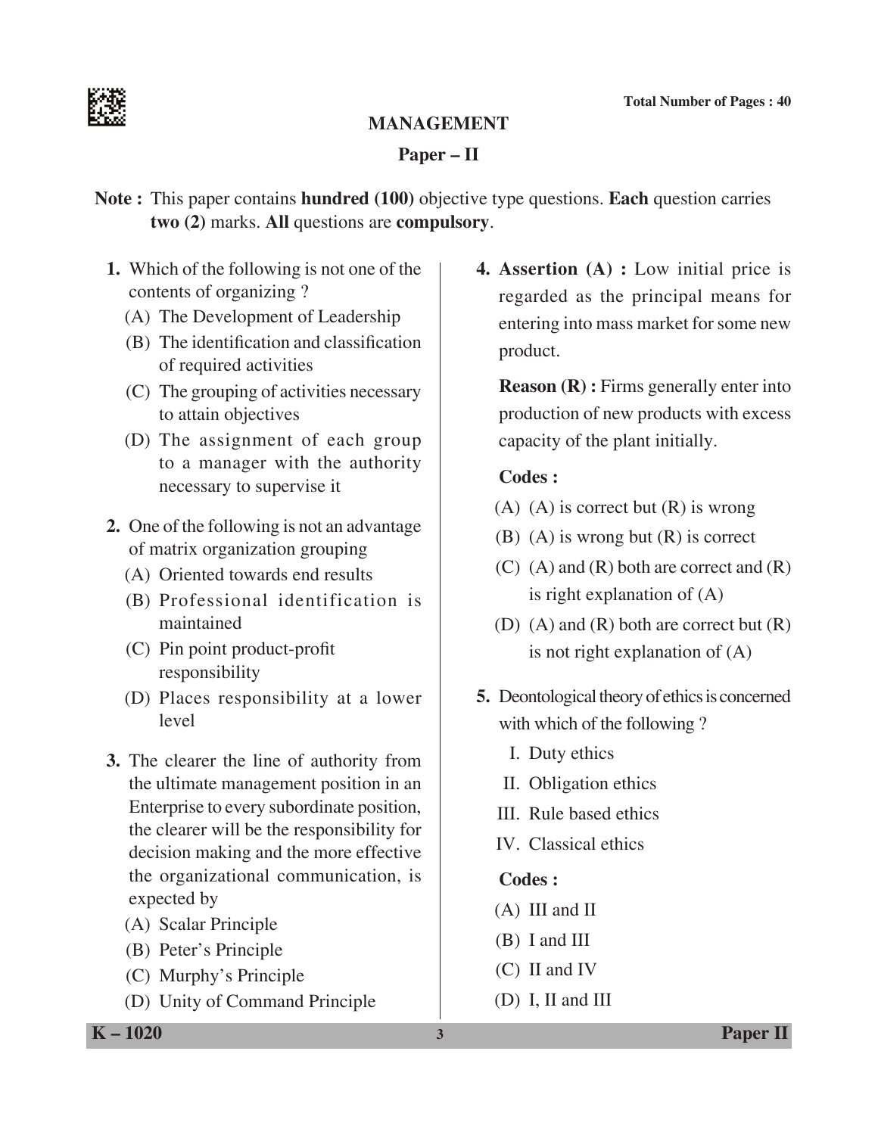

# **MANAGEMENT**

#### **Paper – II**

**Note :** This paper contains **hundred (100)** objective type questions. **Each** question carries **two (2)** marks. **All** questions are **compulsory**.

- **1.** Which of the following is not one of the contents of organizing ?
	- (A) The Development of Leadership
	- (B) The identification and classification of required activities
	- (C) The grouping of activities necessary to attain objectives
	- (D) The assignment of each group to a manager with the authority necessary to supervise it
- **2.** One of the following is not an advantage of matrix organization grouping
	- (A) Oriented towards end results
	- (B) Professional identification is maintained
	- (C) Pin point product-profit responsibility
	- (D) Places responsibility at a lower level
- **3.** The clearer the line of authority from the ultimate management position in an Enterprise to every subordinate position, the clearer will be the responsibility for decision making and the more effective the organizational communication, is expected by
	- (A) Scalar Principle
	- (B) Peter's Principle
	- (C) Murphy's Principle
	- (D) Unity of Command Principle

**4. Assertion (A) :** Low initial price is regarded as the principal means for entering into mass market for some new product.

**Reason (R) :** Firms generally enter into production of new products with excess capacity of the plant initially.

# **Codes :**

- $(A)$  (A) is correct but  $(R)$  is wrong
- (B) (A) is wrong but (R) is correct
- (C) (A) and (R) both are correct and (R) is right explanation of (A)
- (D)  $(A)$  and  $(R)$  both are correct but  $(R)$ is not right explanation of (A)
- **5.** Deontological theory of ethics is concerned with which of the following?
	- I. Duty ethics
	- II. Obligation ethics
	- III. Rule based ethics
	- IV. Classical ethics

# **Codes :**

- (A) III and II
- (B) I and III
- (C) II and IV
- (D) I, II and III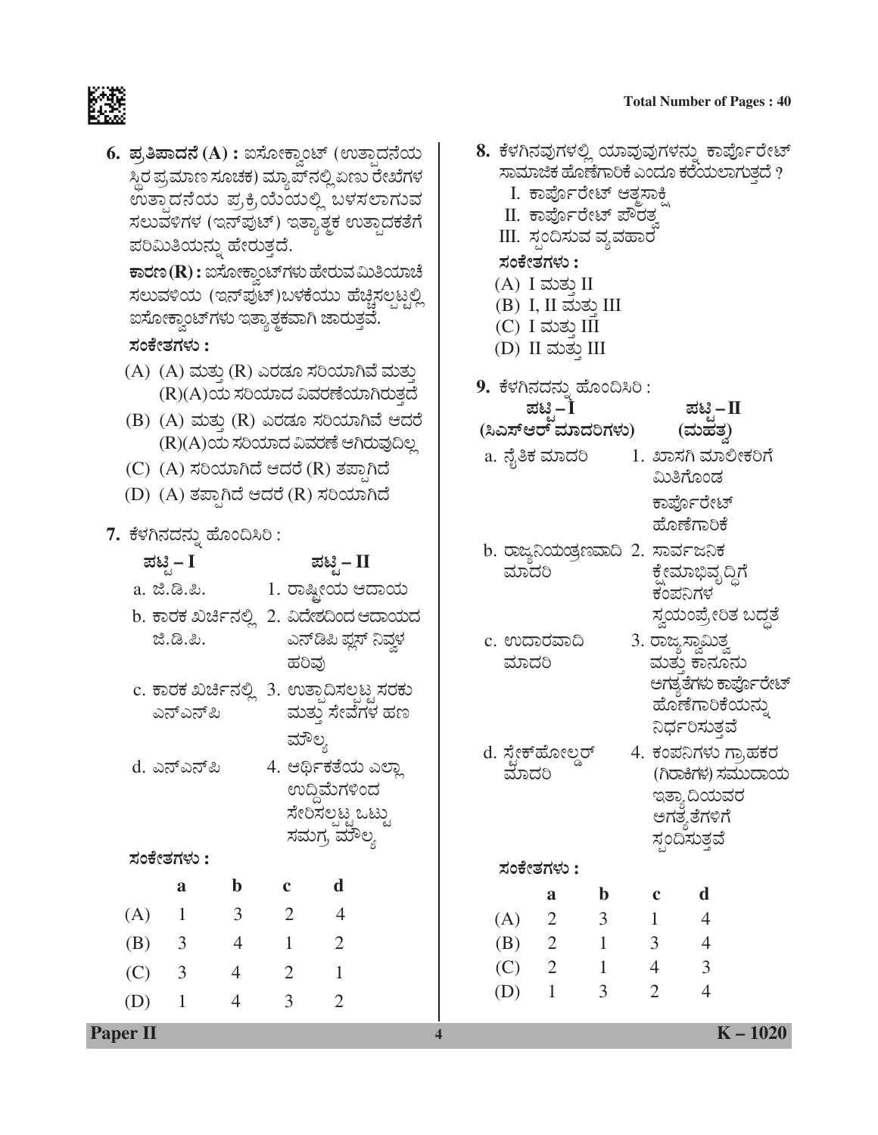# **Total Number of Pages : 40**<br> **Total Number of Pages : 40**<br> **Edges**



| 6. ಪ್ರತಿಪಾದನೆ (A) : ಐಸೋಕ್ತಾಂಟ್ (ಉತ್ತಾದನೆಯ<br>ಸ್ಥಿರ ಪ್ರಮಾಣ ಸೂಚಕ) ಮ್ಯಾಪ್ಽುಲ್ಲಿ ಏಣು ರೇಖೆಗಳ<br>ಉತ್ತಾದನೆಯ ಪ್ರಕ್ರಿಯೆಯಲ್ಲಿ ಬಳಸಲಾಗುವ<br>ಸಲುವಳಿಗಳ (ಇನ್ಪುುಟ್) ಇತ್ತಾತ್ತಕ ಉತ್ಪಾದಕತೆಗೆ<br>ಪರಿಮಿತಿಯನ್ನು ಹೇರುತ್ತದೆ.<br><b>ಕಾರಣ (R) :</b> ಐಸೋಕ್ವಾಂಟ್ಗಳು ಹೇರುವ ಮಿತಿಯಾಚೆ<br>ಸಲುವಳಿಯ (ಇನ್ಪುಟ್)ಬಳಕೆಯು ಹೆಚ್ಚಿಸಲ್ಪಟ್ಟಲ್ಲಿ<br>ಐಸೋಕ್ತಾಂಟ್ಗಳು ಇತ್ಯಾತ್ತಕವಾಗಿ ಜಾರುತ್ತವೆ.<br>ಸಂಕೇತಗಳು :<br>(A) (A) ಮತ್ತು (R) ಎರಡೂ ಸರಿಯಾಗಿವೆ ಮತ್ತು<br>(R)(A)ಯ ಸರಿಯಾದ ವಿವರಣೆಯಾಗಿರುತ್ತದೆ<br>(B) (A) ಮತ್ತು (R) ಎರಡೂ ಸರಿಯಾಗಿವೆ ಆದರೆ<br>(R)(A)ಯ ಸರಿಯಾದ ವಿವರಣೆ ಆಗಿರುವುದಿಲ್ಲ |                            |                |                |                                            | 8. ಕೆಳಗಿನವುಗಳಲ್ಲಿ ಯಾವುವುಗಳನ್ನು ಕಾರ್ಪೊರೇಟ್<br>ಸಾಮಾಜಿಕ ಹೊಣೆಗಾರಿಕೆ ಎಂದೂ ಕರೆಯಲಾಗುತ್ತದೆ ?<br>I. ಕಾರ್ಪೊರೇಟ್ ಆತ್ತಸಾಕ್ಷಿ<br>II. ಕಾರ್ಪೊರೇಟ್ ಪೌರತ್ನ<br>III. ಸ್ಪಂದಿಸುವ ವ್ಯವಹಾರ <sup>-</sup><br>ಸಂಕೇತಗಳು :<br>$(A)$ I ಮತು II<br>(B) I, II ಮತ್ತು III<br>$(C)$ I ಮತ್ತು III<br>(D) II ಮತ್ತು III<br>9. ಕೆಳಗಿನದನ್ನು ಹೊಂದಿಸಿರಿ :<br>ಪಟಿ $-\dot{\mathbf{I}}$<br>ಪಟಿ – ∏<br>(ಸಿಎಸ್ಆರ್ ಮಾದರಿಗಳು)<br>(ಮಹತ)<br>a. ನೈತಿಕ ಮಾದರಿ         1. ಖಾಸಗಿ ಮಾಲೀಕರಿಗೆ |                                                                          |            |                           |                  |                             |                               |                                          |  |
|--------------------------------------------------------------------------------------------------------------------------------------------------------------------------------------------------------------------------------------------------------------------------------------------------------------------------------------------------------------------------------------------------------------------------------------------------------------------------------------------------------------------------|----------------------------|----------------|----------------|--------------------------------------------|-----------------------------------------------------------------------------------------------------------------------------------------------------------------------------------------------------------------------------------------------------------------------------------------------------------------------------------------------------------------------------------------------------------------------------------|--------------------------------------------------------------------------|------------|---------------------------|------------------|-----------------------------|-------------------------------|------------------------------------------|--|
|                                                                                                                                                                                                                                                                                                                                                                                                                                                                                                                          |                            |                |                | (C) (A) ಸರಿಯಾಗಿದೆ ಆದರೆ (R) ತಪ್ಪಾಗಿದೆ       |                                                                                                                                                                                                                                                                                                                                                                                                                                   |                                                                          |            |                           |                  |                             | ಮಿತಿಗೊಂಡ                      |                                          |  |
|                                                                                                                                                                                                                                                                                                                                                                                                                                                                                                                          |                            |                |                | $(D)$ $(A)$ ತಪ್ಪಾಗಿದೆ ಆದರೆ $(R)$ ಸರಿಯಾಗಿದೆ |                                                                                                                                                                                                                                                                                                                                                                                                                                   |                                                                          |            |                           |                  |                             | ಕಾರ್ಪೊರೇಟ್<br>ಹೊಣೆಗಾರಿಕೆ      |                                          |  |
|                                                                                                                                                                                                                                                                                                                                                                                                                                                                                                                          | 7. ಕೆಳಗಿನದನ್ನು ಹೊಂದಿಸಿರಿ : |                |                |                                            |                                                                                                                                                                                                                                                                                                                                                                                                                                   |                                                                          |            |                           |                  |                             |                               |                                          |  |
|                                                                                                                                                                                                                                                                                                                                                                                                                                                                                                                          | ಪಟ್ಟಿ – I                  |                |                | ಪಟ್ಟಿ– II                                  |                                                                                                                                                                                                                                                                                                                                                                                                                                   | b. ರಾಜ್ಯನಿಯಡ್ರಣವಾದಿ 2. ಸಾರ್ವಜನಿಕ<br>ಮಾದರಿ<br>ಕ್ಷೇಮಾಭಿವೃದ್ಧಿಗೆ<br>ಕಂಪನಿಗಳ |            |                           |                  |                             |                               |                                          |  |
|                                                                                                                                                                                                                                                                                                                                                                                                                                                                                                                          |                            |                |                |                                            |                                                                                                                                                                                                                                                                                                                                                                                                                                   |                                                                          |            |                           |                  |                             |                               |                                          |  |
|                                                                                                                                                                                                                                                                                                                                                                                                                                                                                                                          |                            |                |                | b. ಕಾರಕ ಖರ್ಚಿನಲ್ಲಿ 2. ವಿದೇಶದಿಂದ ಆದಾಯದ      |                                                                                                                                                                                                                                                                                                                                                                                                                                   |                                                                          |            |                           |                  |                             |                               | ಸ್ವಯಂಪ್ರೇರಿತ ಬದ್ಧತೆ                      |  |
|                                                                                                                                                                                                                                                                                                                                                                                                                                                                                                                          | ಜೆ.ಡಿ.ಪಿ.                  |                |                | ಎನ್ಡಿಪಿ ಪ್ಲಸ್ ನಿವ್ದಳ                       |                                                                                                                                                                                                                                                                                                                                                                                                                                   |                                                                          |            | c. ಉದಾರವಾದಿ               |                  |                             | 3. ರಾಜ್ಯಸ್ವಾಮಿತ್ತ             |                                          |  |
|                                                                                                                                                                                                                                                                                                                                                                                                                                                                                                                          |                            |                | ಹರಿವು          |                                            |                                                                                                                                                                                                                                                                                                                                                                                                                                   |                                                                          | ಮಾದರಿ      |                           |                  |                             | ಮತು ಕಾನೂನು                    |                                          |  |
|                                                                                                                                                                                                                                                                                                                                                                                                                                                                                                                          |                            |                |                | c. ಕಾರಕ ಖರ್ಚಿನಲ್ಲಿ  3. ಉತ್ಪಾದಿಸಲ್ಪಟ್ಟ ಸರಕು |                                                                                                                                                                                                                                                                                                                                                                                                                                   |                                                                          |            |                           |                  |                             |                               | ಅಗತ್ಯತೆಗಳು ಕಾರ್ಪೊರೇಟ್<br>ಹೊಣೆಗಾರಿಕೆಯನ್ನು |  |
|                                                                                                                                                                                                                                                                                                                                                                                                                                                                                                                          | ಎನ್ಎನ್ಪಿ                   |                |                | ಮತ್ತು ಸೇವೆಗಳ ಹಣ                            |                                                                                                                                                                                                                                                                                                                                                                                                                                   |                                                                          |            |                           |                  |                             | ನಿರ್ಧರಿಸುತ್ತವೆ                |                                          |  |
|                                                                                                                                                                                                                                                                                                                                                                                                                                                                                                                          |                            |                | ಮೌಲ್ಯ          |                                            |                                                                                                                                                                                                                                                                                                                                                                                                                                   |                                                                          |            | d. ಸ್ಪೇಕ್ <i></i> ಹೋಲ್ಡರ್ |                  |                             |                               | 4. ಕಂಪನಿಗಳು ಗ್ರಾಹಕರ                      |  |
|                                                                                                                                                                                                                                                                                                                                                                                                                                                                                                                          | d. ಎನ್ಎನ್ಪಿ                |                |                | 4. ಆರ್ಥಿಕತೆಯ ಎಲ್ಲಾ                         |                                                                                                                                                                                                                                                                                                                                                                                                                                   |                                                                          | ಮಾದರಿ      |                           |                  |                             |                               | (ಗಿರಾಕಿಗಳ) ಸಮುದಾಯ                        |  |
|                                                                                                                                                                                                                                                                                                                                                                                                                                                                                                                          |                            |                |                | ಉದ್ದಿಮೆಗಳಿಂದ<br>ಸೇರಿಸಲ್ಪಟ್ಟ ಒಟ್ಟು          |                                                                                                                                                                                                                                                                                                                                                                                                                                   |                                                                          |            |                           |                  |                             | ಇತ್ಯಾ ದಿಯವರ                   |                                          |  |
|                                                                                                                                                                                                                                                                                                                                                                                                                                                                                                                          |                            |                |                | ಸಮಗ್ರ ಮೌಲ್ಯ                                |                                                                                                                                                                                                                                                                                                                                                                                                                                   |                                                                          |            |                           |                  |                             | ಅಗತ್ಯತೆಗಳಿಗೆ<br>ಸ್ಪಂದಿಸುತ್ತವೆ |                                          |  |
|                                                                                                                                                                                                                                                                                                                                                                                                                                                                                                                          | ಸಂಕೇತಗಳು :                 |                |                |                                            |                                                                                                                                                                                                                                                                                                                                                                                                                                   |                                                                          |            |                           |                  |                             |                               |                                          |  |
|                                                                                                                                                                                                                                                                                                                                                                                                                                                                                                                          | $\mathbf{a}$               | $\mathbf b$    | $\mathbf c$    | d                                          |                                                                                                                                                                                                                                                                                                                                                                                                                                   |                                                                          |            | ಸಂಕೇತಗಳು :                |                  |                             |                               |                                          |  |
| (A)                                                                                                                                                                                                                                                                                                                                                                                                                                                                                                                      | $\mathbf 1$                | 3              | $\overline{2}$ | 4                                          |                                                                                                                                                                                                                                                                                                                                                                                                                                   |                                                                          |            | a<br>$\overline{2}$       | $\mathbf b$<br>3 | $\mathbf c$<br>$\mathbf{1}$ | d<br>$\overline{4}$           |                                          |  |
| (B)                                                                                                                                                                                                                                                                                                                                                                                                                                                                                                                      | 3                          | $\overline{4}$ | $\mathbf{1}$   | $\overline{2}$                             |                                                                                                                                                                                                                                                                                                                                                                                                                                   |                                                                          | (A)<br>(B) | $\overline{2}$            | $\mathbf{1}$     | 3                           | $\overline{4}$                |                                          |  |
|                                                                                                                                                                                                                                                                                                                                                                                                                                                                                                                          | 3                          | 4              | $\overline{2}$ | $\mathbf{1}$                               |                                                                                                                                                                                                                                                                                                                                                                                                                                   |                                                                          | (C)        | $\overline{2}$            | $\mathbf{1}$     | $\overline{4}$              | $\overline{3}$                |                                          |  |
| (C)                                                                                                                                                                                                                                                                                                                                                                                                                                                                                                                      |                            |                |                |                                            |                                                                                                                                                                                                                                                                                                                                                                                                                                   |                                                                          | (D)        | $\mathbf{1}$              | 3                | $\overline{2}$              | $\overline{4}$                |                                          |  |
| (D)                                                                                                                                                                                                                                                                                                                                                                                                                                                                                                                      | $\mathbf{1}$               | 4              | $\overline{3}$ | $\overline{2}$                             |                                                                                                                                                                                                                                                                                                                                                                                                                                   |                                                                          |            |                           |                  |                             |                               |                                          |  |

**Paper II 4 K – 1020**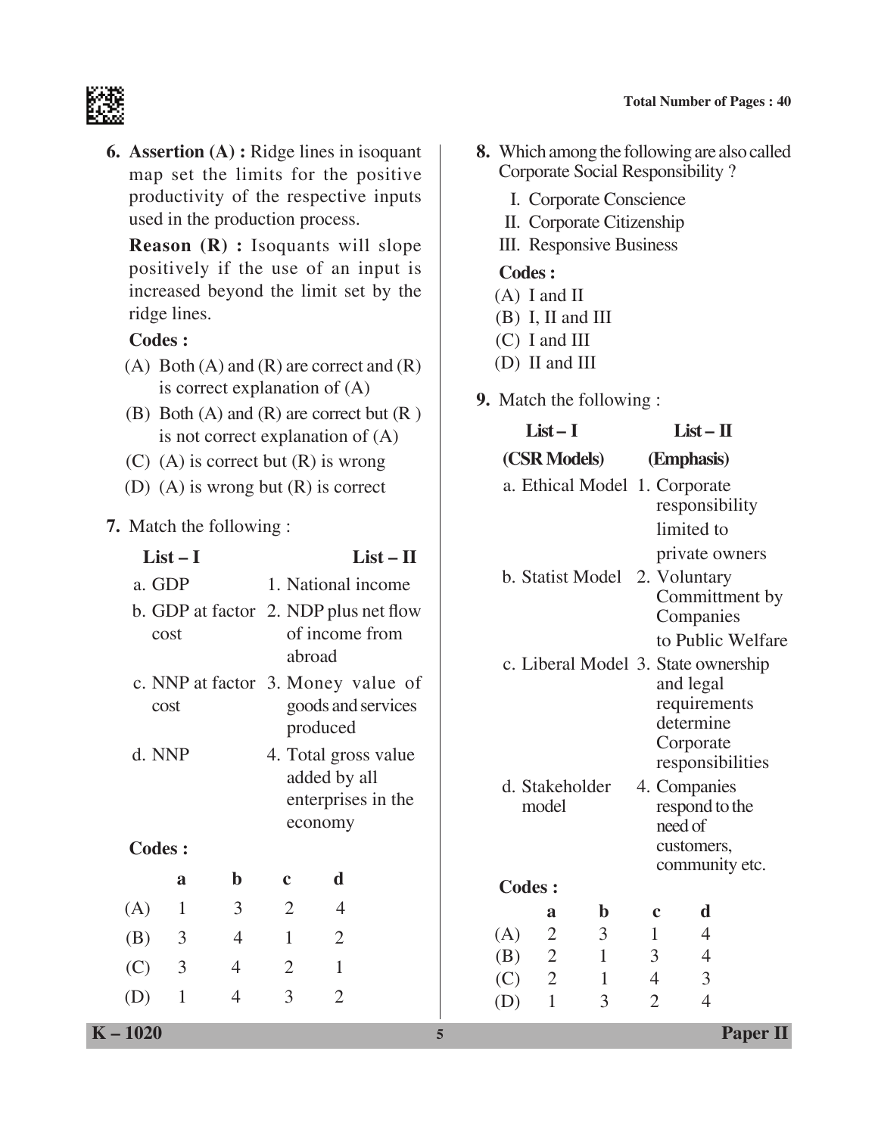#### **Total Number of Pages : 40**



**6. Assertion (A) :** Ridge lines in isoquant map set the limits for the positive productivity of the respective inputs used in the production process.

 **Reason (R) :** Isoquants will slope positively if the use of an input is increased beyond the limit set by the ridge lines.

#### **Codes :**

- (A) Both (A) and (R) are correct and  $(R)$ is correct explanation of (A)
- (B) Both  $(A)$  and  $(R)$  are correct but  $(R)$ is not correct explanation of (A)
- $(C)$  (A) is correct but  $(R)$  is wrong
- (D) (A) is wrong but (R) is correct
- **7.** Match the following :

|               | $List-I$ |                | $List - II$                                                          |                                                                       |  |  |  |
|---------------|----------|----------------|----------------------------------------------------------------------|-----------------------------------------------------------------------|--|--|--|
| a. GDP        |          |                | 1. National income                                                   |                                                                       |  |  |  |
|               | cost     |                | b. GDP at factor 2. NDP plus net flow<br>of income from<br>abroad    |                                                                       |  |  |  |
| cost          |          |                | c. NNP at factor 3. Money value of<br>goods and services<br>produced |                                                                       |  |  |  |
|               | d. NNP   |                |                                                                      | 4. Total gross value<br>added by all<br>enterprises in the<br>economy |  |  |  |
| <b>Codes:</b> |          |                |                                                                      |                                                                       |  |  |  |
|               | a        | h              | c                                                                    | d                                                                     |  |  |  |
| (A)           | 1        | 3              | $\overline{2}$                                                       | 4                                                                     |  |  |  |
| (B)           | 3        | $\overline{4}$ | $\mathbf{1}$                                                         | $\overline{2}$                                                        |  |  |  |
| (C) 3         |          | 4              | 2                                                                    | 1                                                                     |  |  |  |
| (D)           | 1        | 4              | 3                                                                    | $\mathfrak{D}$                                                        |  |  |  |

- **8.** Which among the following are also called Corporate Social Responsibility ?
	- I. Corporate Conscience
	- II. Corporate Citizenship
	- III. Responsive Business

#### **Codes :**

- (A) I and II
- (B) I, II and III
- (C) I and III
- (D) II and III
- **9.** Match the following :

|                   | $List-I$                                                |                            | $List - II$                             |                                                                                                                |  |  |
|-------------------|---------------------------------------------------------|----------------------------|-----------------------------------------|----------------------------------------------------------------------------------------------------------------|--|--|
|                   |                                                         | (CSR Models)               | (Emphasis)                              |                                                                                                                |  |  |
|                   |                                                         |                            |                                         | a. Ethical Model 1. Corporate<br>responsibility<br>limited to<br>private owners                                |  |  |
|                   |                                                         |                            |                                         | b. Statist Model 2. Voluntary<br>Committment by<br>Companies<br>to Public Welfare                              |  |  |
|                   |                                                         |                            |                                         | c. Liberal Model 3. State ownership<br>and legal<br>requirements<br>determine<br>Corporate<br>responsibilities |  |  |
|                   | d. Stakeholder<br>model                                 |                            |                                         | 4. Companies<br>respond to the<br>need of<br>customers,<br>community etc.                                      |  |  |
| <b>Codes:</b>     |                                                         |                            |                                         |                                                                                                                |  |  |
| (A)<br>(B)<br>(C) | a<br>$\overline{2}$<br>$\overline{2}$<br>$\overline{2}$ | $\mathbf b$<br>3<br>1<br>1 | $\mathbf c$<br>1<br>3<br>$\overline{4}$ | d<br>4<br>$\overline{4}$<br>3                                                                                  |  |  |
| (D)               | $\mathbf{1}$                                            | 3                          | $\overline{2}$                          | $\overline{4}$                                                                                                 |  |  |

**K – 1020 5 Paper II**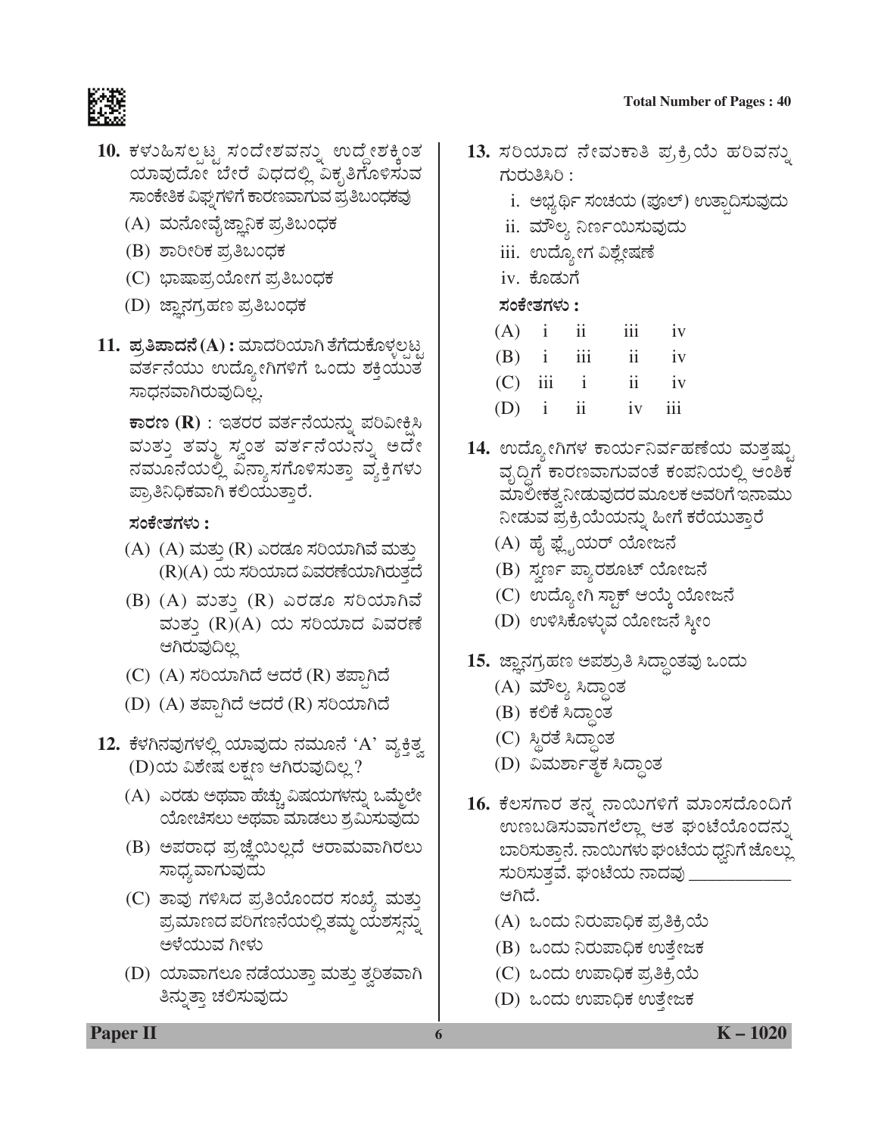

- 10. ಕಳುಹಿಸಲ್ಪಟ್ಟ ಸಂದೇಶವನ್ನು ಉದ್ದೇಶಕ್ಕಿಂತ ಯಾವುದೋ ಬೇರೆ ವಿಧದಲ್ಲಿ ವಿಕೃತಿಗೊಳಿಸುವ ಸಾಂಕೇತಿಕ ವಿಘ್ವಗಳಿಗೆ ಕಾರಣವಾಗುವ ಪ್ರತಿಬಂಧಕವು
	- (A) ಮನೋವೈಜ್ಞಾನಿಕ ಪ್ರತಿಬಂಧಕ
	- (B) ಶಾರೀರಿಕ ಪ್ರತಿಬಂಧಕ
	- (C) ಭಾಷಾಪ,ಯೋಗ ಪ್ರತಿಬಂಧಕ
	- (D) ಜ್ಞಾನಗ್ರಹಣ ಪ್ರತಿಬಂಧಕ
- 11. **ಪ್ರತಿಪಾದನೆ (A) :** ಮಾದರಿಯಾಗಿ ತೆಗೆದುಕೊಳ್ಳಲ್ಪಟ್ಟ ವರ್ತನೆಯು ಉದ್ಯೋಗಿಗಳಿಗೆ ಒಂದು ಶಕ್ತಿಯುತ<sup>ೆ</sup> ಸಾಧನವಾಗಿರುವುದಿಲ್ಲ.

**ಕಾರಣ (R)** : ಇತರರ ವರ್ತನೆಯನ್ನು ಪರಿವೀಕ್ಷಿಸಿ ಮುತ್ತು ತಮ್ಮ ಸ್ವಂತ ವರ್ತನೆಯನ್ನು ಅದೇ ನಮೂನೆಯಲ್ಲಿ ವಿನ್ಯಾಸಗೊಳಿಸುತ್ತಾ ವ್ಯಕ್ತಿಗಳು ಪ್ರಾತಿನಿಧಿಕವಾಗಿ ಕಲಿಯುತ್ತಾರೆ.

#### **ÓÜíPæàñÜWÜÙÜá :**

- (A) (A) ಮತ್ತು (R) ಎರಡೂ ಸರಿಯಾಗಿವೆ ಮತ್ತು (R)(A) ಯ ಸರಿಯಾದ ವಿವರಣೆಯಾಗಿರುತ್ತದೆ
- (B)  $(A)$  ಮತ್ತು  $(R)$  ಎರಡೂ ಸರಿಯಾಗಿವೆ ಮತ್ತು (R)(A) ಯ ಸರಿಯಾದ ವಿವರಣೆ ಆಗಿರುವುದಿಲ್ಲ
- (C) (A) ಸರಿಯಾಗಿದೆ ಆದರೆ (R) ತಪ್ಪಾಗಿದೆ
- (D) (A) ತಪ್ಪಾಗಿದೆ ಆದರೆ (R) ಸರಿಯಾಗಿದೆ
- 12. ಕೆಳಗಿನವುಗಳಲ್ಲಿ ಯಾವುದು ನಮೂನೆ 'A' ವ್ಯಕ<u>್ತಿತ್</u>ತ (D)ಯ ವಿಶೇಷ ಲಕ್ಷಣ ಆಗಿರುವುದಿಲ್ಲ?
	- (A) ಎರಡು ಅಥವಾ ಹೆಚ್ಚು ವಿಷಯಗಳನ್ನು ಒಮ್ಮೆಲೇ ಯೋಚಿಸಲು ಅಥವಾ ಮಾಡಲು ಶ್ರಮಿಸುವುದು
	- (B) ಅಪರಾಧ ಪ್ರಜ್ಞೆಯಿಲ್ಲದೆ ಆರಾಮವಾಗಿರಲು ಸಾಧ್ಯವಾಗುವುದು
	- (C) ತಾವು ಗಳಿಸಿದ ಪ್ರತಿಯೊಂದರ ಸಂಖ್ಯೆ ಮತ್ತು ಪ್ರಮಾಣದ ಪರಿಗಣನೆಯಲ್ಲಿ ತಮ್ಮ ಯಶಸ್ಸನ್ನು ಅಳೆಯುವ ಗೀಳು
	- (D) ಯಾವಾಗಲೂ ನಡೆಯುತ್ತಾ ಮತ್ತು ತ್ವರಿತವಾಗಿ ತಿನ್ನುತ್ತಾ ಚಲಿಸುವುದು
- 13. ಸರಿಯಾದ ನೇವುಕಾತಿ ಪ್ರಕ್ರಿಯೆ ಹರಿವನ್ನು ಗುರುತಿಸಿರಿ $:$ 
	- i. ಅಭ್ಯರ್ಥಿ ಸಂಚಯ (ಪೂಲ್) ಉತ್ಪಾದಿಸುವುದು
	- ii. ಮೌಲ್ಯ ನಿರ್ಣಯಿಸುವುದು
	- iii. ಉದ್ಯೋಗ ವಿಶ್ಲೇಷಣೆ
	- iv. ಕೊಡುಗೆ

 **ÓÜíPæàñÜWÜÙÜá :**

| (A)        | 11  | 111 | 1V |
|------------|-----|-----|----|
| (B)        | 111 | 11  | iv |
| $\sqrt{2}$ |     |     |    |

- $(C)$  111 1 11 1V
- (D) i ii iv iii
- 14. ಉದ್ಯೋಗಿಗಳ ಕಾರ್ಯನಿರ್ವಹಣೆಯ ಮತ್ತಷ್<u>ತು</u> ವೃದ್ಧಿಗೆ ಕಾರಣವಾಗುವಂತೆ ಕಂಪನಿಯಲ್ಲಿ ಆಂಶಿಕ ಮಾಲೀಕತ್ವನೀಡುವುದರ ಮೂಲಕ ಅವರಿಗೆ ಇನಾಮು ನೀಡುವ ಪ್ರಕ್ರಿಯೆಯನ್ನು ಹೀಗೆ ಕರೆಯುತ್ತಾರೆ
	- (A) ಹೈ ಫ್ಲೈಯರ್ ಯೋಜನೆ
	- (B) ಸ್ವರ್ಣ ಪ್ಯಾರಶೂಟ್ ಯೋಜನೆ
	- (C) ಉದ್ಯೋಗಿ ಸ್ಟಾಕ್ ಆಯ್ಕೆ ಯೋಜನೆ
	- (D) ಉಳಿಸಿಕೊಳ್ಳುವ ಯೋಜನೆ ಸ್ತೀಂ
- 15. ಜ್ಞಾನಗ್ರಹಣ ಅಪಶ್ರುತಿ ಸಿದ್ಧಾಂತವು ಒಂದು
	- (A) ಮೌಲ್ಯ ಸಿದ್ಧಾಂತ
	- (B) ಕಲಿಕೆ ಸಿದ್ಧಾಂತ
	- (C) ಸ್ಥಿರತೆ ಸಿದ್ಧಾಂತ
	- (D) ವಿಮರ್ಶಾತ್ಮಕ ಸಿದ್ಧಾಂತ
- 16. ಕೆಲಸಗಾರ ತನ್ನ ನಾಯಿಗಳಿಗೆ ಮಾಂಸದೊಂದಿಗೆ ಉಣಬಡಿಸುವಾಗಲೆಲ್ಲಾ ಆತ ಘಂಟೆಯೊಂದನ್ನು ಬಾರಿಸುತ್ತಾನೆ. ನಾಯಿಗಳು ಘಂಟೆಯ ಧ್ವನಿಗೆ ಜೊಲ್ಲು ಸುರಿಸುತ್ತವೆ. ಘಂಟೆಯ ನಾದವು \_\_ ಆಗಿದೆ.
	- (A) ಒಂದು ನಿರುಪಾಧಿಕ ಪ್ರತಿಕ್ರಿಯೆ
	- (B) ಒಂದು ನಿರುಪಾಧಿಕ ಉತೇಜಕ
	- (C) ಒಂದು ಉಪಾಧಿಕ ಪ್ರತಿಕ್ರಿಯೆ
	- (D) ಒಂದು ಉಪಾಧಿಕ ಉತ್ತೇಜಕ

**Paper II 6 K** – 1020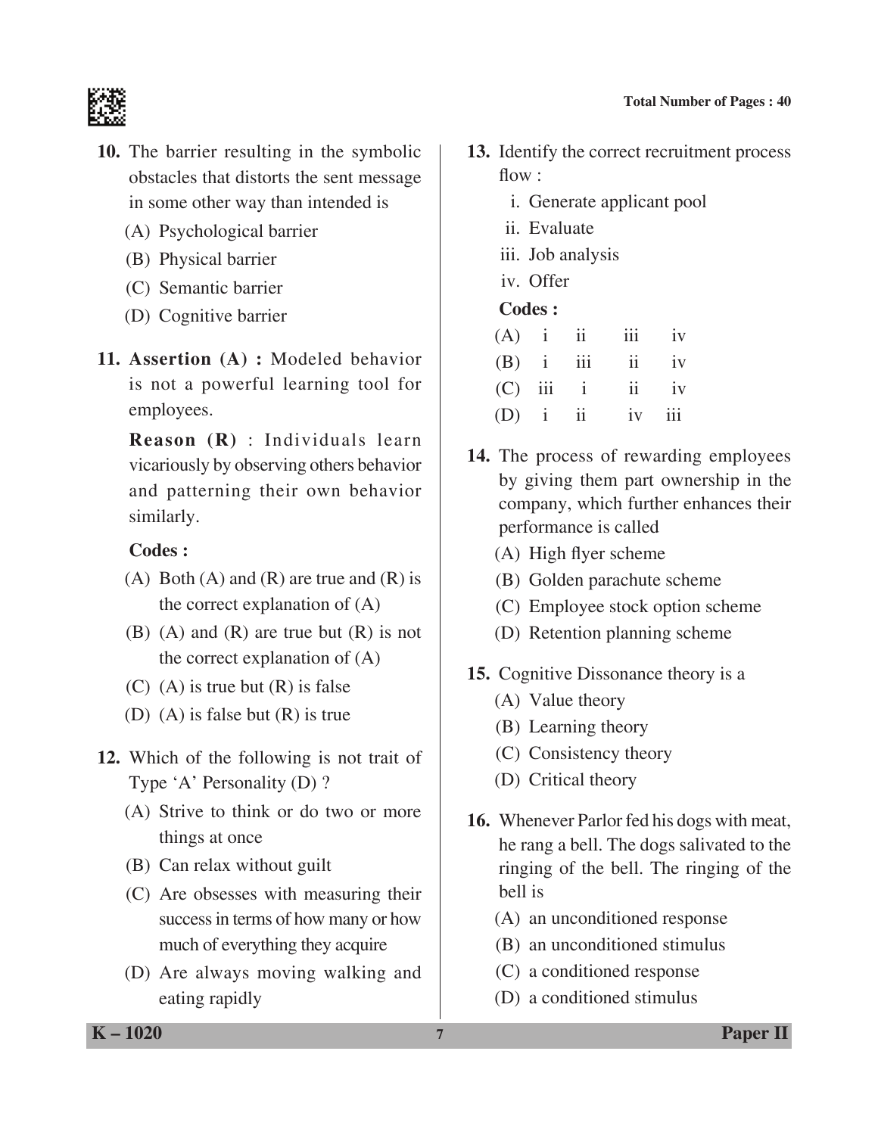

- **10.** The barrier resulting in the symbolic obstacles that distorts the sent message in some other way than intended is
	- (A) Psychological barrier
	- (B) Physical barrier
	- (C) Semantic barrier
	- (D) Cognitive barrier
- **11. Assertion (A) :** Modeled behavior is not a powerful learning tool for employees.

 **Reason (R)** : Individuals learn vicariously by observing others behavior and patterning their own behavior similarly.

# **Codes :**

- (A) Both (A) and (R) are true and (R) is the correct explanation of (A)
- (B) (A) and (R) are true but (R) is not the correct explanation of (A)
- $(C)$  (A) is true but  $(R)$  is false
- (D) (A) is false but (R) is true
- **12.** Which of the following is not trait of Type 'A' Personality (D) ?
	- (A) Strive to think or do two or more things at once
	- (B) Can relax without guilt
	- (C) Are obsesses with measuring their success in terms of how many or how much of everything they acquire
	- (D) Are always moving walking and eating rapidly
- **13.** Identify the correct recruitment process flow:
	- i. Generate applicant pool
	- ii. Evaluate
	- iii. Job analysis
	- iv. Offer

# **Codes :**

| $(A)$ i ii  |  | $\overline{111}$        | iv    |
|-------------|--|-------------------------|-------|
| $(B)$ i iii |  | $\overline{\mathbf{u}}$ | iv    |
| $(C)$ iii i |  |                         | ii iv |
| $(D)$ i ii  |  | $iv$ $iii$              |       |

- **14.** The process of rewarding employees by giving them part ownership in the company, which further enhances their performance is called
	- (A) High flyer scheme
	- (B) Golden parachute scheme
	- (C) Employee stock option scheme
	- (D) Retention planning scheme
- **15.** Cognitive Dissonance theory is a
	- (A) Value theory
	- (B) Learning theory
	- (C) Consistency theory
	- (D) Critical theory
- **16.** Whenever Parlor fed his dogs with meat, he rang a bell. The dogs salivated to the ringing of the bell. The ringing of the bell is
	- (A) an unconditioned response
	- (B) an unconditioned stimulus
	- (C) a conditioned response
	- (D) a conditioned stimulus

**K – 1020 7 Paper II**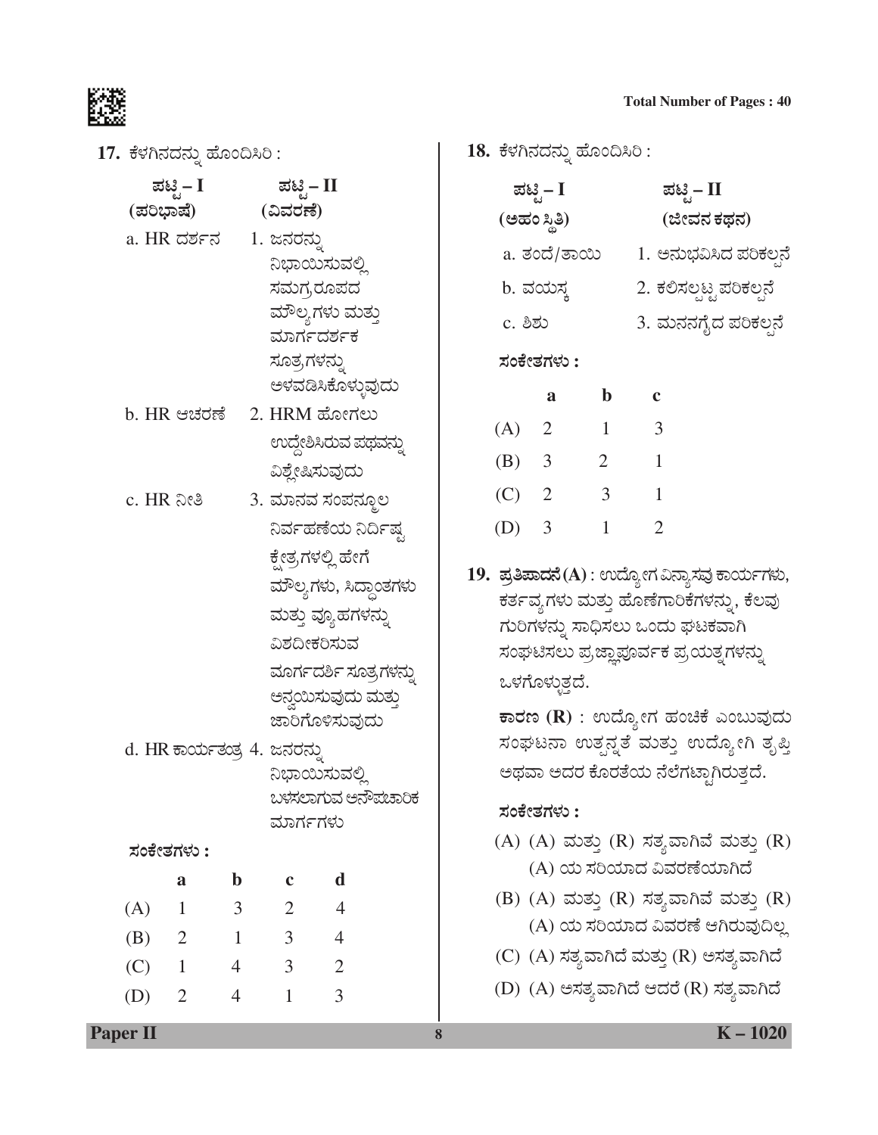17. ಕೆಳಗಿನದನ್ನು ಹೊಂದಿಸಿರಿ:

| ಪಟ್ಟಿ – I   | ಪಟ್ಟಿ – II        |
|-------------|-------------------|
| (ಪರಿಭಾಷೆ)   | (ವಿವರಣೆ)          |
| a. HR ದರ್ಶನ | 1. ಜನರನ್ನು        |
|             | ನಿಭಾಯಿಸುವಲ್ಲಿ     |
|             | ಸಮಗ್ರರೂಪದ         |
|             | ಮೌಲ್ಯಗಳು ಮತ್ತು    |
|             | ಮಾರ್ಗದರ್ಶಕ        |
|             | ಸೂತ್ರಗಳನ್ನು       |
|             | ಅಳವಡಿಸಿಕೊಳ್ಳುವುದು |

- b. HR ಆಚರಣೆ 2. HRM ಹೋಗಲು ಉದ್ದೇಶಿಸಿರುವ ಪಥವನ್ನು ವಿಶ್ಲೇಷಿಸುವುದು
- c. HR ನೀತಿ 3. ಮಾನವ ಸಂಪನ್ಮೂಲ ನಿರ್ವಹಣೆಯ ನಿರ್ದಿಷ್ಟ ಕ್ಷೇತ್ರಗಳಲ್ಲಿ ಹೇಗೆ ಮೌಲ್ಯಗಳು, ಸಿದ್ಧಾಂತಗಳು ಮತ್ತು ವ್ಯೂಹಗಳನ್ನು ವಿಶದೀಕರಿಸುವ ಮೂರ್ಗದರ್ಶಿ ಸೂತ್ರಗಳನ್ನು ಅನ್ವಯಿಸುವುದು ಮತ್ತು ಜಾರಿಗೊಳಿಸುವುದು
- d. HR ಕಾರ್ಯತಂತ್ರ 4. ಜನರನ್ನು ನಿಭಾಯಿಸುವಲ್ಲಿ ಬಳಸಲಾಗುವ ಅನೌಪಚಾರಿಕ ಮಾರ್ಗಗಳು

#### ಸಂಕೇತಗಳು :

|     | a              | b              | c              | d |
|-----|----------------|----------------|----------------|---|
| (A) |                | 3              | $\overline{2}$ | 4 |
| (B) | $\overline{2}$ | 1              | 3              | 4 |
| (C) |                | $\overline{4}$ | 3              | 2 |
| (D) | 2              | 4              | 1              | 3 |

18. ಕೆಳಗಿನದನ್ನು ಹೊಂದಿಸಿರಿ :

|         | ಪಟ್ಟಿ – I    |   | ಪಟ್ಟಿ – II              |
|---------|--------------|---|-------------------------|
|         | (ಅಹಂ ಸ್ಥಿತಿ) |   | (ಜೀವನ ಕಥನ)              |
|         | a. ತಂದೆ/ತಾಯಿ |   | 1. ಅನುಭವಿಸಿದ ಪರಿಕಲ್ಪನೆ  |
|         | b. ವಯಸ್ತ     |   | 2. ಕಲಿಸಲ್ಪಟ್ಟ ಪರಿಕಲ್ಪನೆ |
| c. ಶಿಶು |              |   | 3. ಮನನಗೈದ ಪರಿಕಲ್ಪನೆ     |
|         | ಸಂಕೇತಗಳು :   |   |                         |
|         | a            | b | c                       |
| A)      | 2            |   | 3                       |

| (A)     | <sup>2</sup> |   | 3 |
|---------|--------------|---|---|
| $(B)$ 3 |              | 2 |   |
| $(C)$ 2 |              | 3 |   |
| (D) 3   |              |   | 2 |

19. ಪ್ರತಿಪಾದನೆ(A): ಉದ್ಯೋಗ ವಿನ್ಯಾಸವು ಕಾರ್ಯಗಳು, ಕರ್ತವ್ಯಗಳು ಮತ್ತು ಹೊಣೆಗಾರಿಕೆಗಳನ್ನು, ಕೆಲವು ಗುರಿಗಳನ್ನು ಸಾಧಿಸಲು ಒಂದು ಘಟಕವಾಗಿ ಸಂಘಟಿಸಲು ಪ್ರಜ್ಞಾಪೂರ್ವಕ ಪ್ರಯತ್ನಗಳನ್ನು ಒಳಗೊಳ್ಳುತ್ತದೆ.

ಕಾರಣ (R) : ಉದ್ಯೋಗ ಹಂಚಿಕೆ ಎಂಬುವುದು ಸಂಘಟನಾ ಉತ್ಪನ್ನತೆ ಮತ್ತು ಉದ್ಯೋಗಿ ತೃಪ್ತಿ ಅಥವಾ ಅದರ ಕೊರತೆಯ ನೆಲೆಗಟ್ಟಾಗಿರುತ್ತದೆ.

#### ಸಂಕೇತಗಳು :

8

- (A) (A) ಮತ್ತು (R) ಸತ್ಯವಾಗಿವೆ ಮತ್ತು (R) (A) ಯ ಸರಿಯಾದ ವಿವರಣೆಯಾಗಿದೆ
- (B) (A) ಮತ್ತು (R) ಸತ್ಯವಾಗಿವೆ ಮತ್ತು (R) (A) ಯ ಸರಿಯಾದ ವಿವರಣೆ ಆಗಿರುವುದಿಲ್ಲ
- (C) (A) ಸತ್ಯವಾಗಿದೆ ಮತ್ತು (R) ಅಸತ್ಯವಾಗಿದೆ
- (D) (A) ಅಸತ್ಯವಾಗಿದೆ ಆದರೆ (R) ಸತ್ಯವಾಗಿದೆ

#### **Paper II**

 $K - 1020$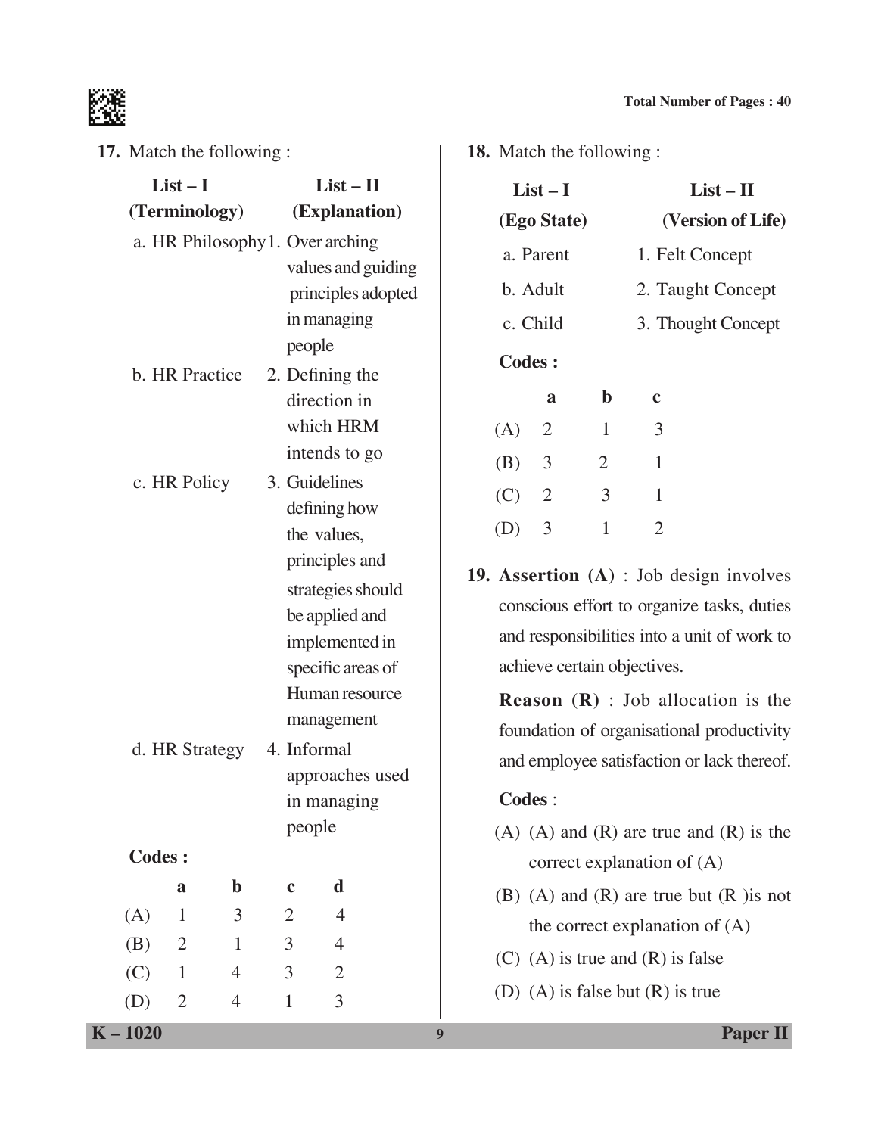

**17.** Match the following :

|               | $List-I$<br>(Terminology)        |                | $List - II$<br>(Explanation)      |                  | $List-I$<br>(Ego State)                   |                |                |                                                  | $List - II$<br>(Version of Life) |
|---------------|----------------------------------|----------------|-----------------------------------|------------------|-------------------------------------------|----------------|----------------|--------------------------------------------------|----------------------------------|
|               | a. HR Philosophy 1. Over arching |                |                                   |                  |                                           | a. Parent      |                | 1. Felt Concept                                  |                                  |
|               |                                  |                | values and guiding                |                  |                                           | b. Adult       |                | 2. Taught Concept                                |                                  |
|               |                                  |                | principles adopted<br>in managing |                  |                                           | c. Child       |                |                                                  |                                  |
|               |                                  |                | people                            |                  |                                           |                |                | 3. Thought Concept                               |                                  |
|               | b. HR Practice                   |                | 2. Defining the                   |                  | <b>Codes:</b>                             |                |                |                                                  |                                  |
|               |                                  |                | direction in                      |                  |                                           | $\mathbf{a}$   | $\mathbf b$    | $\mathbf c$                                      |                                  |
|               |                                  |                | which HRM                         |                  | (A)                                       | $\overline{2}$ | $\mathbf{1}$   | 3                                                |                                  |
|               |                                  |                | intends to go                     |                  | (B)                                       | $\mathfrak{Z}$ | $\overline{2}$ | $\mathbf{1}$                                     |                                  |
|               | c. HR Policy                     |                | 3. Guidelines                     |                  | (C)                                       | $\overline{2}$ | 3              | $\mathbf{1}$                                     |                                  |
|               |                                  |                | defining how                      |                  |                                           | 3              | $\mathbf{1}$   | $\overline{2}$                                   |                                  |
|               |                                  |                | the values,                       |                  | (D)                                       |                |                |                                                  |                                  |
|               |                                  |                | principles and                    |                  |                                           |                |                | <b>19. Assertion</b> $(A)$ : Job design involves |                                  |
|               |                                  |                | strategies should                 |                  |                                           |                |                | conscious effort to organize tasks, duties       |                                  |
|               |                                  |                | be applied and<br>implemented in  |                  |                                           |                |                | and responsibilities into a unit of work to      |                                  |
|               |                                  |                | specific areas of                 |                  |                                           |                |                | achieve certain objectives.                      |                                  |
|               |                                  |                | Human resource                    |                  |                                           |                |                | <b>Reason</b> $(R)$ : Job allocation is the      |                                  |
|               |                                  |                | management                        |                  |                                           |                |                |                                                  |                                  |
|               | d. HR Strategy                   |                | 4. Informal                       |                  | foundation of organisational productivity |                |                |                                                  |                                  |
|               |                                  |                | approaches used                   |                  | and employee satisfaction or lack thereof |                |                |                                                  |                                  |
|               |                                  |                | in managing                       |                  | Codes:                                    |                |                |                                                  |                                  |
|               |                                  |                | people                            |                  |                                           |                |                | $(A)$ $(A)$ and $(R)$ are true and $(R)$ is the  |                                  |
| <b>Codes:</b> |                                  |                |                                   |                  |                                           |                |                | correct explanation of $(A)$                     |                                  |
|               | $\mathbf b$<br>$\mathbf a$       | $\mathbf c$    | d                                 |                  |                                           |                |                | (B) (A) and (R) are true but $(R)$ is not        |                                  |
| (A)           | 3<br>$\mathbf{1}$                | $\overline{2}$ | $\overline{4}$                    |                  |                                           |                |                | the correct explanation of $(A)$                 |                                  |
| (B)           | $\overline{2}$<br>$\mathbf{1}$   | $\mathfrak{Z}$ | $\overline{4}$                    |                  |                                           |                |                | $(C)$ (A) is true and $(R)$ is false             |                                  |
| (C)           | $\mathbf{1}$<br>$\overline{4}$   | $\mathfrak{Z}$ | $\overline{2}$                    |                  |                                           |                |                |                                                  |                                  |
| (D)           | $\overline{2}$<br>4              | $\mathbf{1}$   | 3                                 |                  |                                           |                |                | (D) (A) is false but $(R)$ is true               |                                  |
| $K - 1020$    |                                  |                |                                   | $\boldsymbol{9}$ |                                           |                |                |                                                  | <b>Paper II</b>                  |

**18.** Match the following :

|               | $List-I$       |              |                   | $List - II$        |  |
|---------------|----------------|--------------|-------------------|--------------------|--|
|               | (Ego State)    |              |                   | (Version of Life)  |  |
|               | a. Parent      |              | 1. Felt Concept   |                    |  |
| b. Adult      |                |              | 2. Taught Concept |                    |  |
|               | c. Child       |              |                   | 3. Thought Concept |  |
| <b>Codes:</b> |                |              |                   |                    |  |
|               | a              | $\mathbf b$  | c                 |                    |  |
| (A)           | 2              | $\mathbf{1}$ | 3                 |                    |  |
| (B)           | $\overline{3}$ | 2            | 1                 |                    |  |
| (C)           | 2              | 3            | 1                 |                    |  |
|               | 3              | 1            | 2                 |                    |  |

#### **Codes** :

- $(A)$   $(A)$  and  $(R)$  are true and  $(R)$  is the correct explanation of (A)
- (B) (A) and (R) are true but (R )is not the correct explanation of (A)
- (C) (A) is true and (R) is false
- (D) (A) is false but (R) is true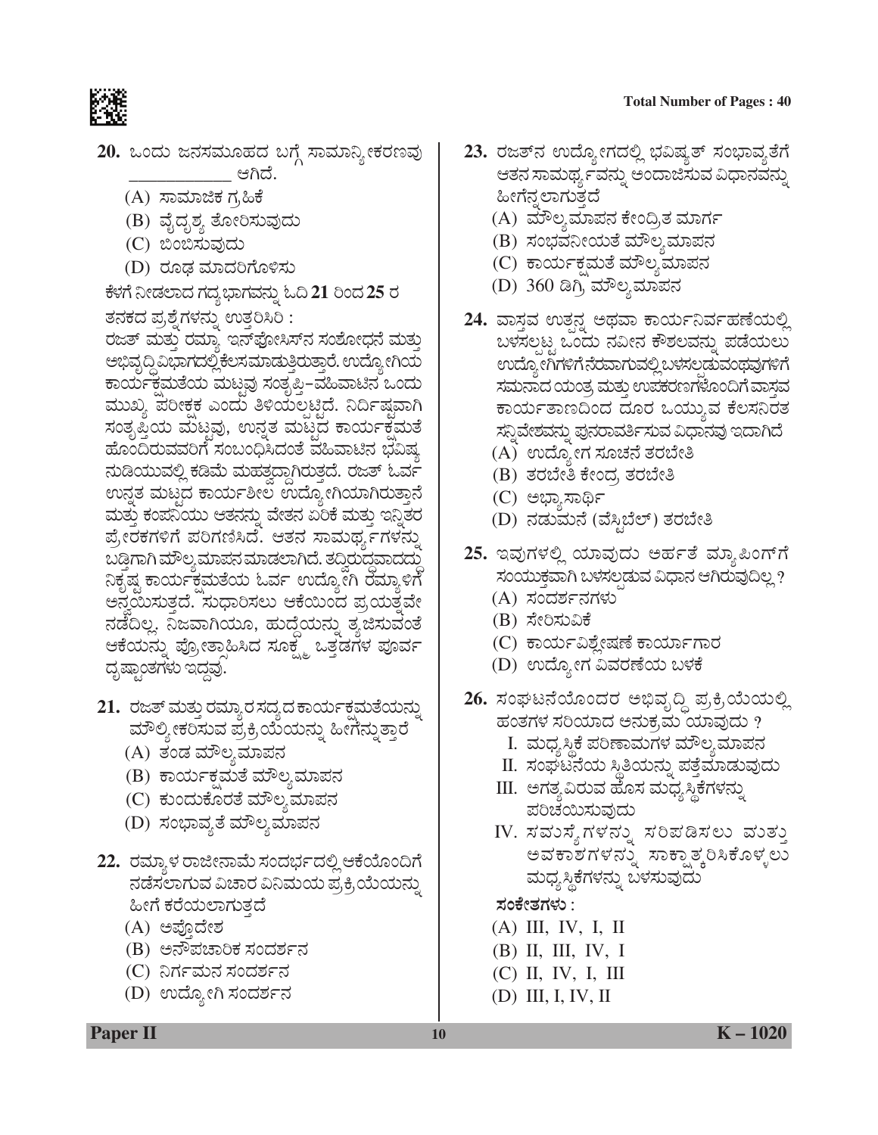隵

- 20. ಒಂದು ಜನಸಮೂಹದ ಬಗ್ಗೆ ಸಾಮಾನ್ಯೀಕರಣವು \_ಆಗಿದೆ.
	- (A) ಸಾಮಾಜಿಕ ಗ,ಹಿಕೆ
	- (B) ವೈದೃಶ್ಯ ತೋರಿಸುವುದು
	- (C) ಬಿಂಬಿಸುವುದು
	- (D) ರೂಢ ಮಾದರಿಗೊಳಿಸು

ಕೆಳಗೆ ನೀಡಲಾದ ಗದ್ಯಭಾಗವನ್ನು ಓದಿ 21 ರಿಂದ 25 ರ ತನಕದ ಪ್ರಶ್ನೆಗಳನ್ನು ಉತ್ತರಿಸಿರಿ : ರಜತ್ ಮತ್ತು ರಮ್ಯಾ ಇನ್ಫೋಸಿಸ್ನ ಸಂಶೋಧನೆ ಮತ್ತು ಅಭಿವೃದ್ಧಿ ವಿಭಾಗದಲ್ಲಿ ಕೆಲಸಮಾಡುತ್ತಿರುತ್ತಾರೆ. ಉದ್ಯೋಗಿಯ ಕಾರ್ಯಕ್ಷಮತೆಯ ಮಟ್ಟವು ಸಂತೃಪಿ−ವಹಿವಾಟಿನ ಒಂದು ಮುಖ್ಯ ಪರೀಕ್ಷಕ ಎಂದು ತಿಳಿಯಲ್ಪಟ್ಟಿದೆ. ನಿರ್ದಿಷ್ಠವಾಗಿ ಸಂತೃಪ್ತಿಯ ಮಟ್ಟವು, ಉನ್ನತ ಮಟ್ಟದ ಕಾರ್ಯಕ್ಷಮತೆ ಹೊಂದಿರುವವರಿಗೆ ಸಂಬಂಧಿಸಿದಂತೆ ವಹಿವಾಟಿನ ಭವಿಷ್ಯ ನುಡಿಯುವಲ್ಲಿ ಕಡಿಮೆ ಮಹತ್ವದ್ದಾಗಿರುತ್ತದೆ. ರಜತ್ ಓರ್ವ ಉನ್ನತ ಮಟ್ಟದ ಕಾರ್ಯಶೀಲ ಉದ್ಯೋಗಿಯಾಗಿರುತ್ತಾನೆ ಮತ್ತು ಕಂಪನಿಯು ಆತನನ್ನು ವೇತನ ಏರಿಕೆ ಮತ್ತು ಇನ್ನಿತರ ಪ್ರೇರಕಗಳಿಗೆ ಪರಿಗಣಿಸಿದೆ. ಆತನ ಸಾಮರ್ಥ್ಯಗಳನ್ನು ಬಡ್ತಿಗಾಗಿ ಮೌಲ್ಯಮಾಪನ ಮಾಡಲಾಗಿದೆ. ತದ್ವಿರುದ್ಧವಾದದ್ದು ನಿಕೃಷ್ಣ ಕಾರ್ಯಕ್ಷಮತೆಯ ಓರ್ವ ಉದ್ಯೋಗಿ ರಮ್ಯಾಳಿಗೆ ಅನ್ವಯಿಸುತ್ತದೆ. ಸುಧಾರಿಸಲು ಆಕೆಯಿಂದ ಪ್ರಯತ್ನವೇ ನಡೆದಿಲ್ಲ. ನಿಜವಾಗಿಯೂ, ಹುದ್ದೆಯನ್ನು ತ್ಯಜಿಸುವಂತೆ ಆಕೆಯನ್ನು ಪ್ರೋತ್ಸಾಹಿಸಿದ ಸೂಕ್ಷ್ಮ ಒತ್ತಡಗಳ ಪೂರ್ವ ದೃಷ್ಟಾಂತಗಳು ಇದ್ದವು.

- 21. ರಜತ್ ಮತ್ತು ರಮ್ಯಾರ ಸದ್ಯದ ಕಾರ್ಯಕ್ಷಮತೆಯನ್ನು ಮೌಲ್ಯೀಕರಿಸುವ ಪ್ರಕ್ರಿಯೆಯನ್ನು ಹೀಗೆನ್ನುತ್ತಾರೆ
	- (A) ತಂಡ ಮೌಲ್ಯಮಾಪನ
	- (B) ಕಾರ್ಯಕ್ಷಮತೆ ಮೌಲ್ಯಮಾಪನ
	- (C) ಕುಂದುಕೊರತೆ ಮೌಲ್ಯಮಾಪನ
	- (D) ಸಂಭಾವ್ಯತೆ ಮೌಲ್ಯಮಾಪನ
- 22. ರಮ್ಯಾಳ ರಾಜೀನಾಮೆ ಸಂದರ್ಭದಲ್ಲಿ ಆಕೆಯೊಂದಿಗೆ ನಡೆಸಲಾಗುವ ವಿಚಾರ ವಿನಿಮಯ ಪ್ರಕ್ರಿಯೆಯನ್ನು ಹೀಗೆ ಕರೆಯಲಾಗುತ್ತದೆ
	- (A) ಅಪ್ತೊದೇಶ
	- (B) ಅನೌಪಚಾರಿಕ ಸಂದರ್ಶನ
	- (C) ನಿರ್ಗಮನ ಸಂದರ್ಶನ
	- (D) ಉದ್ಯೋಗಿ ಸಂದರ್ಶನ
- 23. ರಜತ್ನ ಉದ್ಯೋಗದಲ್ಲಿ ಭವಿಷ್ಯತ್ ಸಂಭಾವ್ಯತೆಗೆ ಆತನ ಸಾಮರ್ಥ್ಯವನ್ನು ಅಂದಾಜಿಸುವ ವಿಧಾನವನ್ನು ಹೀಗೆನ್ನಲಾಗುತ್ತದೆ
	- (A) ಮೌಲ್ಯಮಾಪನ ಕೇಂದ್ರಿತ ಮಾರ್ಗ
	- (B) ಸಂಭವನೀಯತೆ ಮೌಲ್ಯಮಾಪನ
	- (C) ಕಾರ್ಯಕ್ಷಮತೆ ಮೌಲ್ಯಮಾಪನ
	- (D) 360 ಡಿಗ್ರಿ ಮೌಲ್ಯಮಾಪನ
- 24. ವಾಸ್ತವ ಉತ್ಪನ್ನ ಅಥವಾ ಕಾರ್ಯನಿರ್ವಹಣೆಯಲ್ಲಿ ಬಳಸಲ್ಪಟ್ಟ ಒಂದು ನವೀನ ಕೌಶಲವನ್ನು ಪಡೆಯಲು ಉದ್ಯೋಗಿಗಳಿಗೆ ನೆರವಾಗುವಲ್ಲಿ ಬಳಸಲ್ಪಡುವಂಥವುಗಳಿಗೆ ಸಮನಾದ ಯಂತ್ರ ಮತ್ತು ಉಪಕರಣಗಳೊಂದಿಗೆ ವಾಸ್ತವ ಕಾರ್ಯತಾಣದಿಂದ ದೂರ ಒಯ್ಯುವ ಕೆಲಸನಿರತ ಸನ್ನಿವೇಶವನ್ನು ಪುನರಾರ್ಮಿಸುವ ವಿಧಾನವು ಇದಾಗಿದೆ
	- (A) ಉದ್ಯೋಗ ಸೂಚನೆ ತರಬೇತಿ
	- (B) ತರಬೇತಿ ಕೇಂದ್ರ ತರಬೇತಿ
	- (C) ಅಭ್ಯಾಸಾರ್ಥಿ
	- (D) ನಡುಮನೆ (ವೆಸ್ತಿಬೆಲ್) ತರಬೇತಿ
- 25. ಇವುಗಳಲ್ಲಿ ಯಾವುದು ಅರ್ಹತೆ ಮ್ಯಾಪಿಂಗ್ಗೆ ಸಂಯುಕ್ತವಾಗಿ ಬಳಸಲ್ಪಡುವ ವಿಧಾನ ಆಗಿರುವುದಿಲ್ಲ ?
	- (A) ಸಂದರ್ಶನಗಳು
	- (B) ಸೇರಿಸುವಿಕೆ
	- (C) ಕಾರ್ಯವಿಶ್ಲೇಷಣೆ ಕಾರ್ಯಾಗಾರ
	- (D) ಉದ್ಯೋಗ ವಿವರಣೆಯ ಬಳಕೆ
- 26. ಸಂಘಟನೆಯೊಂದರ ಅಭಿವೃದ್ಧಿ ಪ್ರಕ್ರಿಯೆಯಲ್ಲಿ ಹಂತಗಳ ಸರಿಯಾದ ಅನುಕ್ರಮ ಯಾವುದು ?
	- I. ಮಧ್ಯಸ್ಥಿಕೆ ಪರಿಣಾಮಗಳ ಮೌಲ್ಯಮಾಪನ
	- II. ಸಂಘಟನೆಯ ಸ್ಥಿತಿಯನ್ನು ಪತ್ತೆಮಾಡುವುದು
	- III. ಅಗತ್ಯವಿರುವ ಹೊಸ ಮಧ್ಯಸ್ಥಿಕೆಗಳನ್ನು ಪರಿಚಯಿಸುವುದು
	- IV. ಸವುಸ್ಥೆಗಳನ್ನು ಸರಿಪಡಿಸಲು ವುತ್ತು ಅವಕಾಶಗಳನ್ನು ಸಾಕ್ಷಾತ್ಕರಿಸಿಕೊಳ್ಳಲು ಮಧ್ಯಸ್ಥಿಕೆಗಳನ್ನು ಬಳಸುವುದು

ಸಂಕೇತಗಳು :

- $(A)$  III, IV, I, II
- $(B)$  II, III, IV, I
- $(C)$  II, IV, I, III
- (D) III, I, IV, II

**Paper II**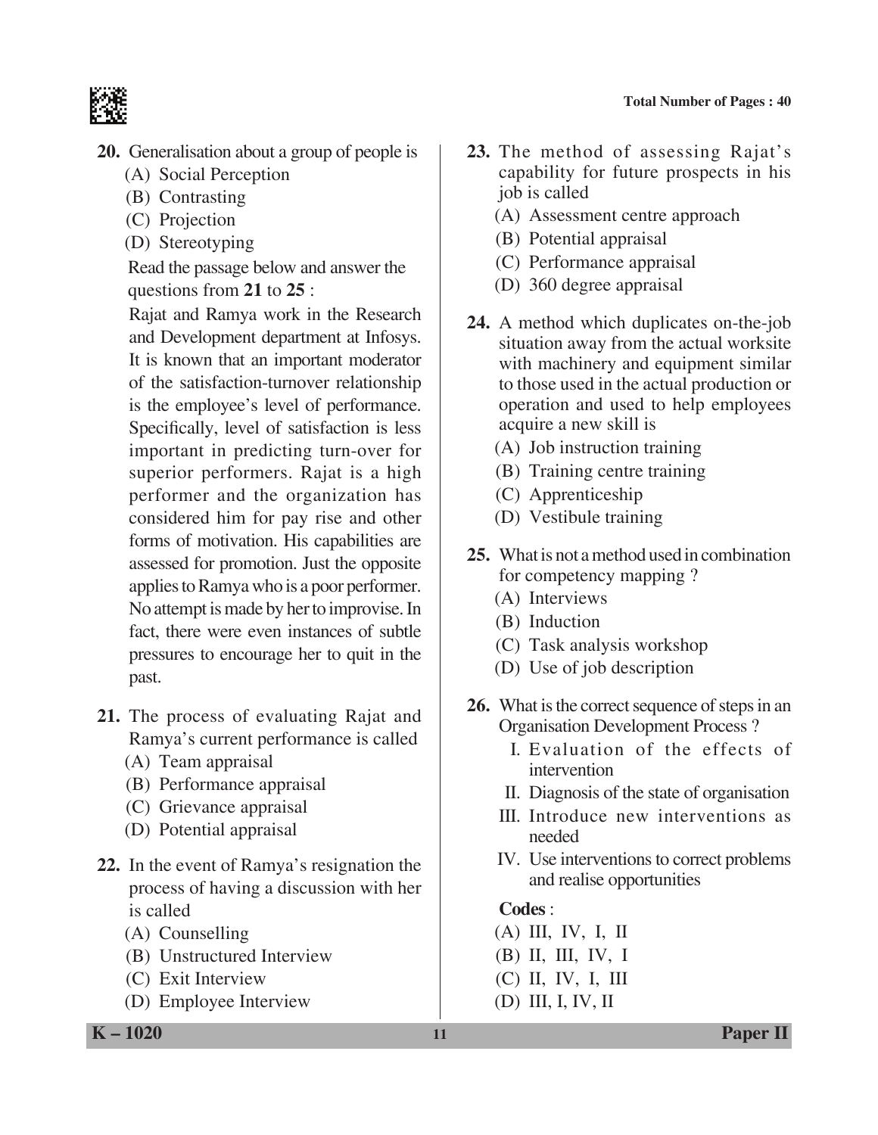

- **20.** Generalisation about a group of people is
	- (A) Social Perception
	- (B) Contrasting
	- (C) Projection
	- (D) Stereotyping

 Read the passage below and answer the questions from **21** to **25** :

 Rajat and Ramya work in the Research and Development department at Infosys. It is known that an important moderator of the satisfaction-turnover relationship is the employee's level of performance. Specifically, level of satisfaction is less important in predicting turn-over for superior performers. Rajat is a high performer and the organization has considered him for pay rise and other forms of motivation. His capabilities are assessed for promotion. Just the opposite applies to Ramya who is a poor performer. No attempt is made by her to improvise. In fact, there were even instances of subtle pressures to encourage her to quit in the past.

- **21.** The process of evaluating Rajat and Ramya's current performance is called
	- (A) Team appraisal
	- (B) Performance appraisal
	- (C) Grievance appraisal
	- (D) Potential appraisal
- **22.** In the event of Ramya's resignation the process of having a discussion with her is called
	- (A) Counselling
	- (B) Unstructured Interview
	- (C) Exit Interview
	- (D) Employee Interview
- **23.** The method of assessing Rajat's capability for future prospects in his job is called
	- (A) Assessment centre approach
	- (B) Potential appraisal
	- (C) Performance appraisal
	- (D) 360 degree appraisal
- **24.** A method which duplicates on-the-job situation away from the actual worksite with machinery and equipment similar to those used in the actual production or operation and used to help employees acquire a new skill is
	- (A) Job instruction training
	- (B) Training centre training
	- (C) Apprenticeship
	- (D) Vestibule training
- **25.** What is not a method used in combination for competency mapping ?
	- (A) Interviews
	- (B) Induction
	- (C) Task analysis workshop
	- (D) Use of job description
- **26.** What is the correct sequence of steps in an Organisation Development Process ?
	- I. Evaluation of the effects of intervention
	- II. Diagnosis of the state of organisation
	- III. Introduce new interventions as needed
	- IV. Use interventions to correct problems and realise opportunities

# **Codes** :

- (A) III, IV, I, II
- (B) II, III, IV, I
- (C) II, IV, I, III
- (D) III, I, IV, II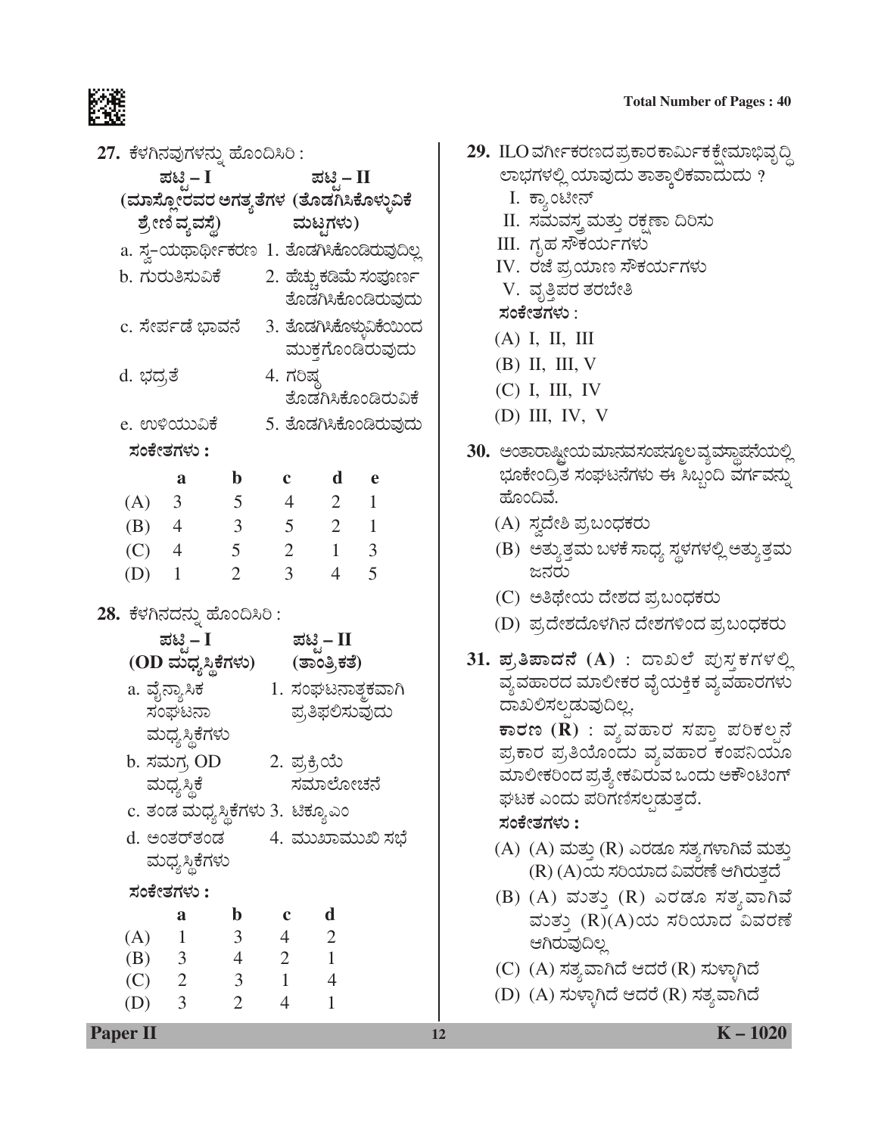#### **Total Number of Pages : 40**



| 27. ಕೆಳಗಿನವುಗಳನ್ನು ಹೊಂದಿಸಿರಿ : |                         |                |                                                |                    |  |
|--------------------------------|-------------------------|----------------|------------------------------------------------|--------------------|--|
|                                | ಪಟಿ – I                 |                |                                                | ಪಟಿ – II           |  |
|                                |                         |                | (ಮಾಸ್ಲೋರವರ ಅಗತ್ಯತೆಗಳ (ತೊಡಗಿಸಿಕೊಳ್ಳುವಿಕೆ        |                    |  |
|                                | ಶ್ರೇಣಿ ವ್ಯವಸ್ಥೆ)        |                | ಮಟ್ಟಗಳು)                                       |                    |  |
|                                |                         |                | a. ಸ್ವ-ಯಥಾರ್ಥೀಕರಣ 1. ತೊಡಗಿಸಿಕೊಂಡಿರುವುದಿಲ್ಲ     |                    |  |
|                                |                         |                | b. ಗುರುತಿಸುವಿಕೆ         2. ಹೆಚ್ಚುಕಡಿಮೆ ಸಂಪೂರ್ಣ | ತೊಡಗಿಸಿಕೊಂಡಿರುವುದು |  |
|                                |                         |                | c. ಸೇರ್ಪಡೆ ಭಾವನೆ     3. ತೊಡಗಿಸಿಕೊಳ್ಳುವಿಕೆಯಿಂದ  | ಮುಕ್ತಗೊಂಡಿರುವುದು   |  |
| d. ಭದ್ರತೆ                      |                         |                | 4. ಗರಿಷ್ಠ                                      | ತೊಡಗಿಸಿಕೊಂಡಿರುವಿಕೆ |  |
|                                | e. ಉಳಿಯುವಿಕೆ            |                | 5. ತೊಡಗಿಸಿಕೊಂಡಿರುವುದು                          |                    |  |
|                                | ಸಂಕೇತಗಳು :              |                |                                                |                    |  |
|                                | a                       | $\mathbf{b}$   |                                                | c d e              |  |
|                                |                         |                | (A) 3 5 4 2 1                                  |                    |  |
|                                |                         |                | (B) 4 3 5 2 1                                  |                    |  |
|                                | (C) 4 5                 |                |                                                | $2 \t1 \t3$        |  |
| $(D)$ 1                        |                         | $\overline{2}$ | $\overline{3}$                                 | $4\quad 5$         |  |
| 28. ಕೆಳಗಿನದನ್ನು ಹೊಂದಿಸಿರಿ :    |                         |                |                                                |                    |  |
|                                | ಪಟ್ಟಿ – I               |                |                                                | ಪಟಿಸ – II          |  |
|                                |                         |                | (OD ಮಧ್ಯಸ್ಥಿಕೆಗಳು) (ತಾಂತ್ರಿಕತೆ)                |                    |  |
|                                | a. ವೈನ್ಯಾಸಿಕ            |                | 1. ಸಂಘಟನಾತ್ಮಕವಾಗಿ                              |                    |  |
|                                | ಸಂಘಟನಾ                  |                |                                                | ಪ್ರತಿಫಲಿಸುವುದು     |  |
|                                | ಮಧ್ಯಸ್ಥಿಕೆಗಳು           |                |                                                |                    |  |
|                                | b. ಸಮಗ್ರ OD             |                | 2. ಪ್ರಕ್ರಿಯೆ                                   |                    |  |
|                                | ಮಧ್ಯಸ್ಥಿಕೆ              |                |                                                | ಸಮಾಲೋಚನೆ           |  |
|                                |                         |                | c. ತಂಡ ಮಧ್ಯಸ್ಥಿಕೆಗಳು 3.  ಟಿಕ್ಯೂಎಂ              |                    |  |
|                                |                         |                | d. ಅಂತರ್ತಂಡ         4. ಮುಖಾಮುಖಿ ಸಭೆ            |                    |  |
|                                | ಮಧ್ಯಸ್ಥಿಕೆಗಳು           |                |                                                |                    |  |
|                                | ಸಂಕೇತಗಳು :              |                |                                                |                    |  |
|                                | a                       | $\mathbf b$    | $\mathbf c$                                    | d                  |  |
| (A)                            | $\overline{1}$<br>(B) 3 | 3 <sup>1</sup> | $\overline{4}$<br>$4 \quad 2 \quad 1$          | $\overline{2}$     |  |
| $(C)$ 2                        |                         | 3 <sup>7</sup> | $\overline{1}$                                 | $\overline{4}$     |  |
| $(D)$ 3                        |                         | $\overline{2}$ | $\overline{4}$                                 | $\mathbf{1}$       |  |

- 29. ILO ವರ್ಗೀಕರಣದ ಪ್ರಕಾರ ಕಾರ್ಮಿಕ ಕ್ಷೇಮಾಭಿವೃದ್ಧಿ ಲಾಭಗಳಲ್ಲಿ ಯಾವುದು ತಾತ್ಕಾಲಿಕವಾದುದು ?
	- I. ಕ್ಯಾಂಟೀನ್
	- II. ಸಮವಸ್ತ್ರಮತ್ತು ರಕ್ಷಣಾ ದಿರಿಸು
	- III. ಗೃಹ ಸೌಕರ್ಯಗಳು
	- IV. ರಜೆ ಪ್ರಯಾಣ ಸೌಕರ್ಯಗಳು
	- V. ವೃತ್ತಿಪರ ತರಬೇತಿ
	- **ÓÜíPæàñÜWÜÙÜá** :
	- (A) I, II, III
	- (B) II, III, V
	- (C) I, III, IV
	- (D) III, IV, V
- 30. ಅಂತಾರಾಷ್ಟೀಯ ಮಾನವ ಸಂಪನ್ಮೂಲ ವ್ಯವಸ್ಥಾಪನೆಯಲ್ಲಿ ಭೂಕೇಂದ್ರಿತ ಸಂಘಟನೆಗಳು ಈ ಸಿಬ್ಬಂದಿ ವರ್ಗವನ್ನು ಹೊಂದಿವೆ.
	- (A) ಸ್ವದೇಶಿ ಪ್ರಬಂಧಕರು
	- (B) ಅತ್ಯುತ್ತಮ ಬಳಕೆ ಸಾಧ್ಯ ಸ್ಥಳಗಳಲ್ಲಿ ಅತ್ಯುತ್ತಮ ಜನರು
	- (C) ಅತಿಥೇಯ ದೇಶದ ಪ್ರಬಂಧಕರು
	- (D) ಪ್ರದೇಶದೊಳಗಿನ ದೇಶಗಳಿಂದ ಪ್ರಬಂಧಕರು
- $31.$  **ಪ್ರತಿಪಾದನೆ (A)** : ದಾಖಲೆ ಪುಸ್ತಕಗಳಲ್ಲಿ ವ್ಯವಹಾರದ ಮಾಲೀಕರ ವೈಯಕ್ತಿಕ ವ್ಯವಹಾರಗಳು ದಾಖಲಿಸಲ್ಪಡುವುದಿಲ್ಲ.  $\overline{\textbf{F}}$ ರಣ ( $\widetilde{\textbf{R}}$ ) : ವ್ಯವಹಾರ ಸಪ್ತಾ ಪರಿಕಲ್ಪನೆ ಪ್ರಕಾರ ಪ್ರತಿಯೊಂದು ವ್ಯವಹಾರ ಕಂಪನಿಯೂ ಮಾಲೀಕರಿಂದ ಪ್ರತ್ಯೇಕವಿರುವ ಒಂದು ಅಕೌಂಟಿಂಗ್ ಘಟಕ ಎಂದು ಪರಿಗಣಿಸಲಡುತ್ತದೆ. **ÓÜíPæàñÜWÜÙÜá :**
	- (A) (A) ಮತ್ತು (R) ಎರಡೂ ಸತ್ಯಗಳಾಗಿವೆ ಮತ್ತು  $(R)$   $(A)$ ಯ ಸರಿಯಾದ ವಿವರಣೆ ಆಗಿರುತ್ತದೆ
	- (B) (A) ಮತ್ತು (R) ಎರಡೂ ಸತ್ತವಾಗಿವೆ ವುತ್ತು (R)(A)ಯ ಸರಿಯಾದ ವಿವರಣೆ ಆಗಿರುವುದಿಲ್ಲ
	- (C) (A) ಸತ್ಯವಾಗಿದೆ ಆದರೆ (R) ಸುಳ್ಳಾಗಿದೆ
	- (D) (A) ಸುಳ್ಳಾಗಿದೆ ಆದರೆ (R) ಸತ್ಯವಾಗಿದೆ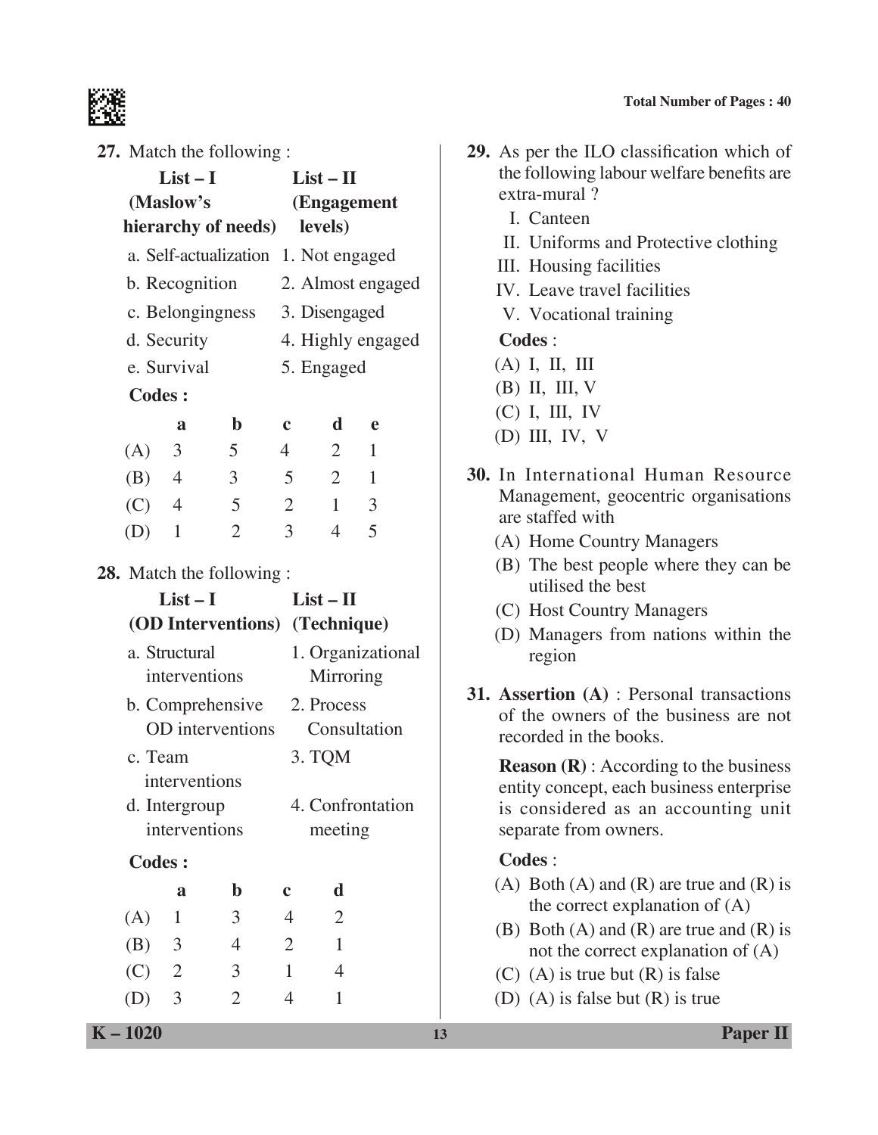

| 27. Match the following : |  |  |
|---------------------------|--|--|
|                           |  |  |

| $\angle t$ . Match the following.                                     |                                  |                                |                                | <b>29.</b> As per the TLO classification which of                                                                                  |
|-----------------------------------------------------------------------|----------------------------------|--------------------------------|--------------------------------|------------------------------------------------------------------------------------------------------------------------------------|
| $List-I$                                                              |                                  | $List - II$                    |                                | the following labour welfare benefits are                                                                                          |
| (Maslow's                                                             |                                  | (Engagement                    |                                | extra-mural?<br>I. Canteen                                                                                                         |
| hierarchy of needs)                                                   |                                  | levels)                        |                                | II. Uniforms and Protective clothing                                                                                               |
| a. Self-actualization 1. Not engaged                                  |                                  |                                |                                | III. Housing facilities                                                                                                            |
| b. Recognition                                                        |                                  |                                | 2. Almost engaged              | IV. Leave travel facilities                                                                                                        |
| c. Belongingness                                                      |                                  | 3. Disengaged                  |                                | V. Vocational training                                                                                                             |
| d. Security                                                           |                                  |                                | 4. Highly engaged              | Codes :                                                                                                                            |
| e. Survival                                                           |                                  | 5. Engaged                     |                                | $(A)$ I, II, III                                                                                                                   |
| <b>Codes:</b>                                                         |                                  |                                |                                | $(B)$ II, III, V                                                                                                                   |
| $\mathbf b$<br>a                                                      | $\mathbf c$                      | d                              | $\mathbf e$                    | $(C)$ I, III, IV                                                                                                                   |
| 5<br>$\mathfrak{Z}$<br>(A)                                            | $\overline{4}$                   | $\overline{2}$                 | $\mathbf{1}$                   | $(D)$ III, IV, V                                                                                                                   |
| 3 <sup>1</sup><br>(B)<br>$\overline{4}$<br>5<br>(C)<br>$\overline{4}$ | $\mathfrak{S}$<br>$\overline{2}$ | $\overline{2}$<br>$\mathbf{1}$ | $\mathbf{1}$<br>$\overline{3}$ | 30. In International Human Resource<br>Management, geocentric organisations                                                        |
| $\overline{2}$<br>(D)<br>$\mathbf{1}$                                 | $\overline{3}$                   | $\overline{4}$                 | 5                              | are staffed with                                                                                                                   |
|                                                                       |                                  |                                |                                | (A) Home Country Managers                                                                                                          |
| <b>28.</b> Match the following :<br>$List-I$                          |                                  | $List - II$                    |                                | (B) The best people where they can be<br>utilised the best                                                                         |
| (OD Interventions) (Technique)                                        |                                  |                                |                                | (C) Host Country Managers                                                                                                          |
| a. Structural<br>interventions                                        |                                  | Mirroring                      | 1. Organizational              | (D) Managers from nations within the<br>region                                                                                     |
| b. Comprehensive<br>OD interventions                                  |                                  | 2. Process                     | Consultation                   | 31. Assertion (A) : Personal transactions<br>of the owners of the business are not<br>recorded in the books.                       |
| c. Team<br>interventions<br>d. Intergroup                             |                                  | 3. TQM                         | 4. Confrontation               | <b>Reason</b> $(R)$ : According to the business<br>entity concept, each business enterprise<br>is considered as an accounting unit |
| interventions                                                         |                                  | meeting                        |                                | separate from owners.                                                                                                              |
| Codes:                                                                |                                  |                                |                                | Codes:                                                                                                                             |
| $\mathbf b$<br>a                                                      | $\mathbf c$                      | d                              |                                | (A) Both (A) and (R) are true and (R) is<br>the correct explanation of $(A)$                                                       |
| 3<br>(A)<br>$\mathbf{1}$                                              | $\overline{4}$                   | $\overline{2}$                 |                                | (B) Both $(A)$ and $(R)$ are true and $(R)$ is                                                                                     |
| (B)<br>3<br>$\overline{4}$                                            | $\overline{2}$                   | $\mathbf{1}$                   |                                | not the correct explanation of (A)                                                                                                 |
| 3<br>(C)<br>$\overline{2}$                                            | $\mathbf{1}$                     | $\overline{4}$                 |                                | $(C)$ (A) is true but $(R)$ is false                                                                                               |
| $\overline{2}$<br>3<br>(D)                                            | $\overline{4}$                   | $\mathbf{1}$                   |                                | (D) (A) is false but $(R)$ is true                                                                                                 |
| $K - 1020$                                                            |                                  |                                |                                | <b>Paper II</b><br>13                                                                                                              |

- **29.** As per the ILO classification which of the following labour welfare benefits are extra-mural ?
	- I. Canteen
	- II. Uniforms and Protective clothing
	- III. Housing facilities
	- IV. Leave travel facilities
	- V. Vocational training

#### **Codes** :

- (A) I, II, III
- (B) II, III, V
- (C) I, III, IV
- (D) III, IV, V
- **30.** In International Human Resource Management, geocentric organisations are staffed with
	- (A) Home Country Managers
	- (B) The best people where they can be utilised the best
	- (C) Host Country Managers
	- (D) Managers from nations within the region
- **31. Assertion (A)** : Personal transactions of the owners of the business are not recorded in the books.

# **Codes** :

- (A) Both (A) and (R) are true and (R) is the correct explanation of (A)
- (B) Both (A) and (R) are true and (R) is not the correct explanation of (A)
- (C) (A) is true but  $(R)$  is false
- (D) (A) is false but (R) is true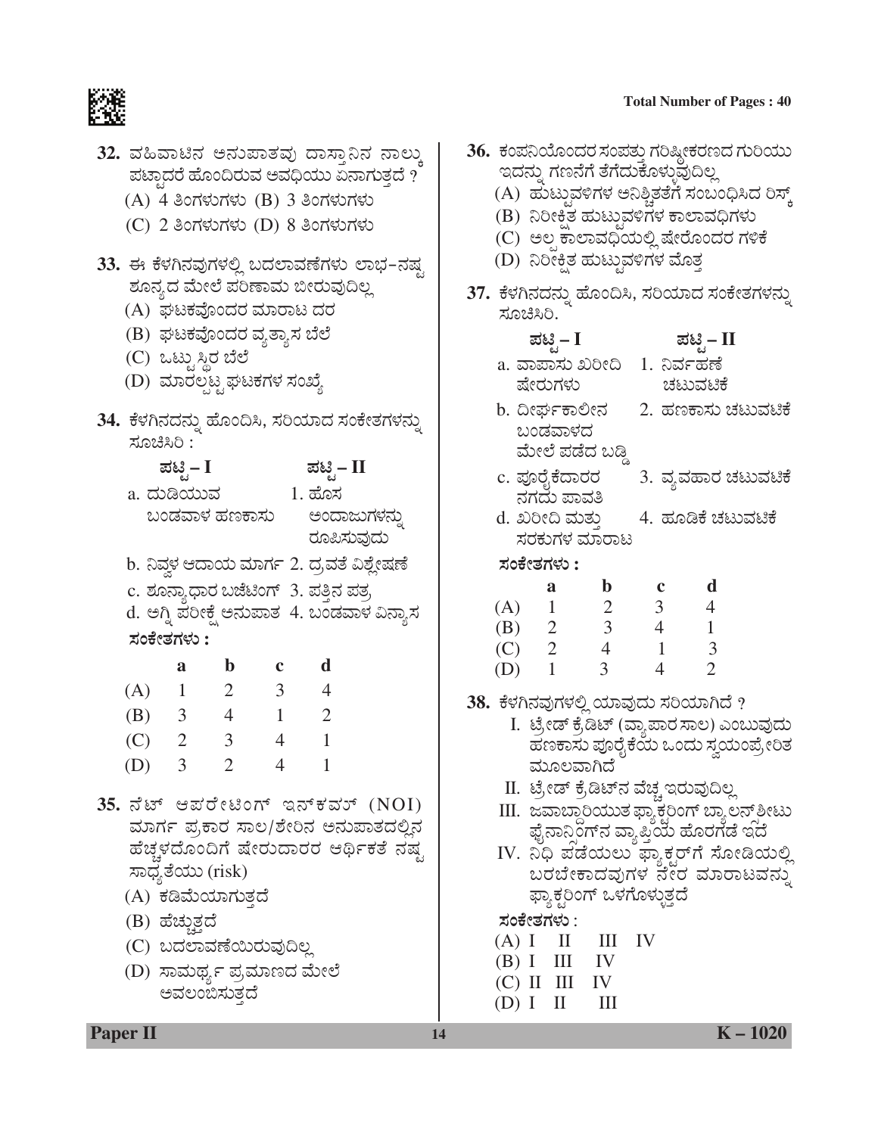

|                                                                                                                                                                                                                                                          |                                       |                |                          | 32. ವಹಿವಾಟಿನ ಅನುಪಾತವು ದಾಸ್ತಾನಿನ ನಾಲ್ಕು<br>ಪಟ್ಟಾದರೆ ಹೊಂದಿರುವ ಅವಧಿಯು ಏನಾಗುತ್ತದೆ $\overline{r}$<br>(A) 4 ತಿಂಗಳುಗಳು (B) 3 ತಿಂಗಳುಗಳು<br>(C) 2 ತಿಂಗಳುಗಳು (D) 8 ತಿಂಗಳುಗಳು                                                  |  |  |  |
|----------------------------------------------------------------------------------------------------------------------------------------------------------------------------------------------------------------------------------------------------------|---------------------------------------|----------------|--------------------------|---------------------------------------------------------------------------------------------------------------------------------------------------------------------------------------------------------------------|--|--|--|
| 33. ಈ ಕೆಳಗಿನವುಗಳಲ್ಲಿ ಬದಲಾವಣೆಗಳು ಲಾಭ-ನಷ್ಟ<br>ಶೂನ್ಯದ ಮೇಲೆ ಪರಿಣಾಮ ಬೀರುವುದಿಲ್ಲ<br>(A) ಘಟಕವೊಂದರ ಮಾರಾಟ ದರ<br>(B)  ಘಟಕವೊಂದರ ವ್ಯತ್ಯಾಸ ಬೆಲೆ<br>(C) ಒಟ್ಟುಸ್ಥಿರ ಬೆಲೆ<br>(D) ಮಾರಲ್ಪಟ್ಟ ಘಟಕಗಳ ಸಂಖ್ಯೆ                                                                  |                                       |                |                          |                                                                                                                                                                                                                     |  |  |  |
|                                                                                                                                                                                                                                                          | ಸೂಚಿಸಿರಿ :                            |                |                          | 34.  ಕೆಳಗಿನದನ್ನು ಹೊಂದಿಸಿ, ಸರಿಯಾದ ಸಂಕೇತಗಳನ್ನು                                                                                                                                                                        |  |  |  |
|                                                                                                                                                                                                                                                          | ಪಟ್ಟಿ – I<br>a. ದುಡಿಯುವ<br>ಸಂಕೇತಗಳು : |                |                          | ಪಟ್ಟಿ – II<br>$1.$ ಹೊಸ<br>ಬಂಡವಾಳ ಹಣಕಾಸು ಅಂದಾಜು <mark>ಗ</mark> ಳನ್ನು<br>ರೂಪಿಸುವುದು<br>b. ನಿವ್ದಳ ಆದಾಯ ಮಾರ್ಗ 2. ದ್ರವತೆ ವಿಶ್ಲೇಷಣೆ<br>c. ಶೂನ್ಯಾಧಾರ ಬಜೆಟಿಂಗ್ 3. ಪತ್ತಿನ ಪತ್ರ<br>d. ಅಗ್ನಿ ಪರೀಕ್ಷೆ ಅನುಪಾತ  4. ಬಂಡವಾಳ ವಿನ್ಯಾಸ |  |  |  |
|                                                                                                                                                                                                                                                          | a                                     | $\mathbf b$    | $\mathbf c$              | $\mathbf d$                                                                                                                                                                                                         |  |  |  |
|                                                                                                                                                                                                                                                          | $(A)$ 1 2                             |                | $\overline{\mathbf{3}}$  | $\overline{4}$                                                                                                                                                                                                      |  |  |  |
|                                                                                                                                                                                                                                                          | (B) $3 \t 4$                          |                | $\overline{\phantom{0}}$ | $\overline{\phantom{0}}^2$                                                                                                                                                                                          |  |  |  |
|                                                                                                                                                                                                                                                          | $(C)$ 2 3                             |                |                          | $4 \quad 1$                                                                                                                                                                                                         |  |  |  |
| (D)                                                                                                                                                                                                                                                      | $\overline{\mathbf{3}}$               | $\overline{c}$ | 4                        | $\mathbf{1}$                                                                                                                                                                                                        |  |  |  |
| $35.5$ ಸೆಟ್ ಆಪರೇಟಿಂಗ್ ಇನ್ಕೆವರ್ $(NOI)$<br>ಮಾರ್ಗ ಪ್ರಕಾರ ಸಾಲ/ಶೇರಿನ ಅನುಪಾತದಲ್ಲಿನ<br>ಹೆಚ್ಚಳದೊಂದಿಗೆ ಷೇರುದಾರರ ಆರ್ಥಿಕತೆ ನಷ್ಟ<br>ಸಾಧ್ಯತೆಯು (risk)<br>(A) ಕಡಿಮೆಯಾಗುತ್ತದೆ<br>(B) ಹೆಚ್ಚುತ್ತದೆ<br>(C) ಬದಲಾವಣೆಯಿರುವುದಿಲ್ಲ<br>(D) ಸಾಮರ್ಥ್ಯ ಪ್ರಮಾಣದ ಮೇಲೆ<br>ಅವಲಂಬಿಸುತದೆ |                                       |                |                          |                                                                                                                                                                                                                     |  |  |  |

|                                                                                         |                  |                                 |                                     |                |                |                                        | 36.  ಕಂಪನಿಯೊಂದರ ಸಂಪತ್ತು ಗರಿಷ್ಠೀಕರಣದ ಗುರಿಯು                                                                                                                      |  |
|-----------------------------------------------------------------------------------------|------------------|---------------------------------|-------------------------------------|----------------|----------------|----------------------------------------|-----------------------------------------------------------------------------------------------------------------------------------------------------------------|--|
|                                                                                         |                  |                                 | ಇದನ್ನು ಗಣನೆಗೆ ತೆಗೆದುಕೊಳ್ಳುವುದಿಲ್ಲ   |                |                |                                        |                                                                                                                                                                 |  |
|                                                                                         |                  |                                 |                                     |                |                |                                        |                                                                                                                                                                 |  |
| (A)  ಹುಟ್ತುವಳಿಗಳ ಅನಿಶ್ಚಿತತೆಗೆ ಸಂಬಂಧಿಸಿದ ರಿಸ್ಕ್<br>(B)  ನಿರೀಕ್ಷಿತ ಹುಟ್ಟುವಳಿಗಳ ಕಾಲಾವಧಿಗಳು |                  |                                 |                                     |                |                |                                        |                                                                                                                                                                 |  |
|                                                                                         |                  |                                 |                                     |                |                | (C)  ಅಲ್ಪ ಕಾಲಾವಧಿಯಲ್ಲಿ ಷೇರೊಂದರ ಗಳಿಕೆ   |                                                                                                                                                                 |  |
|                                                                                         |                  |                                 | (D) ನಿರೀಕ್ಷಿತ ಹುಟ್ಟುವಳಿಗಳ ಮೊತ್ತ     |                |                |                                        |                                                                                                                                                                 |  |
|                                                                                         |                  |                                 |                                     |                |                |                                        | 37.  ಕೆಳಗಿನದನ್ನು ಹೊಂದಿಸಿ, ಸರಿಯಾದ ಸಂಕೇತಗಳನ್ನು                                                                                                                    |  |
|                                                                                         | ಸೂಚಿಸಿರಿ.        |                                 |                                     |                |                |                                        |                                                                                                                                                                 |  |
|                                                                                         | ಪಟ್ಟಿ – I        |                                 |                                     |                |                | ಪಟ್ಟಿ – II                             |                                                                                                                                                                 |  |
|                                                                                         |                  |                                 | a. ವಾಪಾಸು ಖರೀದಿ                     |                | 1. ನಿರ್ವಹಣೆ    |                                        |                                                                                                                                                                 |  |
|                                                                                         | ಷೇರುಗಳು          |                                 |                                     |                |                | ಚಟುವಟಿಕೆ                               |                                                                                                                                                                 |  |
|                                                                                         |                  | b. ದೀರ್ಘಕಾಲೀನ                   |                                     |                |                |                                        | 2. ಹಣಕಾಸು ಚಟುವಟಿಕೆ                                                                                                                                              |  |
|                                                                                         |                  | ಬಂಡವಾಳದ                         |                                     |                |                |                                        |                                                                                                                                                                 |  |
|                                                                                         |                  |                                 | <mark>ಮೇಲೆ ಪಡೆದ ಬಡ್ಡಿ</mark>        |                |                |                                        |                                                                                                                                                                 |  |
|                                                                                         |                  | c. ಪೂರೈಕೆದಾರರ                   |                                     |                |                |                                        | 3. ವ್ಯವಹಾರ ಚಟುವಟಿಕೆ                                                                                                                                             |  |
|                                                                                         |                  | ನಗದು ಪಾವತಿ                      |                                     |                |                |                                        |                                                                                                                                                                 |  |
|                                                                                         |                  | d. ಖರೀದಿ ಮತು                    |                                     |                |                |                                        | 4. ಹೂಡಿಕೆ ಚಟುವಟಿಕೆ                                                                                                                                              |  |
|                                                                                         |                  |                                 | ಸರಕುಗಳ ಮಾರಾಟ                        |                |                |                                        |                                                                                                                                                                 |  |
| ಸಂಕೇತಗಳು :                                                                              |                  |                                 |                                     |                |                |                                        |                                                                                                                                                                 |  |
|                                                                                         |                  |                                 |                                     |                |                |                                        |                                                                                                                                                                 |  |
|                                                                                         | a                |                                 | $\mathbf b$                         | $\mathbf{c}$   |                | d                                      |                                                                                                                                                                 |  |
|                                                                                         | $(A)$ 1          |                                 | $\overline{2}$                      | $\overline{3}$ |                | $\overline{4}$                         |                                                                                                                                                                 |  |
|                                                                                         | (B) 2            |                                 | $\overline{3}$                      | $\overline{4}$ |                | $\mathbf{1}$                           |                                                                                                                                                                 |  |
|                                                                                         | $\overline{C}$ 2 |                                 | $\overline{4}$                      |                | $\mathbf{1}$   | $\overline{3}$                         |                                                                                                                                                                 |  |
|                                                                                         | $(D)$ 1          |                                 | $\mathfrak{Z}$                      |                | $\overline{4}$ | $\overline{2}$                         |                                                                                                                                                                 |  |
|                                                                                         |                  |                                 |                                     |                |                |                                        |                                                                                                                                                                 |  |
|                                                                                         |                  |                                 |                                     |                |                | 38. ಕೆಳಗಿನವುಗಳಲ್ಲಿ ಯಾವುದು ಸರಿಯಾಗಿದೆ ?  |                                                                                                                                                                 |  |
|                                                                                         |                  |                                 |                                     |                |                |                                        | I. ಟ್ರೇಡ್ ಕ್ರೆಡಿಟ್ (ವ್ಯಾಪಾರ ಸಾಲ) ಎಂಬುವುದು                                                                                                                       |  |
|                                                                                         |                  | ಮೂಲವಾಗಿದೆ                       |                                     |                |                |                                        | ಹಣಕಾಸು ಪೂರೈಕೆಯ ಒಂದು ಸ್ವಯಂಪ್ರೇರಿತ                                                                                                                                |  |
|                                                                                         |                  |                                 |                                     |                |                |                                        |                                                                                                                                                                 |  |
|                                                                                         |                  |                                 |                                     |                |                | II.  ಟ್ರೇಡ್ ಕ್ರೆಡಿಟ್ನ ವೆಚ್ಚ ಇರುವುದಿಲ್ಲ |                                                                                                                                                                 |  |
|                                                                                         |                  |                                 |                                     |                |                |                                        |                                                                                                                                                                 |  |
|                                                                                         |                  |                                 |                                     |                |                |                                        |                                                                                                                                                                 |  |
|                                                                                         |                  |                                 |                                     |                |                |                                        | –<br>III. ಜವಾಬ್ದಾರಿಯುತ ಫ್ಯಾಕ್ಟರಿಂಗ್ ಬ್ಯಾಲನ್ಸ್ ಶೀಟು<br>ಫೈನಾನ್ಸಿಂಗ್ ನ ವ್ಯಾಪ್ತಿಯ ಹೊರಗಡೆ ಇದೆ<br>IV. ನಿಧಿ ಪಡೆಯಲು ಫ್ಯಾಕ್ಟರ್ಗೆ ಸೋಡಿಯಲ್ಲಿ<br>ಬರಬೇಕಾದವುಗಳ ನೇರ ಮಾರಾಟವನ್ನು |  |
|                                                                                         |                  |                                 | ಫ್ಯಾಕ್ಟರಿಂಗ್ ಒಳಗೊಳ್ಳುತ್ತದೆ          |                |                |                                        |                                                                                                                                                                 |  |
|                                                                                         | ಸಂಕೇತಗಳು :       |                                 |                                     |                |                |                                        |                                                                                                                                                                 |  |
|                                                                                         |                  |                                 | $(A) I \quad II \quad III \quad IV$ |                |                |                                        |                                                                                                                                                                 |  |
|                                                                                         |                  | (B) I III IV                    |                                     |                |                |                                        |                                                                                                                                                                 |  |
|                                                                                         |                  | $(C)$ II III IV<br>(D) I II III |                                     |                |                |                                        |                                                                                                                                                                 |  |

Paper II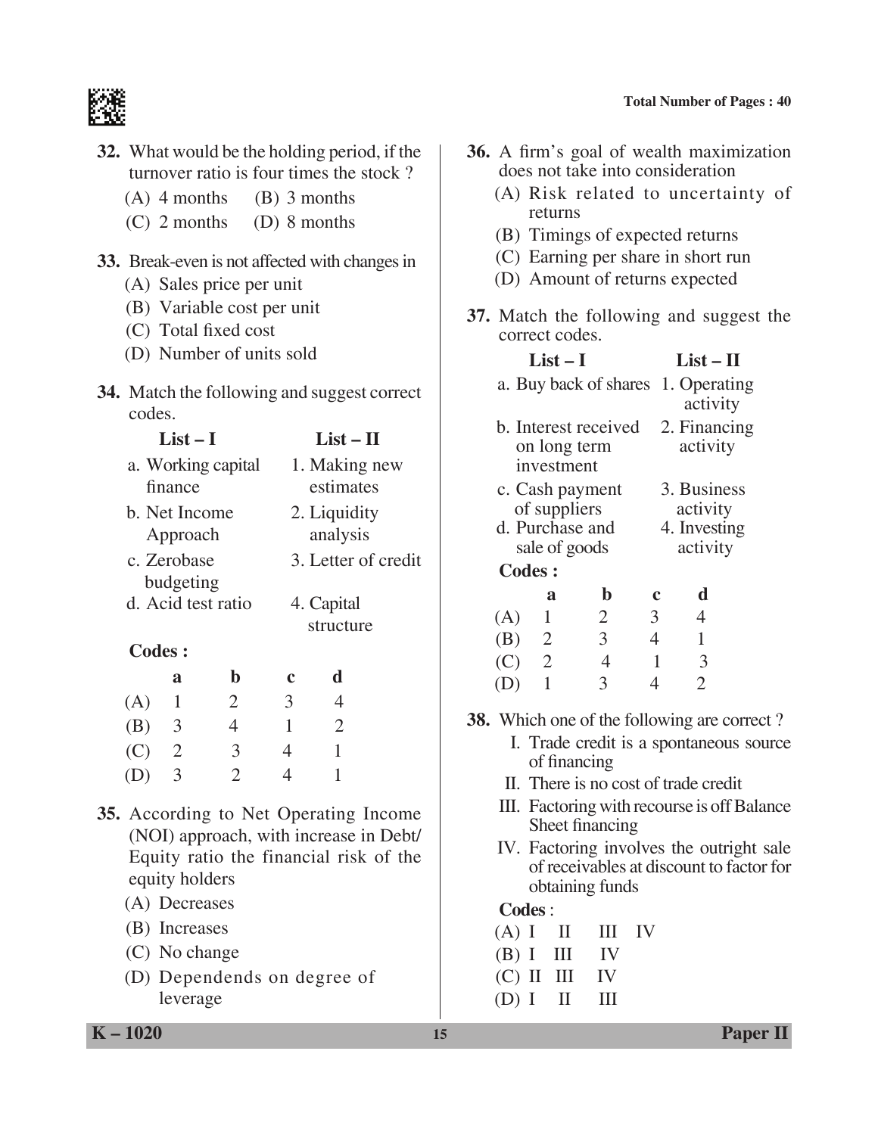

- **32.** What would be the holding period, if the turnover ratio is four times the stock ?
	- (A) 4 months (B) 3 months
	- (C) 2 months (D) 8 months

#### **33.** Break-even is not affected with changes in

- (A) Sales price per unit
- (B) Variable cost per unit
- (C) Total fixed cost
- (D) Number of units sold
- **34.** Match the following and suggest correct codes.
	- $List I$   $List II$ a. Working capital 1. Making new finance estimates b. Net Income 2. Liquidity Approach analysis c. Zerobase 3. Letter of credit budgeting d. Acid test ratio 4. Capital structure

#### **Codes :**

|     | a              | Ŋ              | $\mathbf c$ | d |
|-----|----------------|----------------|-------------|---|
| (A) | $\mathbf{1}$   | $\overline{2}$ | 3           | 4 |
| (B) | -3             | $\overline{4}$ |             | 2 |
| (C) | $\overline{2}$ | 3              | 4           | 1 |
| (D) | 3              | $\mathcal{L}$  | 4           | 1 |

- **35.** According to Net Operating Income (NOI) approach, with increase in Debt/ Equity ratio the financial risk of the equity holders
	- (A) Decreases
	- (B) Increases
	- (C) No change
	- (D) Dependends on degree of leverage
- **36.** A firm's goal of wealth maximization does not take into consideration
	- (A) Risk related to uncertainty of returns
	- (B) Timings of expected returns
	- (C) Earning per share in short run
	- (D) Amount of returns expected
- **37.** Match the following and suggest the correct codes.

|                                                    |                                                         | $List - II$     |                |                         |                                                                                      |  |
|----------------------------------------------------|---------------------------------------------------------|-----------------|----------------|-------------------------|--------------------------------------------------------------------------------------|--|
|                                                    | a. Buy back of shares 1. Operating                      |                 |                | activity                |                                                                                      |  |
|                                                    | b. Interest received                                    |                 |                | 2. Financing            |                                                                                      |  |
|                                                    | on long term<br>investment                              |                 |                | activity                |                                                                                      |  |
|                                                    |                                                         |                 |                |                         |                                                                                      |  |
|                                                    | c. Cash payment<br>of suppliers                         |                 |                | 3. Business<br>activity |                                                                                      |  |
|                                                    | d. Purchase and                                         |                 |                | 4. Investing            |                                                                                      |  |
|                                                    | sale of goods                                           |                 |                | activity                |                                                                                      |  |
|                                                    | <b>Codes:</b>                                           |                 |                |                         |                                                                                      |  |
|                                                    | a                                                       | $\mathbf b$     | $\mathbf c$    | d                       |                                                                                      |  |
| (A)                                                | $\mathbf{1}$                                            | $\overline{2}$  | $\mathfrak{Z}$ | $\overline{4}$          |                                                                                      |  |
|                                                    | (B) 2                                                   | $\mathfrak{Z}$  | $\overline{4}$ | 1                       |                                                                                      |  |
|                                                    | $(C)$ 2                                                 | $\overline{4}$  | 1              | 3                       |                                                                                      |  |
| (D)                                                | 1                                                       | 3               | $\overline{4}$ | $\overline{2}$          |                                                                                      |  |
| <b>38.</b> Which one of the following are correct? |                                                         |                 |                |                         |                                                                                      |  |
|                                                    | I. Trade credit is a spontaneous source<br>of financing |                 |                |                         |                                                                                      |  |
|                                                    | II. There is no cost of trade credit                    |                 |                |                         |                                                                                      |  |
|                                                    |                                                         | Sheet financing |                |                         | III. Factoring with recourse is off Balance                                          |  |
|                                                    |                                                         |                 |                |                         | IV. Factoring involves the outright sale<br>of receivables at discount to factor for |  |

#### **Codes** :

 $(A)$  I II III IV  $(B)$  I III IV (C) II III IV

obtaining funds

 $(D) I \quad II \quad III$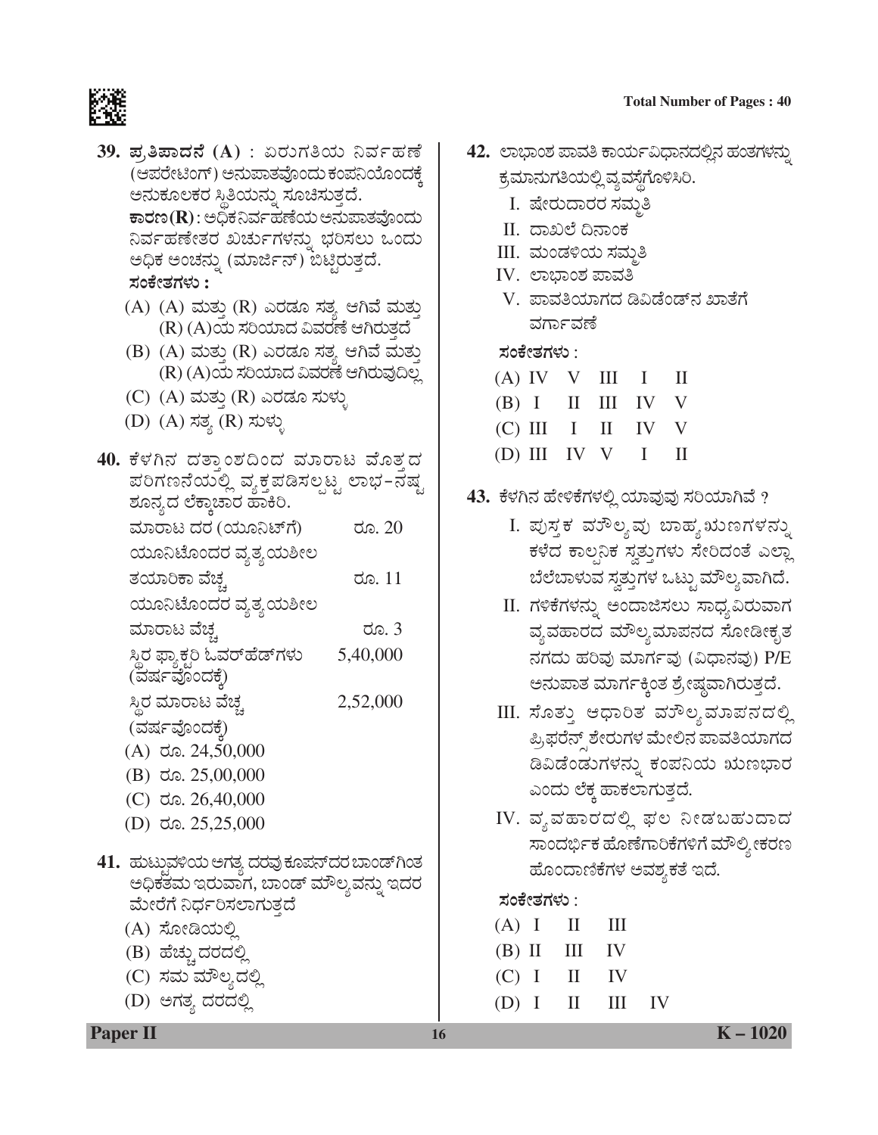#### **Total Number of Pages: 40**



- 39. ಪ,ತಿಪಾದನೆ (A) : ಏರುಗತಿಯ ನಿರ್ವಹಣೆ (ಆಪರೇಟಿಂಗ್) ಅನುಪಾತವೊಂದು ಕಂಪನಿಯೊಂದಕ್ಕೆ ಅನುಕೂಲಕರ ಸ್ಥಿತಿಯನ್ನು ಸೂಚಿಸುತ್ತದೆ.  $\overline{\mathtt{t}}$ ಾರಣ $(\mathbf{R})$ : ಅಧಿಕನಿರ್ವಹಣೆಯ ಅನುಪಾತವೊಂದು ನಿರ್ವಹಣೇತರ ಖರ್ಚುಗಳನ್ನು ಭರಿಸಲು ಒಂದು ಅಧಿಕ ಅಂಚನ್ನು (ಮಾರ್ಜಿನ್) ಬಿಟ್ತಿರುತ್ತದೆ. ಸಂಕೇತಗಳು :
	- (A) (A) ಮತ್ತು (R) ಎರಡೂ ಸತ್ಯ ಆಗಿವೆ ಮತ್ತು (R) (A)ಯ ಸರಿಯಾದ ವಿವರಣೆ ಆಗಿರುತ್ತದೆ
	- (B) (A) ಮತ್ತು (R) ಎರಡೂ ಸತ್ಯ ಆಗಿವೆ ಮತ್ತು (R) (A)ಯ ಸರಿಯಾದ ವಿವರಣೆ ಆಗಿರುವುದಿಲ್ಲ
	- (C) (A) ಮತ್ತು (R) ಎರಡೂ ಸುಳ್ಳು
	- (D) (A) ಸತ್ಯ (R) ಸುಳ್ಳು
- 40. ಕೆಳಗಿನ ದತ್ತಾಂಶದಿಂದ ಮಾರಾಟ ಮೊತ್ತದ ಪರಿಗಣನೆಯಲ್ಲಿ ವ್ಯಕ್ತಪಡಿಸಲ್ಪಟ್ಟ ಲಾಭ–ನಷ್ಟ ಶೂನ್ಯದ ಲೆಕ್ಕಾಚಾರ ಹಾಕಿರಿ. ಮಾರಾಟ ದರ (ಯೂನಿಟ್'ಗೆ) ರೂ. 20 ಯೂನಿಟೊಂದರ ವ್ಯತ್ಯಯಶೀಲ ತಯಾರಿಕಾ ವೆಚ್ಚ ರೂ. 11 ಯೂನಿಟೊಂದರ ವ್ಯತ್ಯಯಶೀಲ ಮಾರಾಟ ವೆಚ್ಚ ರೂ. 3 ಸ್ಥಿರ ಫ್ಯಾಕ್ಟರಿ ಓವರ್ಹೆಡ್ಗಳು 5,40,000 (ವರ್ಷವೊಂದಕೆ) 2,52,000 ಸ್ಥಿರ ಮಾರಾಟ ವೆಚ್ಚ (ವರ್ಷವೊಂದಕೆ)  $(A)$  do. 24,50,000  $(B)$  do. 25,00,000  $(C)$  ರೂ. 26,40,000 (D) ರೂ.  $25,25,000$ 41. ಹುಟ್ತುವಳಿಯ ಅಗತ್ಯ ದರವು ಕೂಪನ್*ದರ ಬಾಂಡ್* ಗಿಂತ ಅಧಿಕತಮ ಇರುವಾಗ, ಬಾಂಡ್ ಮೌಲ್ಯವನ್ನು ಇದರ ಮೇರೆಗೆ ನಿರ್ಧರಿಸಲಾಗುತ್ತದೆ (A) ಸೋಡಿಯಲ್ಲಿ
	- (B) ಹೆಚ್ಚು ದರದಲ್ಲಿ
	- (C) ಸಮ ಮೌಲ್ತದಲ್ಲಿ
	- (D) ಅಗತ್ಯ ದರದಲ್ಲಿ
- 42. ಲಾಭಾಂಶ ಪಾವತಿ ಕಾರ್ಯವಿಧಾನದಲ್ಲಿನ ಹಂತಗಳನ್ನು ಕ್ರಮಾನುಗತಿಯಲ್ಲಿ ವ್ಯವಸ್ಥೆಗೊಳಿಸಿರಿ.
	- I. ಷೇರುದಾರರ ಸಮ್ಮತಿ
	- II. ದಾಖಲೆ ದಿನಾಂಕ
	- III. ಮಂಡಳಿಯ ಸಮತಿ
	- IV. ಲಾಭಾಂಶ ಪಾವತಿ
	- V. ಪಾವತಿಯಾಗದ ಡಿವಿಡೆಂಡ್ನ ಖಾತೆಗೆ ವರ್ಗಾವಣೆ

#### ಸಂಕೇತಗಳು :

| (A) IV V III I II   |  |  |
|---------------------|--|--|
| $(B)$ I II III IV V |  |  |
| (C) III I II IV V   |  |  |
| (D) III IV V I II   |  |  |

- 43. ಕೆಳಗಿನ ಹೇಳಿಕೆಗಳಲ್ಲಿ ಯಾವುವು ಸರಿಯಾಗಿವೆ ?
	- I. ಪುಸ್ತಕ ವರೌಲ್ಯವು ಬಾಹ್ಯ ಋಣಗಳನ್ನು ಕಳೆದ ಕಾಲನಿಕ ಸ್ರತ್ತುಗಳು ಸೇರಿದಂತೆ ಎಲ್ಲಾ ಬೆಲೆಬಾಳುವ ಸ್ವತ್ತುಗಳ ಒಟ್ಟು ಮೌಲ್ಯವಾಗಿದೆ.
	- II. ಗಳಿಕೆಗಳನ್ನು ಅಂದಾಜಿಸಲು ಸಾಧ್ಯವಿರುವಾಗ ವ್ಯವಹಾರದ ಮೌಲ್ಯಮಾಪನದ ಸೋಡೀಕೃತ ನಗದು ಹರಿವು ಮಾರ್ಗವು (ವಿಧಾನವು) P/E ಅನುಪಾತ ಮಾರ್ಗಕ್ಕಿಂತ ಶ್ರೇಷ್ಠವಾಗಿರುತ್ತದೆ.
	- III. ಸೊತ್ತು ಆಧಾರಿತ ವುೌಲ್ಯಮಾಪನದಲ್ಲಿ ಪ್ರಿಫರೆನ್ಸ್ ಶೇರುಗಳ ಮೇಲಿನ ಪಾವತಿಯಾಗದ ಡಿವಿಡೆಂಡುಗಳನ್ನು ಕಂಪನಿಯ ಋಣಭಾರ ಎಂದು ಲೆಕ್ಕ ಹಾಕಲಾಗುತ್ತದೆ.
	- IV. ವ್ಯವಹಾರದಲ್ಲಿ ಫಲ ನೀಡಬಹುದಾದ ಸಾಂದರ್ಭಿಕ ಹೊಣೆಗಾರಿಕೆಗಳಿಗೆ ಮೌಲ್ಯೀಕರಣ ಹೊಂದಾಣಿಕೆಗಳ ಅವಶ್ಯಕತೆ ಇದೆ.

IV

ಸಂಕೇತಗಳು :

 $(A)$  I  $\mathbf{I}$ Ш  $(B)$  II  $III$ IV  $(C)$  I IV  $\rm{II}$  $III$  $(D)$  I  $\Pi$ 

**Paper II** 

 $K - 1020$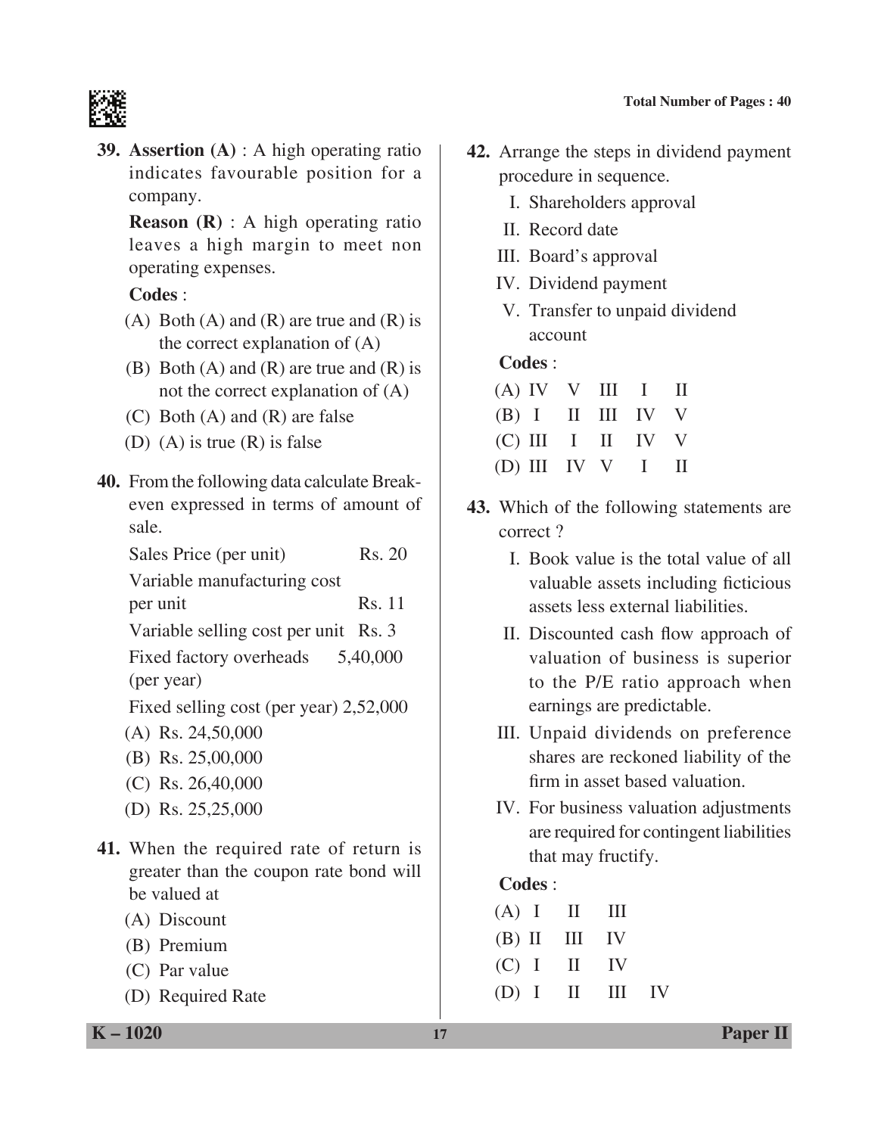

**39. Assertion (A)** : A high operating ratio indicates favourable position for a company.

 **Reason (R)** : A high operating ratio leaves a high margin to meet non operating expenses.

# **Codes** :

- (A) Both (A) and (R) are true and (R) is the correct explanation of (A)
- (B) Both  $(A)$  and  $(R)$  are true and  $(R)$  is not the correct explanation of (A)
- (C) Both (A) and (R) are false
- (D) (A) is true (R) is false
- **40.** From the following data calculate Breakeven expressed in terms of amount of sale.

| Sales Price (per unit)                 | Rs. 20 |
|----------------------------------------|--------|
| Variable manufacturing cost            |        |
| per unit                               | Rs. 11 |
| Variable selling cost per unit Rs. 3   |        |
| Fixed factory overheads 5,40,000       |        |
| (per year)                             |        |
| Fixed selling cost (per year) 2,52,000 |        |
| (A) Rs. $24,50,000$                    |        |
| $(B)$ Rs. 25,00,000                    |        |
| $(C)$ Rs. 26,40,000                    |        |
|                                        |        |

- (D) Rs. 25,25,000
- **41.** When the required rate of return is greater than the coupon rate bond will be valued at
	- (A) Discount
	- (B) Premium
	- (C) Par value
	- (D) Required Rate
- **42.** Arrange the steps in dividend payment procedure in sequence.
	- I. Shareholders approval
	- II. Record date
	- III. Board's approval
	- IV. Dividend payment
	- V. Transfer to unpaid dividend account

# **Codes** :

| $(A)$ IV V III I II |  |  |
|---------------------|--|--|
| $(B)$ I II III IV V |  |  |
| (C) III I II IV V   |  |  |
| (D) III IV V I II   |  |  |

- **43.** Which of the following statements are correct ?
	- I. Book value is the total value of all valuable assets including ficticious assets less external liabilities.
	- II. Discounted cash flow approach of valuation of business is superior to the P/E ratio approach when earnings are predictable.
	- III. Unpaid dividends on preference shares are reckoned liability of the firm in asset based valuation.
	- IV. For business valuation adjustments are required for contingent liabilities that may fructify.

# **Codes** :

| $(A)$ I II III    |  |  |
|-------------------|--|--|
| $(B)$ II III IV   |  |  |
| $(C)$ I II IV     |  |  |
| $(D)$ I II III IV |  |  |

**K – 1020 17 Paper II**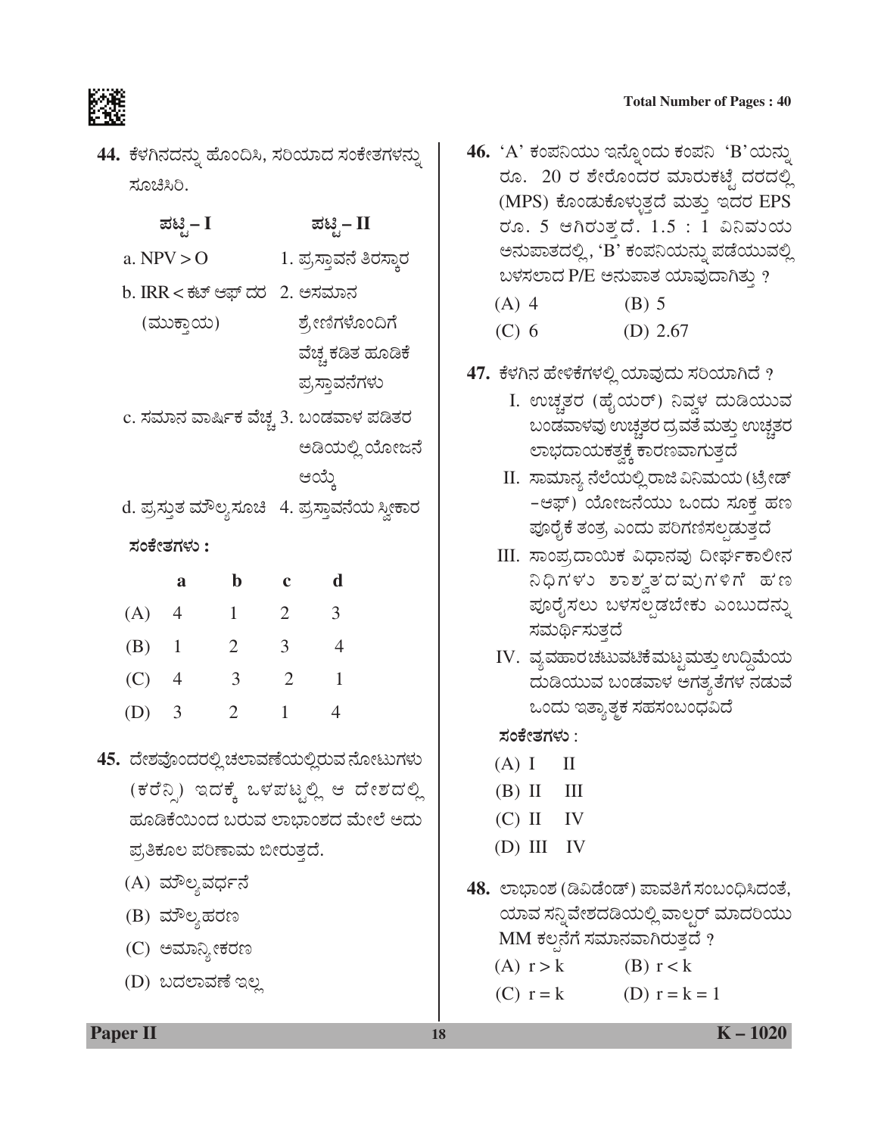#### **Total Number of Pages: 40**



44. ಕೆಳಗಿನದನ್ನು ಹೊಂದಿಸಿ, ಸರಿಯಾದ ಸಂಕೇತಗಳನ್ನು ಸೂಚಿಸಿರಿ.

|                                          | ಪಟ್ಟಿ – I                             |                         |                | ಪಟ್ಟಿ – II     |                                                |
|------------------------------------------|---------------------------------------|-------------------------|----------------|----------------|------------------------------------------------|
|                                          | a. $NPV > 0$                          |                         |                |                | 1. ಪ್ರಸ್ತಾವನೆ ತಿರಸ್ತಾರ                         |
|                                          | b. IRR < ಕಟ್ ಆಫ್ ದರ 2. ಅಸಮಾನ          |                         |                |                |                                                |
|                                          | (ಮುಕ್ತಾಯ)                             |                         |                | ಶ್ರೇಣಿಗಳೊಂದಿಗೆ |                                                |
|                                          |                                       |                         |                |                | ವೆಚ್ಚ ಕಡಿತ ಹೂಡಿಕೆ                              |
|                                          |                                       |                         |                | ಪ್ರಸ್ತಾವನೆಗಳು  |                                                |
|                                          | c. ಸಮಾನ ವಾರ್ಷಿಕ ವೆಚ್ಚ 3. ಬಂಡವಾಳ ಪಡಿತರ |                         |                |                |                                                |
|                                          |                                       |                         |                |                | ಅಡಿಯಲ್ಲಿ ಯೋಜನೆ                                 |
|                                          |                                       |                         |                | ಆಯ್ಕೆ          |                                                |
|                                          |                                       |                         |                |                | d. ಪ್ರಸ್ತುತ ಮೌಲ್ಯಸೂಚಿ   4. ಪ್ರಸ್ತಾವನೆಯ ಸ್ವೀಕಾರ |
|                                          | ಸಂಕೇತಗಳು :                            |                         |                |                |                                                |
|                                          | a                                     | $\mathbf b$             | $\mathbf c$    | d              |                                                |
| (A) 4                                    |                                       | $\mathbf{1}$            | $\overline{2}$ | 3              |                                                |
| $(B)$ 1                                  |                                       | $2 \qquad 3$            |                | $\overline{4}$ |                                                |
| $(C)$ 4                                  |                                       | $\overline{\mathbf{3}}$ | $\overline{2}$ | $\overline{1}$ |                                                |
| $(D)$ 3                                  |                                       | $\overline{2}$          | $\mathbf{1}$   | $\overline{4}$ |                                                |
| 45.  ದೇಶವೊಂದರಲ್ಲಿ ಚಲಾವಣೆಯಲ್ಲಿರುವ ನೋಟುಗಳು |                                       |                         |                |                |                                                |
|                                          |                                       |                         |                |                | (ಕರೆನ್ನಿ) ಇದಕ್ಕೆ ಒಳಪಟ್ಟಲ್ಲಿ ಆ ದೇಶದಲ್ಲಿ         |
|                                          |                                       |                         |                |                | ಹೂಡಿಕೆಯಿಂದ ಬರುವ ಲಾಭಾಂಶದ ಮೇಲೆ ಅದು               |
|                                          | ಪ್ರತಿಕೂಲ ಪರಿಣಾಮ ಬೀರುತ್ತದೆ.            |                         |                |                |                                                |
|                                          | (A) ಮೌಲ್ಯವರ್ಧನೆ                       |                         |                |                |                                                |
|                                          | (B) ಮೌಲ್ಯಹರಣ                          |                         |                |                |                                                |

- (C) ಅಮಾನ್ಯೀಕರಣ
- (D) ಬದಲಾವಣೆ ಇಲ್ಲ

46. 'A' ಕಂಪನಿಯು ಇನ್ನೊಂದು ಕಂಪನಿ'B'ಯನ್ನು ರೂ. 20 ರ ಶೇರೊಂದರ ಮಾರುಕಟ್ಟೆ ದರದಲ್ಲಿ (MPS) ಕೊಂಡುಕೊಳ್ಳುತ್ತದೆ ಮತ್ತು ಇದರ EPS ರೂ. 5 ಆಗಿರುತ್ತದೆ. 1.5 : 1 ವಿನಿಮಯ ಅನುಪಾತದಲ್ಲಿ, 'B' ಕಂಪನಿಯನ್ನು ಪಡೆಯುವಲ್ಲಿ ಬಳಸಲಾದ P/E ಅನುಪಾತ ಯಾವುದಾಗಿತ್ತು ?

- $(A)$  4  $(B)$  5
- $(C)$  6 (D)  $2.67$
- 47. ಕೆಳಗಿನ ಹೇಳಿಕೆಗಳಲ್ಲಿ ಯಾವುದು ಸರಿಯಾಗಿದೆ ?
	- I. ಉಚ್ಚತರ (ಹೈಯರ್) ನಿವ್ದಳ ದುಡಿಯುವ ಬಂಡವಾಳವು ಉಚ್ಚತರ ದ್ರವತೆ ಮತ್ತು ಉಚ್ಚತರ ಲಾಭದಾಯಕತ್ವಕ್ಕೆ ಕಾರಣವಾಗುತ್ತದೆ
	- II. ಸಾಮಾನ್ಯ ನೆಲೆಯಲ್ಲಿ ರಾಜಿ ವಿನಿಮಯ (ಟ್ರೇಡ್ -ಆಫ್) ಯೋಜನೆಯು ಒಂದು ಸೂಕ್ತ ಹಣ ಪೂರೈಕೆ ತಂತ್ರ ಎಂದು ಪರಿಗಣಿಸಲ್ಪಡುತ್ತದೆ
	- III. ಸಾಂಪ,ದಾಯಿಕ ವಿಧಾನವು ದೀರ್ಘಕಾಲೀನ ನಿಧಿಗಳು ಶಾಶ್ವತದ ಮಗಳಿಗೆ ಹಣ ಪೂರೈಸಲು ಬಳಸಲ್ಪಡಬೇಕು ಎಂಬುದನ್ನು ಸಮರ್ಥಿಸುತ್ತದೆ
	- IV. ವ್ಯವಹಾರಚಟುವಟಿಕೆಮಟ್ಟಮತ್ತು ಉದ್ದಿಮೆಯ ದುಡಿಯುವ ಬಂಡವಾಳ ಅಗತ್ಯತೆಗಳ ನಡುವೆ ಒಂದು ಇತ್ಯಾತ್ಮಕ ಸಹಸಂಬಂಧವಿದೆ

#### ಸಂಕೇತಗಳು :

- $(A)$  I  $\mathbf{I}$
- $(B)$  II Ш
- $(C)$  II **IV**
- $(D) III IV$
- 48. ಲಾಭಾಂಶ (ಡಿವಿಡೆಂಡ್) ಪಾವತಿಗೆ ಸಂಬಂಧಿಸಿದಂತೆ, ಯಾವ ಸನ್ನಿವೇಶದಡಿಯಲ್ಲಿ ವಾಲ್ಚರ್ ಮಾದರಿಯು MM ಕಲ್ಪನೆಗೆ ಸಮಾನವಾಗಿರುತ್ತದೆ ?
	- $(A)$   $r > k$  $(B)$  r < k
	- $(C)$   $r = k$ (D)  $r = k = 1$

**Paper II** 

18

 $K - 1020$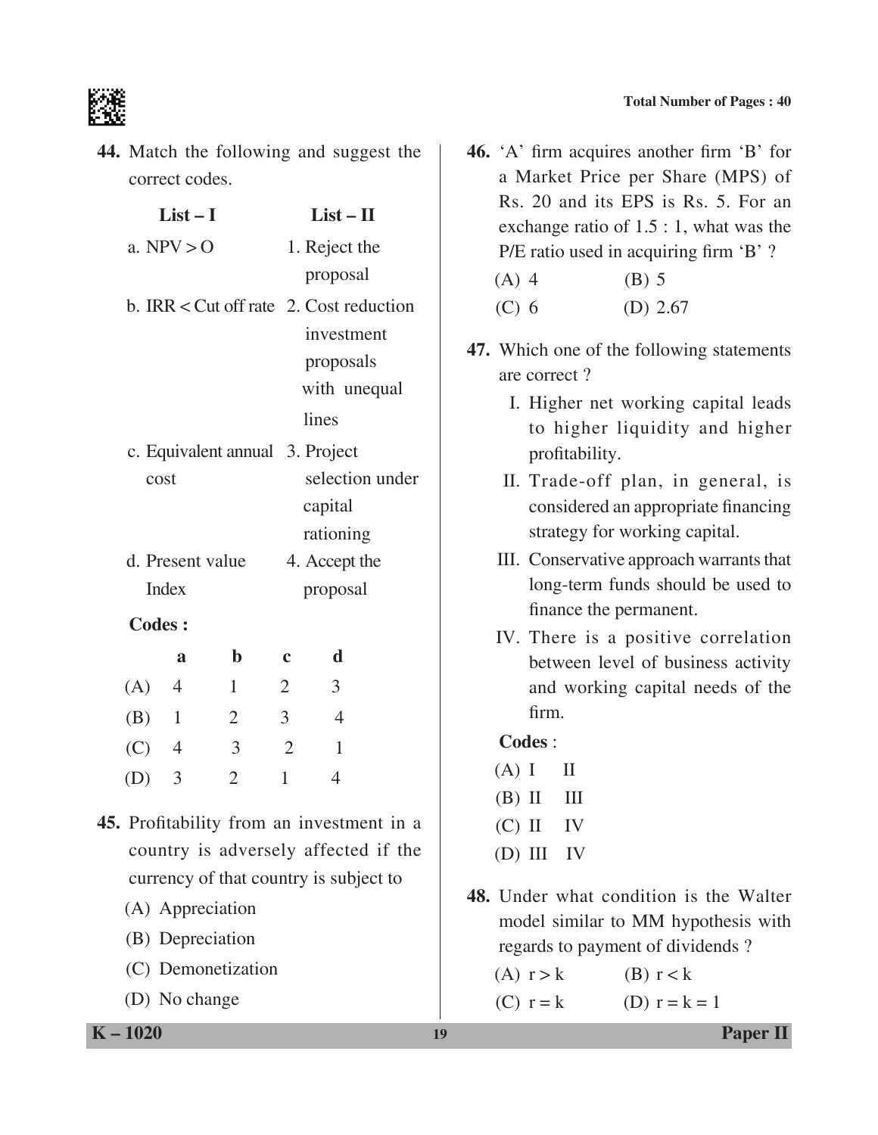

**44.** Match the following and suggest the correct codes.

|                                 | $List-I$         |                | $List - II$                                 |                                           |  |  |  |
|---------------------------------|------------------|----------------|---------------------------------------------|-------------------------------------------|--|--|--|
|                                 | a. $NPV > 0$     |                | 1. Reject the                               |                                           |  |  |  |
|                                 |                  |                |                                             | proposal                                  |  |  |  |
|                                 |                  |                | b. IRR $\lt$ Cut off rate 2. Cost reduction |                                           |  |  |  |
|                                 |                  |                |                                             | investment                                |  |  |  |
|                                 |                  |                |                                             | proposals                                 |  |  |  |
|                                 |                  |                |                                             | with unequal                              |  |  |  |
| lines                           |                  |                |                                             |                                           |  |  |  |
| c. Equivalent annual 3. Project |                  |                |                                             |                                           |  |  |  |
| cost                            |                  |                | selection under                             |                                           |  |  |  |
|                                 |                  |                | capital                                     |                                           |  |  |  |
| rationing                       |                  |                |                                             |                                           |  |  |  |
|                                 | d. Present value |                | 4. Accept the                               |                                           |  |  |  |
|                                 | <b>Index</b>     |                | proposal                                    |                                           |  |  |  |
| <b>Codes:</b>                   |                  |                |                                             |                                           |  |  |  |
|                                 | a                | $\mathbf b$    | $\mathbf c$                                 | d                                         |  |  |  |
| (A)                             | 4                | 1              | $\overline{2}$                              | 3                                         |  |  |  |
| (B)                             | $\mathbf{1}$     | $\overline{2}$ | 3                                           | $\overline{4}$                            |  |  |  |
| $(C)$ 4                         |                  | 3              | $\overline{2}$                              | $\mathbf{1}$                              |  |  |  |
| (D)                             | 3                | $\overline{2}$ | 1                                           | $\overline{4}$                            |  |  |  |
|                                 |                  |                |                                             | 45. Profitability from an investment in a |  |  |  |

- country is adversely affected if the currency of that country is subject to
	- (A) Appreciation
	- (B) Depreciation
	- (C) Demonetization
	- (D) No change
- **46.** 'A' firm acquires another firm 'B' for a Market Price per Share (MPS) of Rs. 20 and its EPS is Rs. 5. For an exchange ratio of 1.5 : 1, what was the P/E ratio used in acquiring firm 'B' ?
	- $(A)$  4 (B) 5  $(C) 6$  (D) 2.67
- **47.** Which one of the following statements are correct ?
	- I. Higher net working capital leads to higher liquidity and higher profitability.
	- II. Trade-off plan, in general, is considered an appropriate financing strategy for working capital.
	- III. Conservative approach warrants that long-term funds should be used to finance the permanent.
	- IV. There is a positive correlation between level of business activity and working capital needs of the firm.

# **Codes** :

- $(A) I \quad II$
- $(B)$  II III
- $(C)$  II IV
- (D) III IV
- **48.** Under what condition is the walter model similar to MM hypothesis with regards to payment of dividends ?
	- (A)  $r > k$  (B)  $r < k$
	- (C)  $r = k$  (D)  $r = k = 1$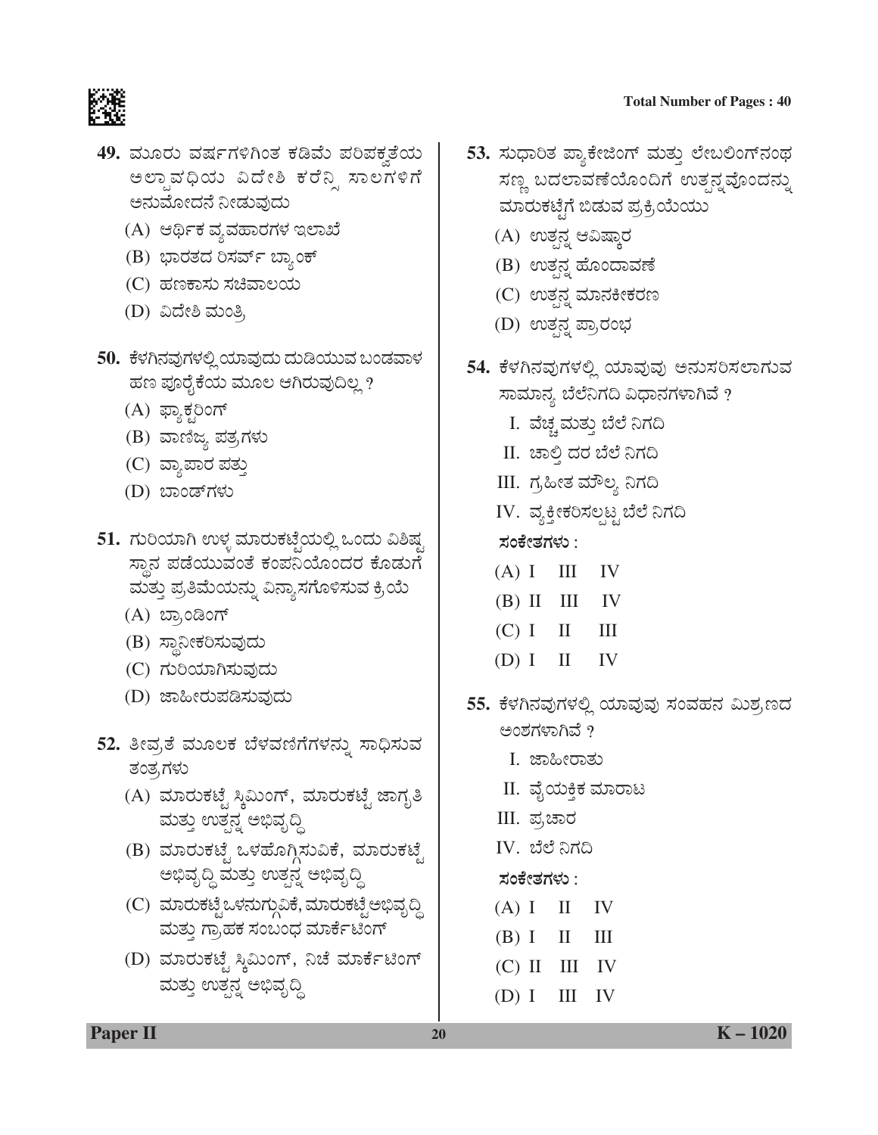#### **Total Number of Pages : 40**



- 49. ಮೂರು ವರ್ಷಗಳಿಗಿಂತ ಕಡಿಮೆ ಪರಿಪಕ್ಕತೆಯ ಅಲ್ಪಾವಧಿಯ ವಿದೇಶಿ ಕರೆನ್ನಿ ಸಾಲಗಳಿಗೆ ಅನುಮೋದನೆ ನೀಡುವುದು
	- (A) ಆರ್ಥಿಕ ವ್ಯವಹಾರಗಳ ಇಲಾಖೆ
	- (B) ಭಾರತದ ರಿಸರ್ವ್ ಬ್ಯಾಂಕ್
	- (C) ಹಣಕಾಸು ಸಚಿವಾಲಯ
	- (D) ವಿದೇಶಿ ಮಂತ್ರಿ
- <mark>50.</mark> ಕೆಳಗಿನವುಗಳಲ್ಲಿ ಯಾವುದು ದುಡಿಯುವ ಬಂಡವಾಳ ಹಣ ಪೂರೈಕೆಯ ಮೂಲ ಆಗಿರುವುದಿಲ್ಲ ?
	- (A) ಫ್ಯಾಕ್ಸರಿಂಗ್
	- (B) ವಾಣಿಜ್ಯ ಪತ್ರಗಳು
	- (C) ವ್ಯಾಪಾರ ಪತ್ತು
	- (D) ಬಾಂಡ್ಗಳು
- 51. ಗುರಿಯಾಗಿ ಉಳ್ಳ ಮಾರುಕಟ್ಟೆಯಲ್ಲಿ ಒಂದು ವಿಶಿಷ್ಟ ಸ್ಥಾನ ಪಡೆಯುವಂತೆ ಕಂಪನಿಯೊಂದರ ಕೊಡುಗ ಮತ್ತು ಪ್ರತಿಮೆಯನ್ನು ವಿನ್ಯಾಸಗೊಳಿಸುವ ಕ್ರಿಯೆ
	- (A) ಬ್ರಾಂಡಿಂಗ್
	- (B) ಸ್ಥಾನೀಕರಿಸುವುದು
	- (C) ಗುರಿಯಾಗಿಸುವುದು
	- (D) ಜಾಹೀರುಪಡಿಸುವುದು
- 52. ತೀವ್ರತೆ ಮೂಲಕ ಬೆಳವಣಿಗೆಗಳನ್ನು ಸಾಧಿಸುವ ತಂತ್ರಗಳು
	- (A) ಮಾರುಕಟ್ಟೆ ಸ್ಕಿಮಿಂಗ್, ಮಾರುಕಟ್ಟೆ ಜಾಗೃತಿ ಮತ್ತು ಉತ್ಪನ್ಧ ಅಭಿವೃದ್ಧಿ
	- (B) ಮಾರುಕಟ್ಟೆ ಒಳಹೊಗ್ಗಿಸುವಿಕೆ, ಮಾರುಕಟ್ಟೆ ಅಭಿವೃದ್ಧಿ ಮತ್ತು ಉತ್ಪನ್ನ ಅಭಿವೃದ್ಧಿ
	- (C) ಮಾರುಕಟ್ಟೆಒಳನುಗ್ಗುವಿಕೆ, ಮಾರುಕಟ್ಟೆ ಅಭಿವೃದ್ಧಿ ಮತ್ತು ಗ್ರಾಹಕ ಸಂಬಂಧ ಮಾರ್ಕೆಟಿಂಗ್
	- (D) ಮಾರುಕಟ್ಟೆ ಸ್ಕಿಮಿಂಗ್, ನಿಚೆ ಮಾರ್ಕೆಟಿಂಗ್ ಮತ್ತು ಉತ್ಪನ್ನ ಅಭಿವೃದ್ಧಿ
- 53. ಸುಧಾರಿತ ಪ್ಯಾಕೇಜಿಂಗ್ ಮತ್ತು ಲೇಬಲಿಂಗ್**ನಂ**ಥ ಸಣ್ಣ ಬದಲಾವಣೆಯೊಂದಿಗೆ ಉತ್ಪನ್ನವೊಂದನ್ನು ಮಾರುಕಟ್ಟೆಗೆ ಬಿಡುವ ಪ್ರಕ್ರಿಯೆಯು
	- (A) ಉತ್ಪನ್ನ ಆವಿಷ್ಕಾರ
	- (B) ಉತ್ಪನ್ನ ಹೊಂದಾವಣೆ
	- (C) ಉತ್ಪನ್ನ ಮಾನಕೀಕರಣ
	- (D) ಉತ್ಪನ್ನ ಪ್ರಾರಂಭ
- 54. ಕೆಳಗಿನವುಗಳಲ್ಲಿ ಯಾವುವು ಅನುಸರಿಸಲಾಗುವ ಸಾಮಾನ್ಯ ಬೆಲೆನಿಗದಿ ವಿಧಾನಗಳಾಗಿವೆ ?
	- I. ವೆಚ್ಚಮತ್ತು ಬೆಲೆ ನಿಗದಿ
	- II. ಚಾಲ್ತಿ ದರ ಬೆಲೆ ನಿಗದಿ
	- III. ಗ್ರಹೀತ ಮೌಲ್ಯ ನಿಗದಿ
	- IV. ವ್ಯಕ್ತೀಕರಿಸಲ್ಪಟ್ಟ ಬೆಲೆ ನಿಗದಿ
	- **ÓÜíPæàñÜWÜÙÜá** :
	- $(A)$  I III IV
	- $(B)$  II III IV
	- $(C)$  I II III
	- $(D) I \quad II \quad IV$
- <mark>55.</mark> ಕೆಳಗಿನವುಗಳಲ್ಲಿ ಯಾವುವು ಸಂವಹನ ಮಿಶ,ಣದ ಅಂಶಗಳಾಗಿವೆ ?
	- I. ಜಾಹೀರಾತು
	- II. ವೈಯಕ್ತಿಕ ಮಾರಾಟ
	- III. ಪ್ರಚಾರ
	- IV. ಬೆಲೆ ನಿಗದಿ
	- **ÓÜíPæàñÜWÜÙÜá** :
	- $(A) I \quad II \quad IV$
	- $(B)$  I II III
	- $(C)$  II III IV
	- $(D) I III IV$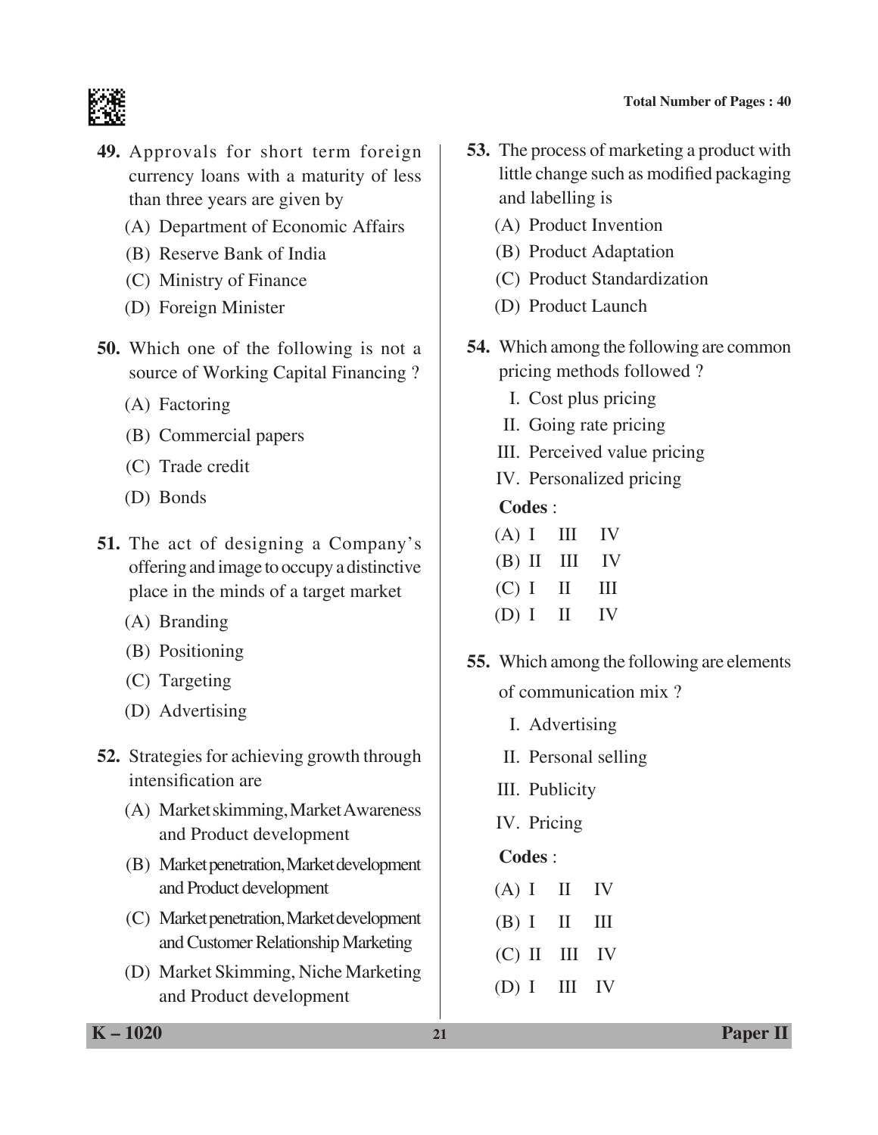

- **49.** Approvals for short term foreign currency loans with a maturity of less than three years are given by
	- (A) Department of Economic Affairs
	- (B) Reserve Bank of India
	- (C) Ministry of Finance
	- (D) Foreign Minister
- **50.** Which one of the following is not a source of working Capital Financing ?
	- (A) Factoring
	- (B) Commercial papers
	- (C) Trade credit
	- (D) Bonds
- **51.** The act of designing a Company's offering and image to occupy a distinctive place in the minds of a target market
	- (A) Branding
	- (B) Positioning
	- (C) Targeting
	- (D) Advertising
- **52.** Strategies for achieving growth through intensification are
	- (A) Market skimming, Market Awareness and Product development
	- (B) Market penetration, Market development and Product development
	- (C) Market penetration, Market development and Customer Relationship Marketing
	- (D) Market Skimming, Niche Marketing and Product development
- **53.** The process of marketing a product with little change such as modified packaging and labelling is
	- (A) Product Invention
	- (B) Product Adaptation
	- (C) Product Standardization
	- (D) Product Launch
- **54.** Which among the following are common pricing methods followed ?
	- I. Cost plus pricing
	- II. Going rate pricing
	- III. Perceived value pricing
	- IV. Personalized pricing

# **Codes** :

| (A) I            | $\mathbf{III}$ | $\mathbf{IV}$ |
|------------------|----------------|---------------|
| $(B)$ II III IV  |                |               |
| (C) I            | $\mathbf{H}$   | Ш             |
| $(D) I \quad II$ |                | $\mathbf{IV}$ |

- **55.** Which among the following are elements of communication mix ?
	- I. Advertising
	- II. Personal selling
	- III. Publicity
	- IV. Pricing
	- **Codes** :
	- $(A) I \quad II \quad IV$
	- $(B) I \quad II \quad III$
	- $(C)$  II III IV
	- (D) I III IV

**K – 1020 21 Paper II**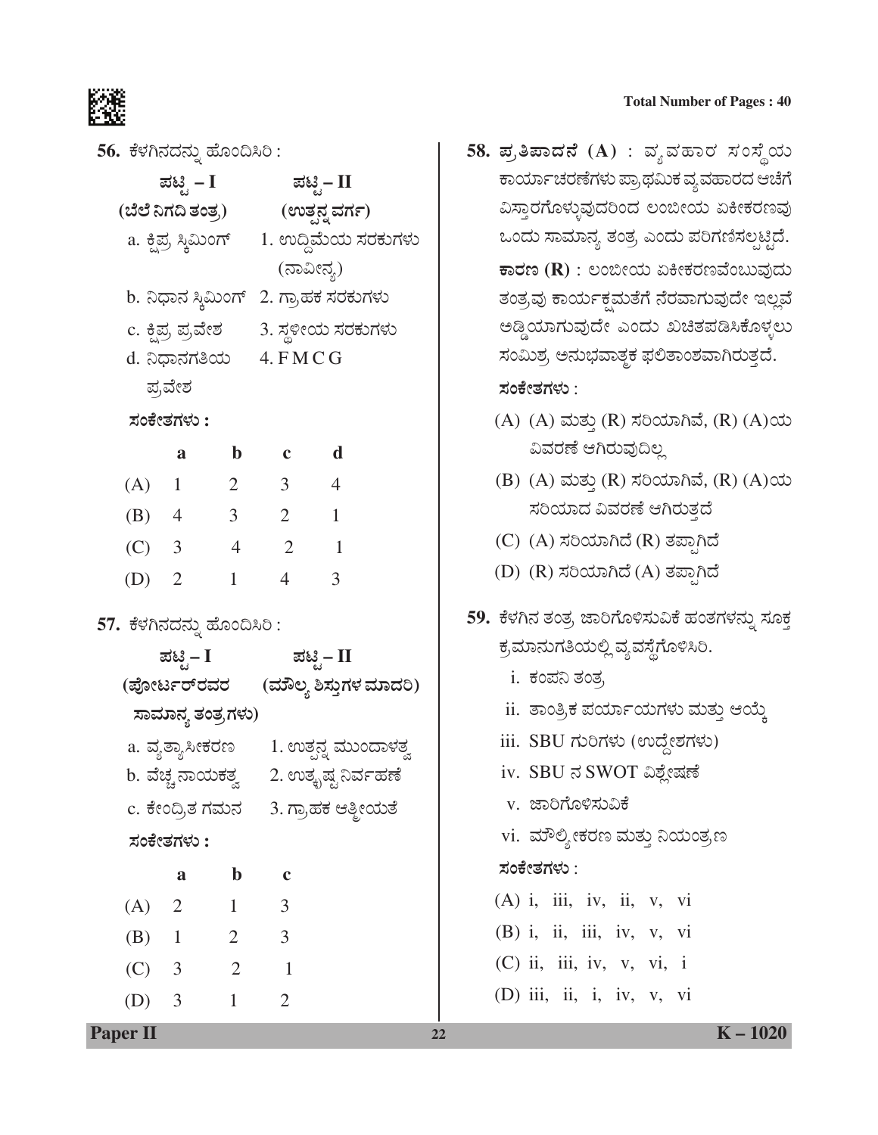

|                                                                                                                                                                               | <b>Total Number of Pages: 40</b>                                                                                                                                                                                                    |  |  |
|-------------------------------------------------------------------------------------------------------------------------------------------------------------------------------|-------------------------------------------------------------------------------------------------------------------------------------------------------------------------------------------------------------------------------------|--|--|
| 56. ಕೆಳಗಿನದನ್ನು ಹೊಂದಿಸಿರಿ :<br>ಪಟ್ಟಿ – I ಪಟ್ಟಿ– II<br>(ಬೆಲೆ ನಿಗದಿ ತಂತ್ರ) (ಉತ್ಪನ್ನ ವರ್ಗ)<br>a. ಕ್ಷಿಪ್ರ ಸ್ಕಿಮಿಂಗ್ 1. ಉದ್ದಿಮೆಯ ಸರಕುಗಳು<br>(ನಾವೀನ್ಯ)                              | 58. ಪ್ರತಿಪಾದನೆ (A) : ವ್ಯವಹಾರ ಸಂಸ್ಥೆಯ<br>ಕಾರ್ಯಾಚರಣೆಗಳು ಪ್ರಾಥಮಿಕ ವ್ಯವಹಾರದ ಆಚೆಗೆ<br>ವಿಸ್ತಾರಗೊಳ್ಳುವುದರಿಂದ ಲಂಬೀಯ ಏಕೀಕರಣವು<br>ಒಂದು ಸಾಮಾನ್ಯ ತಂತ್ರ ಎಂದು ಪರಿಗಣಿಸಲ್ಪಟ್ಟಿದೆ.<br>$\overline{\bm{\mathfrak{so}}}$ ರಣ (R) : ಲಂಬೀಯ ಏಕೀಕರಣವೆಂಬುವುದು |  |  |
| b. ನಿಧಾನ ಸ್ಥಿಮಿಂಗ್ 2. ಗ್ರಾಹಕ ಸರಕುಗಳು<br>c. ಕ್ಷಿಪ್ರ ಪ್ರವೇಶ         3. ಸ್ಥಳೀಯ ಸರಕುಗಳು<br>d. ನಿಧಾನಗತಿಯ 4. FMCG<br>ಪ್ರವೇಶ                                                         | ತಂತ್ರವು ಕಾರ್ಯಕ್ಷಮತೆಗೆ ನೆರವಾಗುವುದೇ ಇಲ್ಲವೆ<br>ಅಡ್ಡಿಯಾಗುವುದೇ ಎಂದು ಖಚಿತಪಡಿಸಿಕೊಳ್ಳಲು<br>ಸಂಮಿಶ್ರ ಅನುಭವಾತ್ಮಕ ಫಲಿತಾಂಶವಾಗಿರುತ್ತದೆ.<br>ಸಂಕೇತಗಳು :                                                                                             |  |  |
| ಸಂಕೇತಗಳು :<br>b c d<br>a<br>$(A)$ 1 2 3 4<br>$4 \qquad 3 \qquad 2 \qquad 1$<br>(B)<br>$(C)$ 3 4 2 1                                                                           | (A) (A) ಮತ್ತು (R) ಸರಿಯಾಗಿವೆ, (R) (A)ಯ<br>ವಿವರಣೆ ಆಗಿರುವುದಿಲ್ಲ<br>(B) (A) ಮತ್ತು (R) ಸರಿಯಾಗಿವೆ, (R) (A)ಯ<br>ಸರಿಯಾದ ವಿವರಣೆ ಆಗಿರುತ್ತದೆ<br>(C) (A) ಸರಿಯಾಗಿದೆ (R) ತಪ್ಪಾಗಿದೆ<br>(D) (R) ಸರಿಯಾಗಿದೆ (A) ತಪ್ಪಾಗಿದೆ                             |  |  |
| $\overline{3}$<br>(D)<br>$\mathbf{1}$<br>$\overline{2}$<br>$\overline{4}$<br>57. ಕೆಳಗಿನದನ್ನು ಹೊಂದಿಸಿರಿ :<br>ಪಟ್ಟಿ– I ಪಟ್ಟಿ– II<br>(ಪೋರ್ಟರ್ <b>ರವರ (ಮೌಲ್ಯ ಶಿಸ್ತುಗಳ ಮಾದರಿ</b> ) | 59.  ಕೆಳಗಿನ ತಂತ್ರ ಜಾರಿಗೊಳಿಸುವಿಕೆ ಹಂತಗಳನ್ನು ಸೂಕ್ತ<br>ಕ್ರಮಾನುಗತಿಯಲ್ಲಿ ವ್ಯವಸ್ಥೆಗೊಳಿಸಿರಿ.<br><u>i. ಕಂಪನಿ ತಂತ್ರ</u>                                                                                                                      |  |  |
| ಸಾಮಾನ್ಯ ತಂತ್ರಗಳು)<br>a. ವ್ಯತ್ಯಾಸೀಕರಣ       1. ಉತ್ಪನ್ನ ಮುಂದಾಳತ್ವ<br>b. ವೆಚ್ಚ ನಾಯಕತ್ವ      2. ಉತ್ಕೃಷ್ಟ ನಿರ್ವಹಣೆ<br>c. ಕೇಂದ್ರಿತ ಗಮನ 3. ಗ್ರಾಹಕ ಆತ್ಮೀಯತೆ<br>ಸಂಕೇತಗಳು :             | ii. ತಾಂತ್ರಿಕ ಪರ್ಯಾಯಗಳು ಮತ್ತು ಆಯ್ಕೆ<br>iii. SBU ಗುರಿಗಳು (ಉದ್ದೇಶಗಳು)<br>iv. SBU ನ SWOT ವಿಶ್ಲೇಷಣೆ<br>v. ಜಾರಿಗೊಳಿಸುವಿಕೆ<br>vi. ಮೌಲ್ಯೀಕರಣ ಮತ್ತು ನಿಯಂತ್ರಣ                                                                                 |  |  |
| $\mathbf b$<br>a<br>$\mathbf c$<br>(A) 2 1<br>$\mathfrak{Z}$<br>(B) $1 \t 2 \t 3$<br>2<br>$\sim$ 1<br>(C)<br>$\overline{3}$                                                   | ಸಂಕೇತಗಳು :<br>$(A)$ i, iii, iv, ii, v, vi<br>$(B)$ i, ii, iii, iv, v, vi<br>$(C)$ ii, iii, iv, v, vi, i                                                                                                                             |  |  |

#### ಸಂಕೇತಗಳು :

- (A) (A) ಮತ್ತು (R) ಸರಿಯಾಗಿವೆ, (R) (A)ಯ ವಿವರಣೆ ಆಗಿರುವುದಿಲ್ಲ
- (B) (A) ಮತ್ತು (R) ಸರಿಯಾಗಿವೆ, (R) (A)ಯ ಸರಿಯಾದ ವಿವರಣೆ ಆಗಿರುತ್ತದೆ
- (C) (A) ಸರಿಯಾಗಿದೆ (R) ತಪ್ಪಾಗಿದೆ
- (D) (R) ಸರಿಯಾಗಿದೆ (A) ತಪ್ಪಾಗಿದೆ
- 59. ಕೆಳಗಿನ ತಂತ್ರ ಜಾರಿಗೊಳಿಸುವಿಕೆ ಹಂತಗಳನ್ನು ಸೂಕ್ತ ಕ್ರಮಾನುಗತಿಯಲ್ಲಿ ವ್ಯವಸ್ಥೆಗೊಳಿಸಿರಿ.
	- i. ಕಂಪನಿ ತಂತ,
	- ii. ತಾಂತ್ರಿಕ ಪರ್ಯಾಯಗಳು ಮತ್ತು ಆಯ್ಕೆ
	- iii. SBU ಗುರಿಗಳು (ಉದ್ದೇಶಗಳು)
	- iv. SBU ನ SWOT ವಿಶ್ಲೇಷಣೆ
	- v. ಜಾರಿಗೊಳಿಸುವಿಕೆ
	- vi. ಮೌಲ್ಯೀಕರಣ ಮತ್ತು ನಿಯಂತ್ರಣ

# ಸಂಕೇತಗಳು :

- $(A)$  i, iii, iv, ii, v, vi
- (B) i, ii, iii, iv, v, vi (C) ii, iii, iv, v, vi, i
- 
- (D) iii, ii, i, iv, v, vi

(D) 3 1 2

**Paper II 22 K** – 1020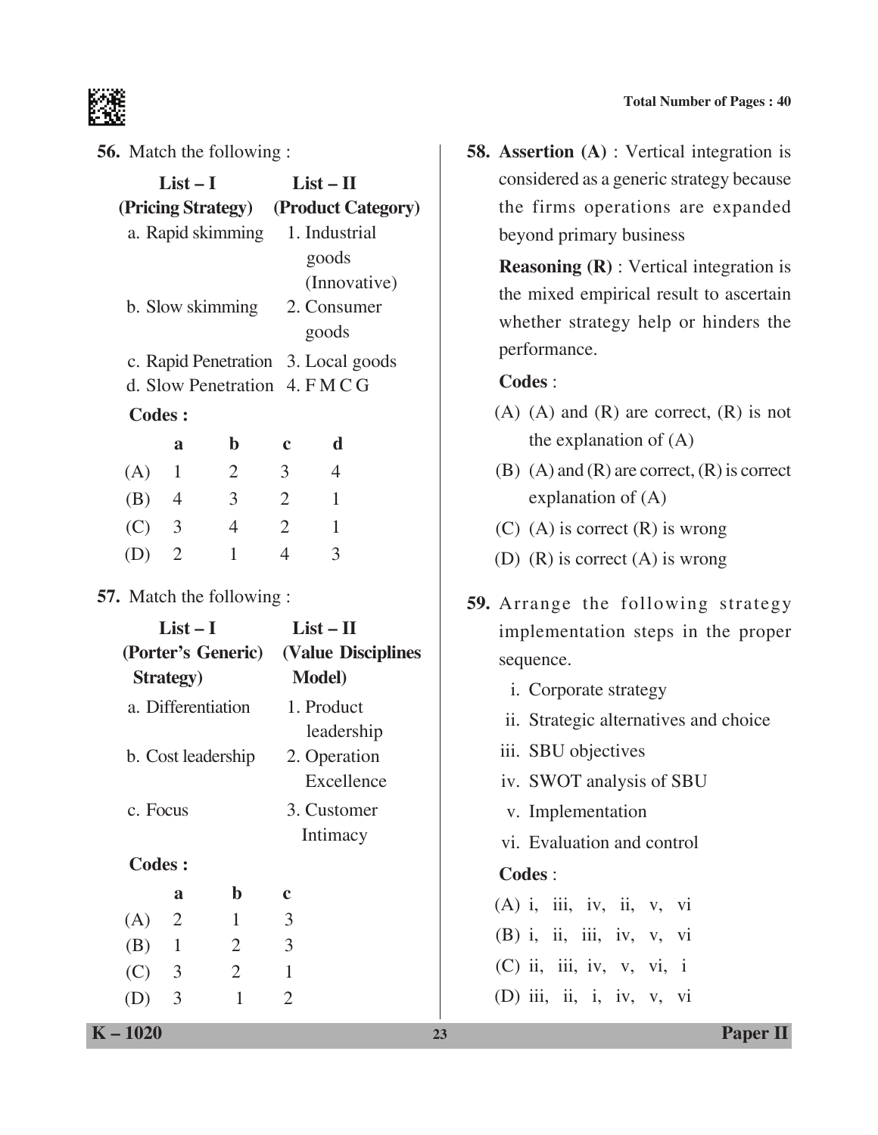

**56.** Match the following :

|                                 |                   | <b>56.</b> Match the following : |                |                                       |  |  |  |
|---------------------------------|-------------------|----------------------------------|----------------|---------------------------------------|--|--|--|
|                                 | $List-I$          |                                  |                | $List - II$                           |  |  |  |
|                                 |                   |                                  |                | (Pricing Strategy) (Product Category) |  |  |  |
|                                 |                   | a. Rapid skimming 1. Industrial  |                |                                       |  |  |  |
|                                 |                   |                                  |                | goods                                 |  |  |  |
|                                 |                   |                                  |                | (Innovative)                          |  |  |  |
|                                 |                   |                                  |                | b. Slow skimming 2. Consumer          |  |  |  |
|                                 |                   |                                  |                | goods                                 |  |  |  |
|                                 |                   |                                  |                | c. Rapid Penetration 3. Local goods   |  |  |  |
|                                 |                   | d. Slow Penetration 4. FMCG      |                |                                       |  |  |  |
| <b>Codes:</b>                   |                   |                                  |                |                                       |  |  |  |
|                                 | a                 | $\mathbf b$                      | $\mathbf c$    | $\mathbf d$                           |  |  |  |
| (A) 1                           |                   | $\overline{2}$                   | $\overline{3}$ | $\overline{4}$                        |  |  |  |
| $(B)$ 4                         |                   | $\overline{3}$                   | 2              | 1                                     |  |  |  |
| $(C)$ 3                         |                   | $\overline{4}$                   | 2              | $\overline{1}$                        |  |  |  |
| (D)                             | $\overline{2}$    | $\mathbf{1}$                     | $\overline{4}$ | 3                                     |  |  |  |
| <b>57.</b> Match the following: |                   |                                  |                |                                       |  |  |  |
|                                 | $List-I$          |                                  |                | $List - II$                           |  |  |  |
|                                 |                   |                                  |                | (Porter's Generic) (Value Disciplines |  |  |  |
|                                 | <b>Strategy</b> ) |                                  |                | <b>Model</b> )                        |  |  |  |
|                                 |                   | a. Differentiation               |                | 1. Product                            |  |  |  |
|                                 |                   |                                  |                | leadership                            |  |  |  |
|                                 |                   | b. Cost leadership               |                | 2. Operation                          |  |  |  |
|                                 |                   |                                  |                | Excellence                            |  |  |  |
| c. Focus                        |                   |                                  |                | 3. Customer                           |  |  |  |
|                                 |                   |                                  |                | Intimacy                              |  |  |  |
| <b>Codes:</b>                   |                   |                                  |                |                                       |  |  |  |
|                                 | a                 | $\mathbf b$                      | $\mathbf c$    |                                       |  |  |  |
| (A)                             | $\overline{2}$    | $\mathbf{1}$                     | 3              |                                       |  |  |  |
| (B)                             | $\mathbf{1}$      | $\overline{2}$                   | 3              |                                       |  |  |  |

**58. Assertion (A)** : Vertical integration is considered as a generic strategy because the firms operations are expanded beyond primary business

 **Reasoning (R)** : Vertical integration is the mixed empirical result to ascertain whether strategy help or hinders the performance.

**Codes** :

- $(A)$   $(A)$  and  $(R)$  are correct,  $(R)$  is not the explanation of (A)
- (B)  $(A)$  and  $(R)$  are correct,  $(R)$  is correct explanation of (A)
- (C) (A) is correct (R) is wrong
- (D) (R) is correct (A) is wrong
- **59.** Arrange the following strategy implementation steps in the proper sequence.
	- i. Corporate strategy
	- ii. Strategic alternatives and choice
	- iii. SBU objectives
	- iv. SWOT analysis of SBU
	- v. Implementation
	- vi. Evaluation and control

#### **Codes** :

 $(A)$  i, iii, iv, ii, v, vi  $(B)$  i, ii, iii, iv, v, vi (C) ii, iii, iv, v, vi, i

(D) iii, ii, i, iv, v, vi

**K – 1020 23 Paper II**

 $(C) 3 2 1$ (D) 3 1 2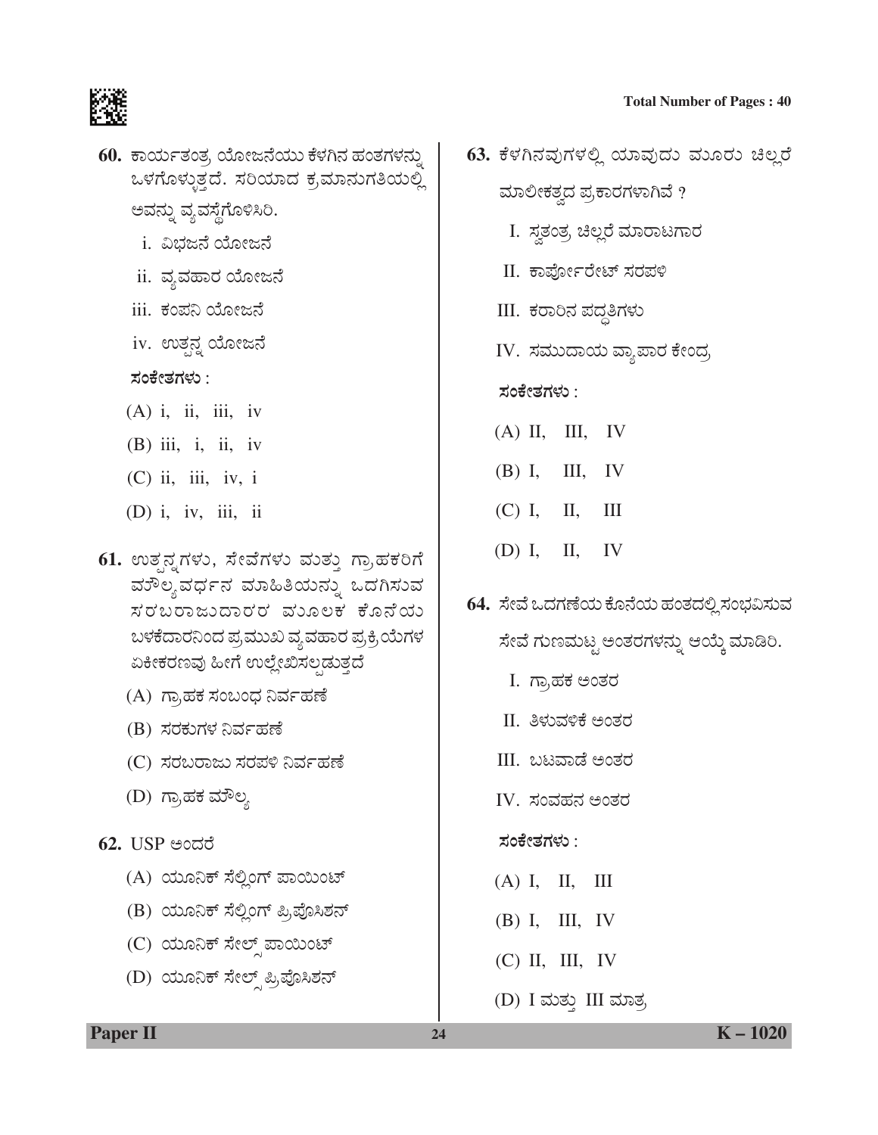

- 60. ಕಾರ್ಯತಂತ್ರ ಯೋಜನೆಯು ಕೆಳಗಿನ ಹಂತಗಳನ್ನು ಒಳಗೊಳ್ಳುತ್ತದೆ. ಸರಿಯಾದ ಕ್ರಮಾನುಗತಿಯಲ್ಲಿ ಅವನ್ನು ವ್ಯವಸ್ಥೆಗೊಳಿಸಿರಿ.
	- \_i. ವಿಭಜನೆ ಯೋಜನೆ
	- ii. ವ್ಯವಹಾರ ಯೋಜನೆ
	- iii. ಕಂಪನಿ ಯೋಜನೆ
	- iv. ಉತ್ಪನ್ನ ಯೋಜನೆ
	- ಸಂಕೇತಗಳು :
	- $(A)$  i, ii, iii, iv
	- $(B)$  iii, i, ii, iv
	- $(C)$  ii, iii, iv, i
	- (D) i, iv, iii, ii
- 61. ಉತ್ಪನ್ನಗಳು, ಸೇವೆಗಳು ಮತ್ತು ಗ್ರಾಹಕರಿಗೆ ವುೌಲ್ಯವರ್ಧನ ಮಾಹಿತಿಯನ್ನು ಒದಗಿಸುವ ಸರಬರಾಜುದಾರರ ಮೂಲಕ ಕೊನೆಯ ಬಳಕೆದಾರನಿಂದ ಪ್ರಮುಖ ವ್ಯವಹಾರ ಪ್ರಕ್ರಿಯೆಗಳ ಏಕೀಕರಣವು ಹೀಗೆ ಉಲ್ಲೇಖಿಸಲ್ಪಡುತ್ತದೆ
	- (A) ಗ್ರಾಹಕ ಸಂಬಂಧ ನಿರ್ವಹಣೆ
	- (B) ಸರಕುಗಳ ನಿರ್ವಹಣೆ
	- (C) ಸರಬರಾಜು ಸರಪಳಿ ನಿರ್ವಹಣೆ
	- (D) ಗ್ರಾಹಕ ಮೌಲ್ಯ
- 62. USP ಅಂದರೆ
	- (A) ಯೂನಿಕ್ ಸೆಲ್ಲಿಂಗ್ ಪಾಯಿಂಟ್
	- (B) ಯೂನಿಕ್ ಸೆಲ್ಲಿಂಗ್ ಪ್ರಿಪೊಸಿಶನ್
	- (C) ಯೂನಿಕ್ ಸೇಲ್ಸ್ ಪಾಯಿಂಟ್
	- (D) ಯೂನಿಕ್ ಸೇಲ್ಸ್ ಪ್ರಿಪೊಸಿಶನ್

63. ಕೆಳಗಿನವುಗಳಲ್ಲಿ ಯಾವುದು ಮೂರು ಚಿಲ್ಲರೆ

ಮಾಲೀಕತ್ವದ ಪ್ರಕಾರಗಳಾಗಿವೆ ?

- I. ಸ್ವತಂತ್ರ ಚಿಲ್ಲರೆ ಮಾರಾಟಗಾರ
- II. ಕಾರ್ಪೋರೇಟ್ ಸರಪಳಿ
- III. ಕರಾರಿನ ಪದ್ಧತಿಗಳು
- IV. ಸಮುದಾಯ ವ್ಯಾಪಾರ ಕೇಂದ್ರ

ಸಂಕೇತಗಳು :

- $(A)$  II, III, IV
- $(B)$  I, III, IV
- $(C)$  I,  $II$ , Ш
- (D) I,  $\prod$ , IV
- 64. ಸೇವೆ ಒದಗಣೆಯ ಕೊನೆಯ ಹಂತದಲ್ಲಿ ಸಂಭವಿಸುವ

ಸೇವೆ ಗುಣಮಟ್ಟ ಅಂತರಗಳನ್ನು ಆಯ್ಕೆ ಮಾಡಿರಿ.

- I. ಗ್ರಾಹಕ ಅಂತರ
- II. ತಿಳುವಳಿಕೆ ಅಂತರ
- III. ಬಟವಾಡೆ ಅಂತರ
- $IV.$  ಸಂವಹನ ಅಂತರ

#### ಸಂಕೇತಗಳು :

- $(A)$  I, II, III
- $(B)$  I, III, IV
- $(C)$  II, III, IV
- (D) I ಮತ್ತು III ಮಾತ್ರ

**Paper II**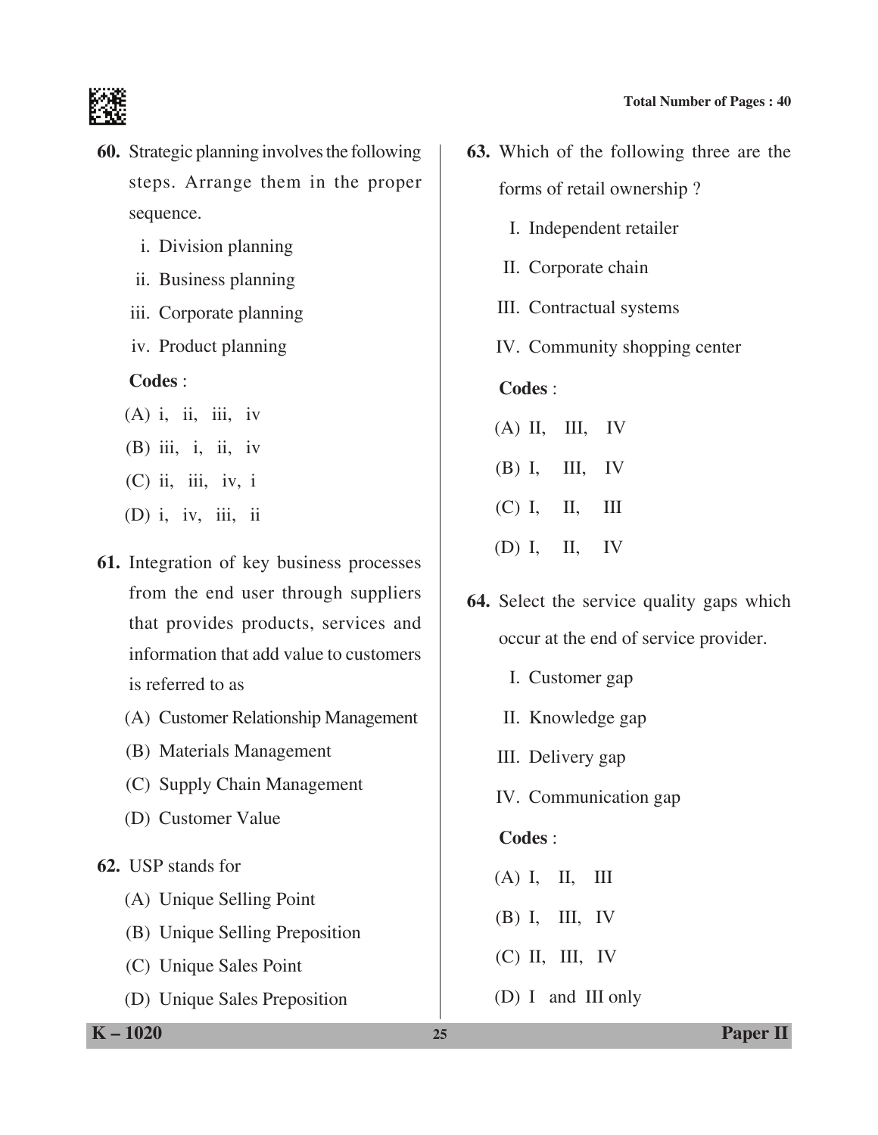

- **60.** Strategic planning involves the following steps. Arrange them in the proper sequence.
	- i. Division planning
	- ii. Business planning
	- iii. Corporate planning
	- iv. Product planning

#### **Codes** :

- $(A)$  i, ii, iii, iv (B) iii, i, ii, iv (C) ii, iii, iv, i (D) i, iv, iii, ii
- **61.** Integration of key business processes from the end user through suppliers that provides products, services and information that add value to customers is referred to as
	- (A) Customer Relationship Management
	- (B) Materials Management
	- (C) Supply Chain Management
	- (D) Customer value
- **62.** USP stands for
	- (A) Unique Selling Point
	- (B) Unique Selling Preposition
	- (C) Unique Sales Point
	- (D) Unique Sales Preposition
- **63.** Which of the following three are the forms of retail ownership ?
	- I. Independent retailer
	- II. Corporate chain
	- III. Contractual systems
	- IV. Community shopping center

# **Codes** :

- $(A)$  II, III, IV
- (B) I, III, IV
- (C) I, II, III
- (D) I, II, IV
- **64.** Select the service quality gaps which occur at the end of service provider.
	- I. Customer gap
	- II. Knowledge gap
	- III. Delivery gap
	- IV. Communication gap

# **Codes** :

- (A) I, II, III
- (B) I, III, IV
- (C) II, III, IV
- (D) I and III only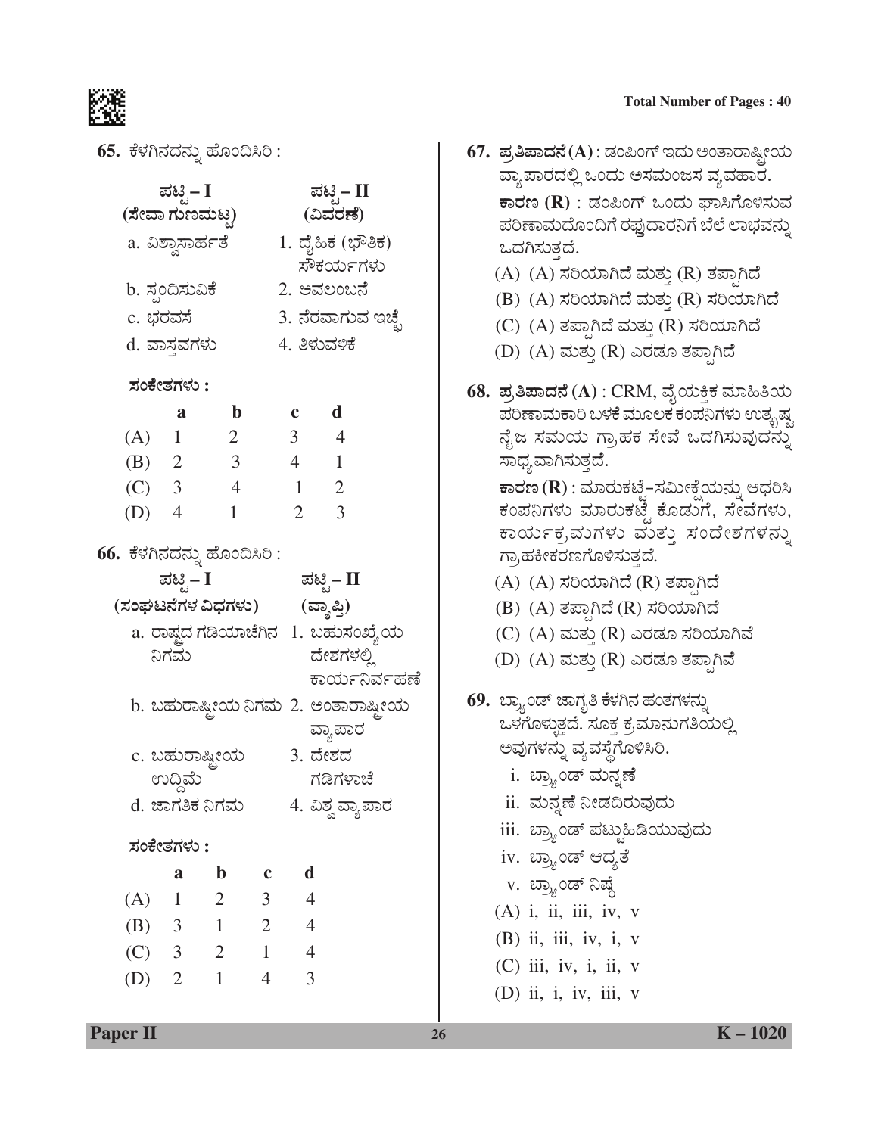

 $65.$  ಕೆಳಗಿನದನ್ನು ಹೊಂದಿಸಿರಿ:

|                 | ಪಟ್ಟಿ – I      |                             |                | ಪಟ್ಟಿ– II      |                                       |               |  |
|-----------------|----------------|-----------------------------|----------------|----------------|---------------------------------------|---------------|--|
| (ಸೇವಾ ಗುಣಮಟೃ)   |                |                             |                | (ವಿವರಣೆ)       |                                       |               |  |
|                 |                | a. ವಿಶ್ವಾಸಾರ್ಹತೆ            |                |                | 1. ದೈಹಿಕ (ಭೌತಿಕ)                      |               |  |
|                 |                |                             |                |                | ಸೌಕರ್ಯಗಳು                             |               |  |
| b. ಸ್ಪಂದಿಸುವಿಕೆ |                |                             |                |                | 2. ಅವಲಂಬನೆ                            |               |  |
| c. ಭರವಸೆ        |                |                             |                |                | 3. ನೆರವಾಗುವ ಇಚ್ಛೆ                     |               |  |
| d. ವಾಸ್ತವಗಳು    |                |                             |                |                | 4. ತಿಳುವಳಿಕೆ                          |               |  |
| ಸಂಕೇತಗಳು :      |                |                             |                |                |                                       |               |  |
|                 | a              | $\mathbf b$                 |                | $c \, d$       |                                       |               |  |
| (A) 1           |                | $\overline{\phantom{a}}$    |                | $3 \quad 4$    |                                       |               |  |
| (B) 2           |                | $\overline{\mathbf{3}}$     |                | $4 \quad 1$    |                                       |               |  |
| (C) 3           |                | $\overline{4}$              |                |                | $1 \quad 2$                           |               |  |
| $(D)$ 4         |                | $\mathbf{1}$                |                | $\overline{2}$ | $\overline{\phantom{a}}$              |               |  |
|                 |                |                             |                |                |                                       |               |  |
|                 |                | 66. ಕೆಳಗಿನದನ್ನು ಹೊಂದಿಸಿರಿ : |                |                |                                       |               |  |
|                 | ಪಟ್ಟಿ – I      |                             |                |                | ಪಟ್ಟಿ– II                             |               |  |
|                 |                | (ಸಂಘಟನೆಗಳ ವಿಧಗಳು)           |                |                | (ವ್ಯಾಪ್ತಿ)                            |               |  |
|                 |                |                             |                |                | a. ರಾಷ್ಷದ ಗಡಿಯಾಚೆಗಿನ   1. ಬಹುಸಂಖ್ಯೆಯ  |               |  |
|                 | ನಿಗಮ           |                             |                |                | ದೇಶಗಳಲ್ಲಿ                             |               |  |
|                 |                |                             |                |                |                                       | ಕಾರ್ಯನಿರ್ವಹಣೆ |  |
|                 |                |                             |                |                | b. ಬಹುರಾಷ್ಟ್ರೀಯ ನಿಗಮ 2. ಅಂತಾರಾಷ್ಟ್ರೀಯ |               |  |
|                 |                |                             |                |                | ವ್ಯಾಪಾರ                               |               |  |
|                 |                | c. ಬಹುರಾಷ್ಟ್ರೀಯ             |                |                | 3. ದೇಶದ                               |               |  |
|                 | ಉದ್ದಿಮೆ        |                             |                |                | ಗಡಿಗಳಾಚೆ                              |               |  |
|                 |                | d. ಜಾಗತಿಕ ನಿಗಮ              |                |                | 4. ವಿಶ್ವ ವ್ಯಾಪಾರ                      |               |  |
| ಸಂಕೇತಗಳು :      |                |                             |                |                |                                       |               |  |
|                 | a              | $\mathbf b$                 | $\mathbf c$    | $\mathbf d$    |                                       |               |  |
| (A)             | $\mathbf{1}$   | 2                           | 3              | $\overline{4}$ |                                       |               |  |
| (B)             | 3              | $\mathbf{1}$                | $\overline{2}$ | $\overline{4}$ |                                       |               |  |
| (C)             | 3              | 2                           | $\mathbf{1}$   | $\overline{4}$ |                                       |               |  |
| (D)             | $\overline{2}$ | $\mathbf{1}$                | $\overline{4}$ | 3              |                                       |               |  |
|                 |                |                             |                |                |                                       |               |  |

- **Total Number of Pages: 40**
- 67. ಪ್ರತಿಪಾದನೆ(A) : ಡಂಪಿಂಗ್ ಇದು ಅಂತಾರಾಷ್ಟೀಯ ವ್ಯಾಪಾರದಲ್ಲಿ ಒಂದು ಅಸಮಂಜಸ ವ್ಯವಹಾರ. ಕಾರಣ ( ${\bf R})$  : ಡಂಪಿಂಗ್ ಒಂದು ಘಾಸಿಗೊಳಿಸುವ ಪರಿಣಾಮದೊಂದಿಗೆ ರಫ್ತುದಾರನಿಗೆ ಬೆಲೆ ಲಾಭವನ್ನು ಒದಗಿಸುತ್ತದೆ. (A) (A) ಸರಿಯಾಗಿದೆ ಮತ್ತು (R) ತಪ್ಪಾಗಿದೆ
	- (B) (A) ಸರಿಯಾಗಿದೆ ಮತ್ತು (R) ಸರಿಯಾಗಿದೆ
	- (C) (A) ತಪ್ಪಾಗಿದೆ ಮತ್ತು (R) ಸರಿಯಾಗಿದೆ
	- (D) (A) ಮತ್ತು (R) ಎರಡೂ ತಪ್ಪಾಗಿದೆ
- 68. ಪ್ರತಿಪಾದನೆ (A) : CRM, ವೈಯಕ್ತಿಕ ಮಾಹಿತಿಯ ಪರಿಣಾಮಕಾರಿ ಬಳಕೆ ಮೂಲಕ ಕಂಪನಿಗಳು ಉತ್ಕೃಷ್ಣ ನೈಜ ಸಮಯ ಗ್ರಾಹಕ ಸೇವೆ ಒದಗಿಸುವುದನ್ನು ಸಾಧ್ಯವಾಗಿಸುತ್ತದೆ.

**ಕಾರಣ (R) : ಮಾರುಕಟೈ–ಸಮೀಕ್ಷೆಯನ್ನು ಆಧರಿಸಿ** ಕಂಪನಿಗಳು ಮಾರುಕಟೈ ಕೊಡುಗೆ, ಸೇವೆಗಳು, ಕಾರ್ಯಕ್ರಮಗಳು ಮತ್ತು ಸಂದೇಶಗಳನ್ನು ಗ್ರಾಹಕೀಕರಣಗೊಳಿಸುತ್ತದೆ.

- (A) (A) ಸರಿಯಾಗಿದೆ (R) ತಪ್ಪಾಗಿದೆ
- (B) (A) ತಪ್ಪಾಗಿದೆ (R) ಸರಿಯಾಗಿದೆ
- (C) (A) ಮತ್ತು (R) ಎರಡೂ ಸರಿಯಾಗಿವೆ
- (D) (A) ಮತ್ತು (R) ಎರಡೂ ತಪ್ಪಾಗಿವೆ
- 69. ಬ್ರ್ಯಾಂಡ್ ಜಾಗೃತಿ ಕೆಳಗಿನ ಹಂತಗಳನ್ನು ಒಳಗೊಳ್ಳುತ್ತದೆ. ಸೂಕ್ತ ಕ್ರಮಾನುಗತಿಯಲ್ಲಿ ಅವುಗಳನ್ನು ವ್ಯವಸ್ಥೆಗೊಳಿಸಿರಿ.
	- i. ಬ್ರ್ಯಾಂಡ್ ಮನ್ನಣೆ
	- ii. ಮನ್ನಣೆ ನೀಡದಿರುವುದು
	- iii. ಬ್ರ್ಯಾಂಡ್ ಪಟ್ಟುಹಿಡಿಯುವುದು
	- iv. ಬ್ರ್ಯಾಂಡ್ ಆದ್ಯತೆ
	- v. ಬ್ರ್ಯಾಂಡ್ ನಿಷ್ದೆ
	- (A) i, ii, iii, iv, v
	- $(B)$  ii, iii, iv, i, v
	- $(C)$  iii, iv, i, ii, v
	- $(D)$  ii, i, iv, iii, v

**Paper II**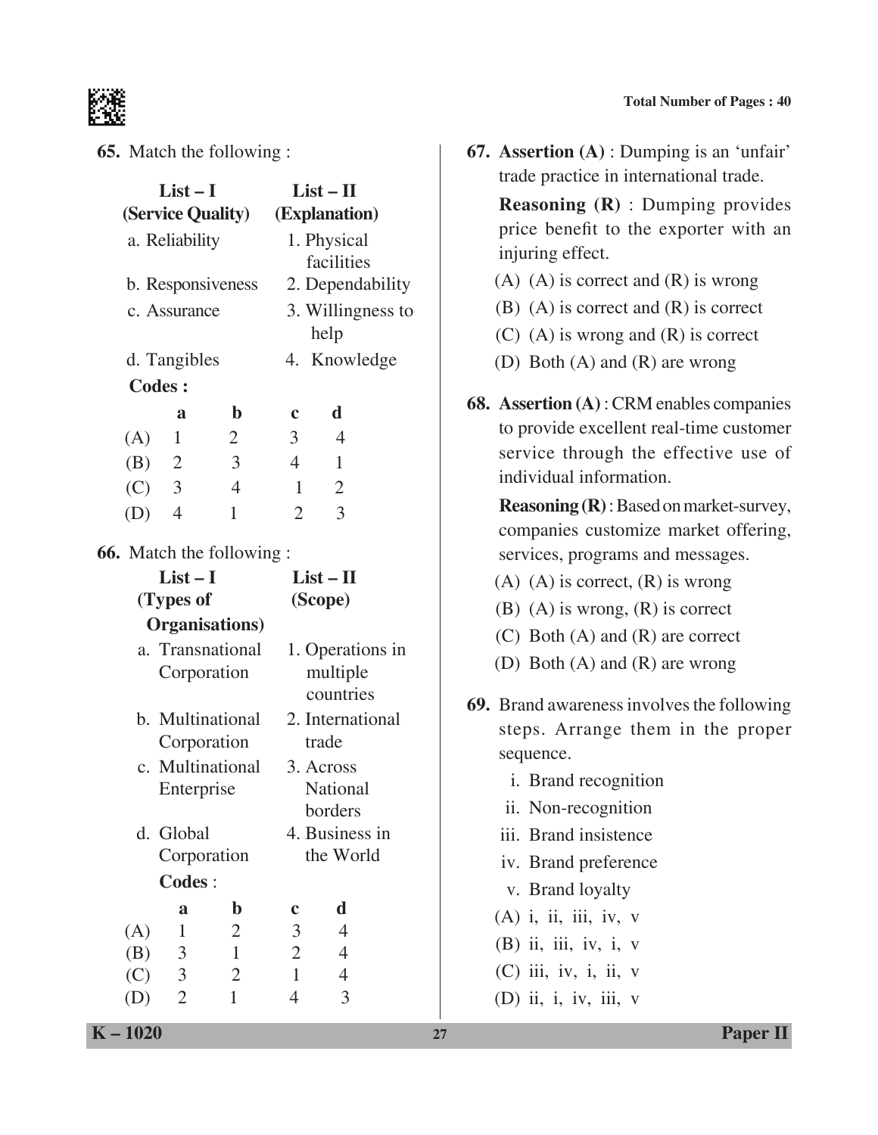

#### **65.** Match the following :

| (Service Quality)<br>(Explanation)<br>a. Reliability<br>1. Physical<br>facilities<br>b. Responsiveness<br>2. Dependability<br>3. Willingness to<br>c. Assurance<br>help<br>4. Knowledge<br>d. Tangibles<br><b>Codes:</b><br>$\mathbf b$<br>d<br>a<br>$\mathbf c$ | $List-I$ | $List - II$     |  |  |  |
|------------------------------------------------------------------------------------------------------------------------------------------------------------------------------------------------------------------------------------------------------------------|----------|-----------------|--|--|--|
|                                                                                                                                                                                                                                                                  |          |                 |  |  |  |
|                                                                                                                                                                                                                                                                  |          |                 |  |  |  |
|                                                                                                                                                                                                                                                                  |          |                 |  |  |  |
|                                                                                                                                                                                                                                                                  |          |                 |  |  |  |
|                                                                                                                                                                                                                                                                  |          |                 |  |  |  |
|                                                                                                                                                                                                                                                                  |          |                 |  |  |  |
|                                                                                                                                                                                                                                                                  |          |                 |  |  |  |
|                                                                                                                                                                                                                                                                  |          |                 |  |  |  |
|                                                                                                                                                                                                                                                                  |          |                 |  |  |  |
| $\overline{4}$<br>$\mathbf{1}$<br>3 <sup>1</sup><br>(A)<br>2                                                                                                                                                                                                     |          |                 |  |  |  |
| $\mathfrak{Z}$<br>$\overline{4}$<br>(B) 2<br>$\mathbf{1}$                                                                                                                                                                                                        |          |                 |  |  |  |
| $\overline{4}$<br>(C) 3<br>$\mathbf{2}$<br>1                                                                                                                                                                                                                     |          |                 |  |  |  |
| 3<br>$\overline{2}$<br>(D)<br>$\overline{4}$<br>$\mathbf{1}$                                                                                                                                                                                                     |          |                 |  |  |  |
| 66. Match the following :                                                                                                                                                                                                                                        |          |                 |  |  |  |
| $List-I$<br>$List-II$                                                                                                                                                                                                                                            |          |                 |  |  |  |
| (Types of<br>(Scope)                                                                                                                                                                                                                                             |          |                 |  |  |  |
| <b>Organisations</b> )                                                                                                                                                                                                                                           |          |                 |  |  |  |
| a. Transnational<br>1. Operations in                                                                                                                                                                                                                             |          |                 |  |  |  |
| multiple<br>Corporation                                                                                                                                                                                                                                          |          |                 |  |  |  |
| countries                                                                                                                                                                                                                                                        |          |                 |  |  |  |
| b. Multinational<br>2. International                                                                                                                                                                                                                             |          |                 |  |  |  |
| Corporation<br>trade                                                                                                                                                                                                                                             |          |                 |  |  |  |
| c. Multinational<br>3. Across                                                                                                                                                                                                                                    |          |                 |  |  |  |
| Enterprise                                                                                                                                                                                                                                                       |          | <b>National</b> |  |  |  |
|                                                                                                                                                                                                                                                                  |          | borders         |  |  |  |
| d. Global                                                                                                                                                                                                                                                        |          | 4. Business in  |  |  |  |
| Corporation<br>the World                                                                                                                                                                                                                                         |          |                 |  |  |  |
| <b>Codes:</b>                                                                                                                                                                                                                                                    |          |                 |  |  |  |
| d<br>$\mathbf b$<br>a<br>c                                                                                                                                                                                                                                       |          |                 |  |  |  |
| $\mathfrak{Z}$<br>4<br>$\mathbf{1}$<br>$\overline{2}$<br>(A)                                                                                                                                                                                                     |          |                 |  |  |  |
| $\overline{c}$<br>$\mathbf{1}$<br>$\overline{4}$<br>(B)<br>3<br>$\overline{3}$<br>$\overline{4}$<br>$\overline{2}$<br>$\mathbf{1}$<br>(C)                                                                                                                        |          |                 |  |  |  |
| $\overline{2}$<br>$\overline{3}$<br>$\overline{4}$<br>$\mathbf{1}$<br>(D)                                                                                                                                                                                        |          |                 |  |  |  |

**67. Assertion (A)** : Dumping is an 'unfair' trade practice in international trade.

 **Reasoning (R)** : Dumping provides price benefit to the exporter with an injuring effect.

- $(A)$   $(A)$  is correct and  $(R)$  is wrong
- (B) (A) is correct and (R) is correct
- (C) (A) is wrong and (R) is correct
- (D) Both (A) and (R) are wrong
- **68. Assertion (A)** : CRM enables companies to provide excellent real-time customer service through the effective use of individual information.

 **Reasoning (R)** : Based on market-survey, companies customize market offering, services, programs and messages.

- $(A)$   $(A)$  is correct,  $(R)$  is wrong
- (B) (A) is wrong, (R) is correct
- (C) Both (A) and (R) are correct
- (D) Both (A) and (R) are wrong
- **69.** Brand awareness involves the following steps. Arrange them in the proper sequence.
	- i. Brand recognition
	- ii. Non-recognition
	- iii. Brand insistence
	- iv. brand preference
	- v. Brand loyalty
	- (A) i, ii, iii, iv, v
	- (B) ii, iii, iv, i, v
	- $(C)$  iii, iv, i, ii, v
	- (D) ii, i, iv, iii, v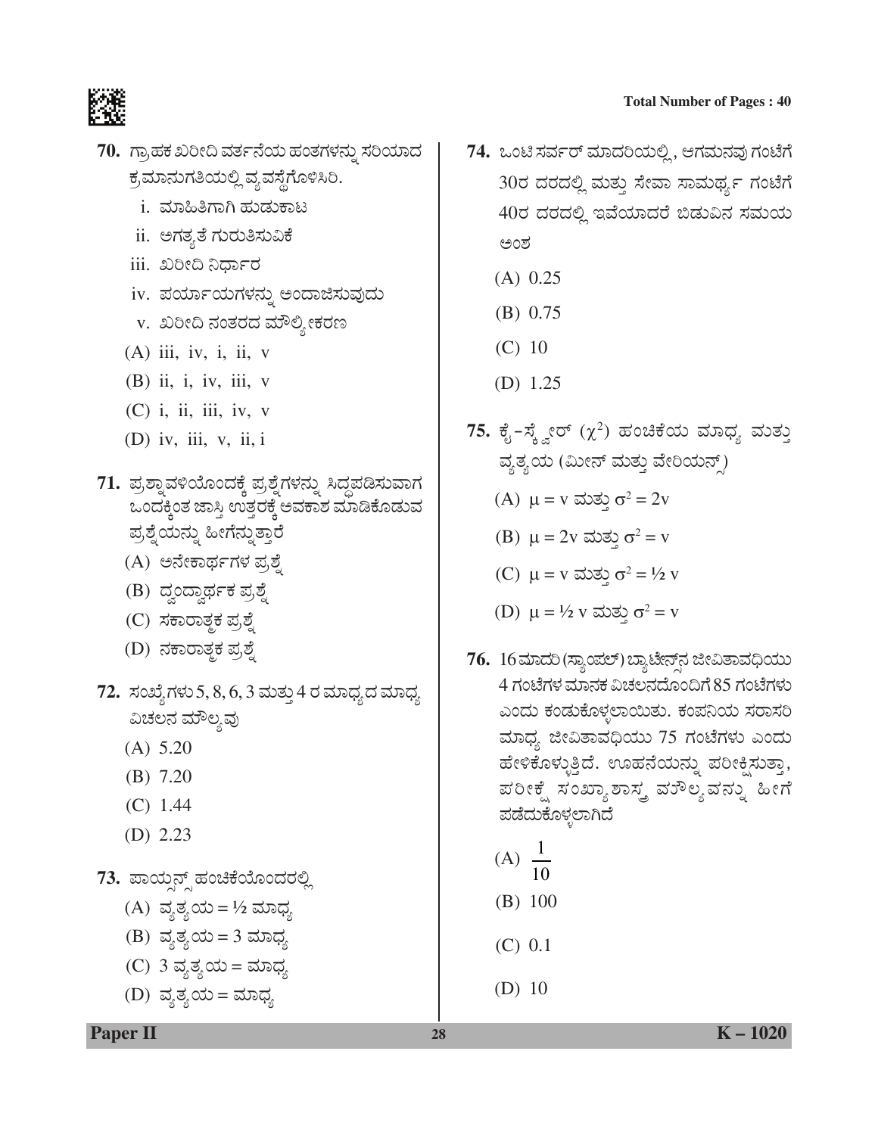

- 70. ಗ್ರಾಹಕ ಖರೀದಿ ವರ್ತನೆಯ ಹಂತಗಳನ್ನು ಸರಿಯಾದ ಕ್ರಮಾನುಗತಿಯಲ್ಲಿ ವ್ಯವಸ್ಥೆಗೊಳಿಸಿರಿ.
	- i. ಮಾಹಿತಿಗಾಗಿ ಹುಡುಕಾಟ
	- ii. ಅಗತ್ಯತೆ ಗುರುತಿಸುವಿಕೆ
	- <u>iii. ಖರೀದಿ ನಿರ್ಧಾರ</u>
	- iv. ಪರ್ಯಾಯಗಳನ್ನು ಅಂದಾಜಿಸುವುದು
	- v. ಖರೀದಿ ನಂತರದ ಮೌಲ್ಯೀಕರಣ
	- $(A)$  iii, iv, i, ii, v
	- $(B)$  ii, i, iv, iii, v
	- $(C)$  i, ii, iii, iv, v
	- $(D)$  iv, iii, v, ii, i
- 71. ಪ್ರಶ್ನಾವಳಿಯೊಂದಕ್ಕೆ ಪ್ರಶ್ನೆಗಳನ್ನು ಸಿದ್ಧಪಡಿಸುವಾಗ ಒಂದಕ್ಕಿಂತ ಜಾಸ್ತಿ ಉತ್ತರಕ್ಕೆ ಅವಕಾಶ ಮಾಡಿಕೊಡುವ ಪ್ರಶ್ನೆಯನ್ನು ಹೀಗೆನ್ನುತ್ತಾರೆ
	- (A) ಅನೇಕಾರ್ಥಗಳ ಪ್ರಶ್ನೆ
	- (B) ದ್ವಂದ್ವಾರ್ಥಕ ಪ್ರಶ್ನೆ
	- (C) ಸಕಾರಾತ್ಮಕ ಪ್ರಶ್ನೆ
	- (D) ನಕಾರಾತ್ಮಕ ಪ್ರಶ್ನೆ
- 72. ಸಂಖ್ಯೆ ಗಳು 5, 8, 6, 3 ಮತ್ತು 4 ರ ಮಾಧ್ಯ ದ ಮಾಧ್ಯ ವಿಚಲನ ಮೌಲ್ಯವು
	- $(A) 5.20$
	- $(B)$  7.20
	- $(C)$  1.44
	- (D)  $2.23$

73. ಪಾಯ್ಷನ್ಸ್ ಹಂಚಿಕೆಯೊಂದರಲ್ಲಿ

(A) ವ್ಯತ್ಯಯ=½ ಮಾಧ್ಯ (B) ವ್ಯತ್ಯಯ=3 ಮಾಧ್ಯ (C) 3 ವ್ಯತ್ಯಯ = ಮಾಧ್ಯ (D) ವ್ಯತ್ಯಯ= ಮಾಧ್ಯ

- 74. ಒಂಟಿ ಸರ್ವರ್ ಮಾದರಿಯಲ್ಲಿ, ಆಗಮನವು ಗಂಟೆಗೆ 30ರ ದರದಲ್ಲಿ ಮತ್ತು ಸೇವಾ ಸಾಮರ್ಥ್ಯ ಗಂಟೆಗೆ 40ರ ದರದಲ್ಲಿ ಇವೆಯಾದರೆ ಬಿಡುವಿನ ಸಮಯ ಅಂಶ
	- $(A)$  0.25
	- $(B) 0.75$
	- $(C)$  10
	- (D)  $1.25$
- 75. ಕೈ-ಸ್ಕ್ವೇರ್  $(\chi^2)$  ಹಂಚಿಕೆಯ ಮಾಧ್ಯ ಮತ್ತು ವ್ಯತ್ಯಯ (ಮೀನ್ ಮತ್ತು ವೇರಿಯನ್ಸ್)
	- (A)  $\mu = v$  ಮತ್ತು  $\sigma^2 = 2v$
	- (B)  $\mu = 2v$  ಮತ್ತು σ<sup>2</sup> = v
	- (C)  $\mu = v$  ಮತ್ತು σ<sup>2</sup> = 1/2 v
	- (D)  $\mu = \frac{1}{2}$  v ಮತ್ತು σ<sup>2</sup> = v
- 76. 16 ಮಾದರಿ (ಸ್ಯಾಂಪಲ್) ಬ್ಯಾಟೇನ್ ನ ಜೀವಿತಾವಧಿಯು 4 ಗಂಟೆಗಳ ಮಾನಕ ವಿಚಲನದೊಂದಿಗೆ 85 ಗಂಟೆಗಳು ಎಂದು ಕಂಡುಕೊಳ್ಳಲಾಯಿತು. ಕಂಪನಿಯ ಸರಾಸರಿ ಮಾಧ್ಯ ಜೀವಿತಾವಧಿಯು 75 ಗಂಟೆಗಳು ಎಂದು ಹೇಳಿಕೊಳ್ಳುತ್ತಿದೆ. ಊಹನೆಯನ್ನು ಪರೀಕ್ಷಿಸುತ್ತಾ, ಪರೀಕ್ಷೆ ಸಂಖ್ಯಾಶಾಸ್ತ್ರ ವರೌಲ್ಯವನ್ನು ಹೀಗೆ ಪಡೆದುಕೊಳ್ಳಲಾಗಿದೆ

$$
(A) \frac{1}{10}
$$

- $(B)$  100
- $(C) 0.1$
- (D)  $10$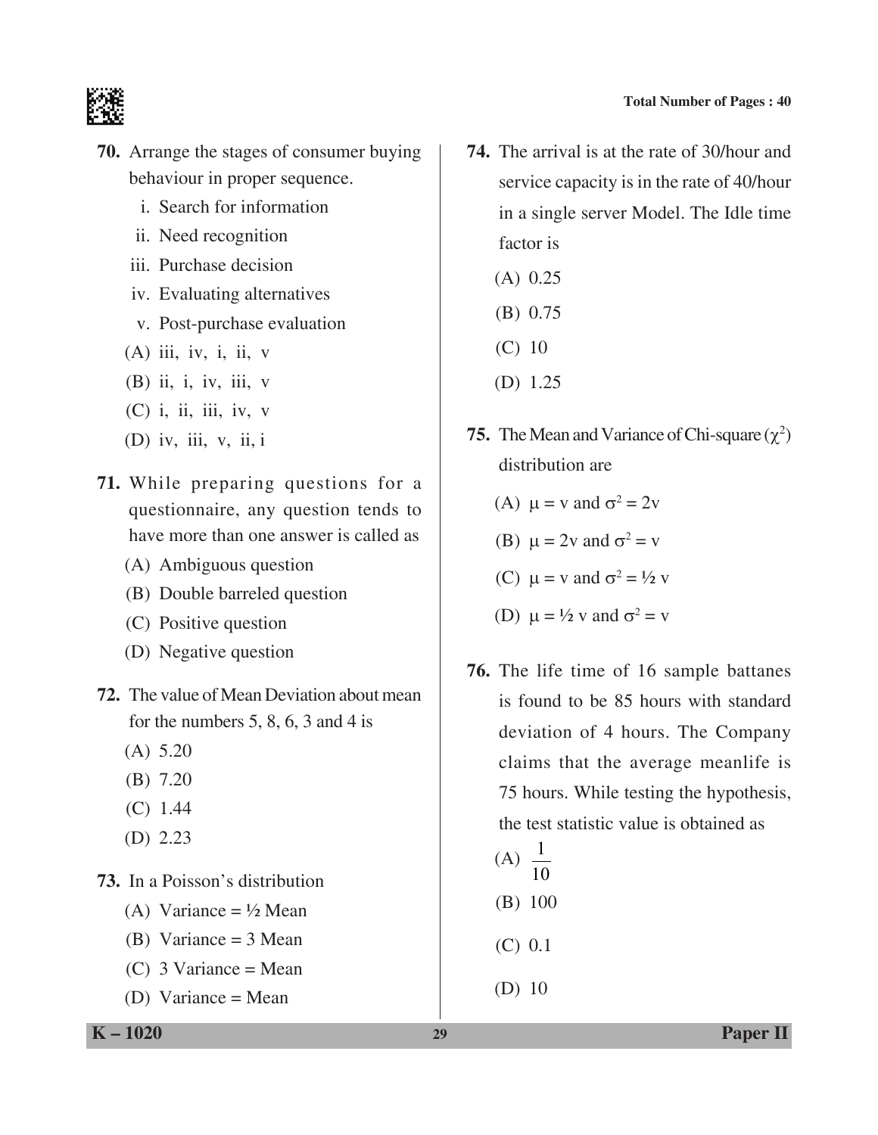

- **70.** Arrange the stages of consumer buying behaviour in proper sequence.
	- i. Search for information
	- ii. Need recognition
	- iii. Purchase decision
	- iv. Evaluating alternatives
	- v. Post-purchase evaluation
	- $(A)$  iii, iv, i, ii, v
	- (B) ii, i, iv, iii, v
	- $(C)$  i, ii, iii, iv, v
	- (D) iv, iii, v, ii, i
- **71.** While preparing questions for a questionnaire, any question tends to have more than one answer is called as
	- (A) Ambiguous question
	- (B) Double barreled question
	- (C) Positive question
	- (D) Negative question
- **72.** The value of Mean Deviation about mean for the numbers 5, 8, 6, 3 and 4 is
	- (A) 5.20
	- (B) 7.20
	- (C) 1.44
	- (D) 2.23

**73.** In a poisson's distribution

- (A) Variance  $= \frac{1}{2}$  Mean
- (B) Variance = 3 Mean
- (C)  $3 \text{ Variance} = \text{Mean}$
- (D) Variance = Mean
- **74.** The arrival is at the rate of 30/hour and service capacity is in the rate of 40/hour in a single server Model. The Idle time factor is
	- (A) 0.25
	- (B) 0.75
	- (C) 10
	- (D) 1.25
- **75.** The Mean and Variance of Chi-square  $(\chi^2)$ distribution are
	- (A)  $\mu = v$  and  $\sigma^2 = 2v$
	- (B)  $\mu = 2v$  and  $\sigma^2 = v$
	- (C)  $\mu = v$  and  $\sigma^2 = \frac{1}{2}v$
	- (D)  $\mu = \frac{1}{2}$  v and  $\sigma^2 = v$
- **76.** The life time of 16 sample battanes is found to be 85 hours with standard deviation of 4 hours. The Company claims that the average meanlife is 75 hours. While testing the hypothesis, the test statistic value is obtained as
	- (A)  $\frac{1}{1}$ 10 (B) 100 (C) 0.1
	- (D) 10

**K – 1020 29 Paper II**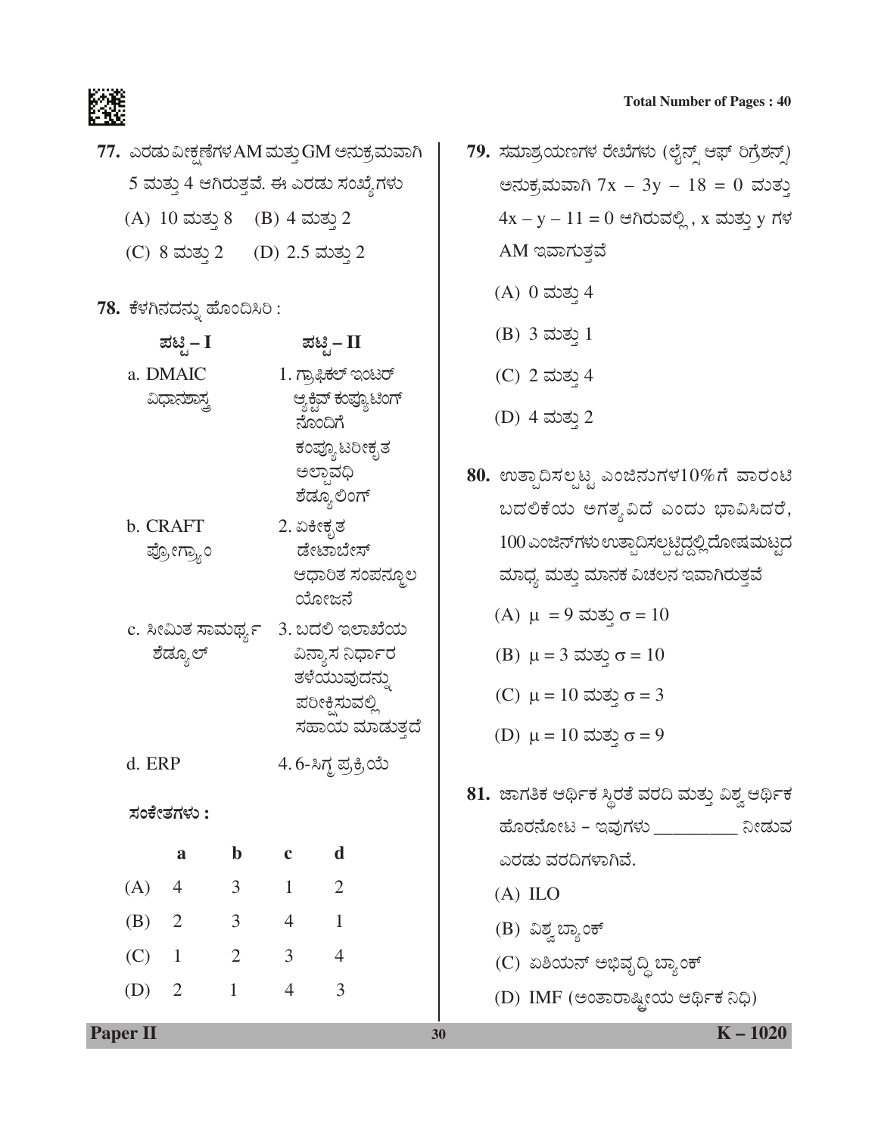

| 77.  ಎರಡು ವೀಕ್ಷಣೆಗಳ AM ಮತ್ತು GM ಅನುಕ್ರಮವಾಗಿ    |
|------------------------------------------------|
| 5 ಮತ್ತು 4 ಆಗಿರುತ್ತವೆ. ಈ ಎರಡು ಸಂಖ್ಯೆಗಳು         |
| (A) $10 \text{ and } 8$ (B) $4 \text{ and } 2$ |

(C)  $8 \text{ and } 2$  (D)  $2.5 \text{ and } 2$ 

78. ಕೆಳಗಿನದನ್ನು ಹೊಂದಿಸಿರಿ:

|                         | ಪಟಿೖೆ− I       |                                                                                                         |                | ಪಟಿೖ – II                        |                                                                                                                                                                        | $(D)$ ) တာဆုံ 1                                                                       |  |
|-------------------------|----------------|---------------------------------------------------------------------------------------------------------|----------------|----------------------------------|------------------------------------------------------------------------------------------------------------------------------------------------------------------------|---------------------------------------------------------------------------------------|--|
|                         | a. DMAIC       |                                                                                                         |                | 1. ಗ್ರಾಫಿಕಲ್ ಇಂಟರ್               |                                                                                                                                                                        | (C) 2 ಮತ್ತು 4                                                                         |  |
|                         | ವಿಧಾನಶಾಸ್ತ್ರ   |                                                                                                         |                | ಆ್ಯಕ್ಷಿವ್ ಕಂಪ್ಯೂಟಿಂಗ್<br>ನೊಂದಿಗೆ |                                                                                                                                                                        | (D) 4 ಮತ್ತು 2                                                                         |  |
| b. CRAFT<br>ಪ್ರೋಗ್ರ್ಯಾಂ |                | ಕಂಪ್ಯೂ ಟರೀಕೃತ<br>ಅಲಾವಧಿ<br>ಶೆಡ್ಯೂ ಲಿಂಗ್<br>2. ಏಕೀಕೃತ<br>ಡೇಟಾಬೇಸ್<br>ಆಧಾರಿತ ಸಂಪನ್ಮೂಲ<br>ಯೋಜನೆ            |                |                                  | 80. ಉತ್ಪಾದಿಸಲ್ಪಟ್ಟ ಎಂಜಿನುಗಳ $10\%$ ಗೆ ವಾರಂಟ<br>ಬದಲಿಕೆಯ ಅಗತ್ಯವಿದೆ ಎಂದು ಭಾವಿಸಿದರೆ<br>100 ಎಂಜಿನ್ಗಳು ಉತ್ಪಾದಿಸಲ್ಪಟ್ಟಿದ್ದಲ್ಲಿ ದೋಷಮಟ್ಟ<br>ಮಾಧ್ಯ ಮತ್ತು ಮಾನಕ ವಿಚಲನ ಇವಾಗಿರುತ್ತವೆ |                                                                                       |  |
| ಶೆಡ್ಯೂಲ್                |                | c. ಸೀಮಿತ ಸಾಮರ್ಥ್ಯ 3. ಬದಲಿ ಇಲಾಖೆಯ<br>ವಿನ್ಯಾಸ ನಿರ್ಧಾರ<br>ತಳೆಯುವುದನ್ನು<br>ಪರೀಕ್ಷಿಸುವಲ್ಲಿ<br>ಸಹಾಯ ಮಾಡುತ್ತದೆ |                |                                  | (A) $\mu = 9$ ಮತ್ತು σ = 10<br>(B) $\mu = 3$ ಮತ್ತು $\sigma = 10$<br>(C) $\mu = 10$ ಮತ್ತು σ = 3<br>(D) $\mu = 10$ ಮತ್ತು σ = 9                                            |                                                                                       |  |
| d. ERP                  |                |                                                                                                         |                | 4.6-ಸಿಗ್ಧ ಪ್ರಕ್ರಿಯೆ              |                                                                                                                                                                        |                                                                                       |  |
|                         | ಸಂಕೇತಗಳು :     |                                                                                                         |                |                                  |                                                                                                                                                                        | 81. ಜಾಗತಿಕ ಆರ್ಥಿಕ ಸ್ಥಿರತೆ ವರದಿ ಮತ್ತು ವಿಶ್ವ ಆರ್ಥಿ:<br>ಹೊರನೋಟ – ಇವುಗಳು __________ ನೀಡುವ |  |
|                         | a              | $\mathbf b$                                                                                             | $\mathbf{c}$   | $\mathbf d$                      |                                                                                                                                                                        | ಎರಡು ವರದಿಗಳಾಗಿವೆ.                                                                     |  |
| (A)                     | $\overline{4}$ | 3 <sup>7</sup>                                                                                          | 1              | $\overline{2}$                   |                                                                                                                                                                        | $(A)$ ILO                                                                             |  |
| (B)                     | $\overline{2}$ | 3 <sup>7</sup>                                                                                          | $\overline{4}$ | $\mathbf{1}$                     |                                                                                                                                                                        | (B) ವಿಶ್ವಬ್ಯಾಂಕ್                                                                      |  |
| $(C)$ 1                 |                |                                                                                                         | $2 \qquad 3$   | $\overline{4}$                   |                                                                                                                                                                        | (C) ಏಶಿಯನ್ ಅಭಿವೃದ್ಧಿ ಬ್ಯಾಂಕ್                                                          |  |
|                         | $(D)$ 2        | $1 \quad \blacksquare$                                                                                  | $\overline{4}$ | 3                                |                                                                                                                                                                        | (D) IMF (ಅಂತಾರಾಷ್ಟೀಯ ಆರ್ಥಿಕ ನಿಧಿ)                                                     |  |
| <b>Paper II</b>         |                |                                                                                                         |                |                                  | 30                                                                                                                                                                     | $K - 1020$                                                                            |  |

- 79. ಸಮಾಶ್ರಯಣಗಳ ರೇಖೆಗಳು (ಲೈನ್ಸ್ ಆಫ್ ರಿಗ್ರೆಶನ್ಸ್) ಅನುಕ್ರಮವಾಗಿ 7x – 3y – 18 = 0 ಮತ್ತು  $4x - y - 11 = 0$  ಆಗಿರುವಲ್ಲಿ, x ಮತ್ತು y ಗಳ AM ಇವಾಗುತ್ತವೆ
	- $(A)$  0 ಮತ್ತು 4
	- $(B)$  3 ಮತ್ತು 1
	- (C) 2 ಮತ್ತು 4
	- (D) 4 ಮತ್ತು 2
- 80. ಉತ್ಪಾದಿಸಲ್ಪಟ್ಟ ಎಂಜಿನುಗಳ10%ಗೆ ವಾರಂಟಿ ಬದಲಿಕೆಯ ಅಗತ್ಯವಿದೆ ಎಂದು ಭಾವಿಸಿದರೆ,  $100$  ಎಂಜಿನ್ $\vec{n}$ ಳು ಉತ್ಪಾದಿಸಲ್ಪಟ್ಟಿದ್ದಲ್ಲಿ ದೋಷಮಟ್ಟದ ಮಾಧ್ಯ ಮತ್ತು ಮಾನಕ ವಿಚಲನ ಇವಾಗಿರುತ್ತವೆ
	- (A)  $\mu = 9$  ಮತ್ತು σ = 10
	- (B)  $\mu = 3$  ಮತ್ತು σ = 10
	- (C)  $μ = 10$  ಮತ $σ = 3$
	- (D)  $\mu = 10$  ಮತ್ತು σ = 9
- 81. ಜಾಗತಿಕ ಆರ್ಥಿಕ ಸ್ಥಿರತೆ ವರದಿ ಮತ್ತು ವಿಶ್ವ ಆರ್ಥಿಕ ಹೊರನೋಟ – ಇವುಗಳು \_\_\_\_\_\_\_\_\_\_ ನೀಡುವ ಎರಡು ವರದಿಗಳಾಗಿವೆ.
	- (A) ILO
	- (B) ವಿಶ್ವ ಬ್ಯಾಂಕ್
	- (C) ಏಶಿಯನ್ ಅಭಿವೃದ್ಧಿ ಬ್ಯಾಂಕ್
	- (D) IMF (ಅಂತಾರಾಷ್ಟ್ರೀಯ ಆರ್ಥಿಕ ನಿಧಿ)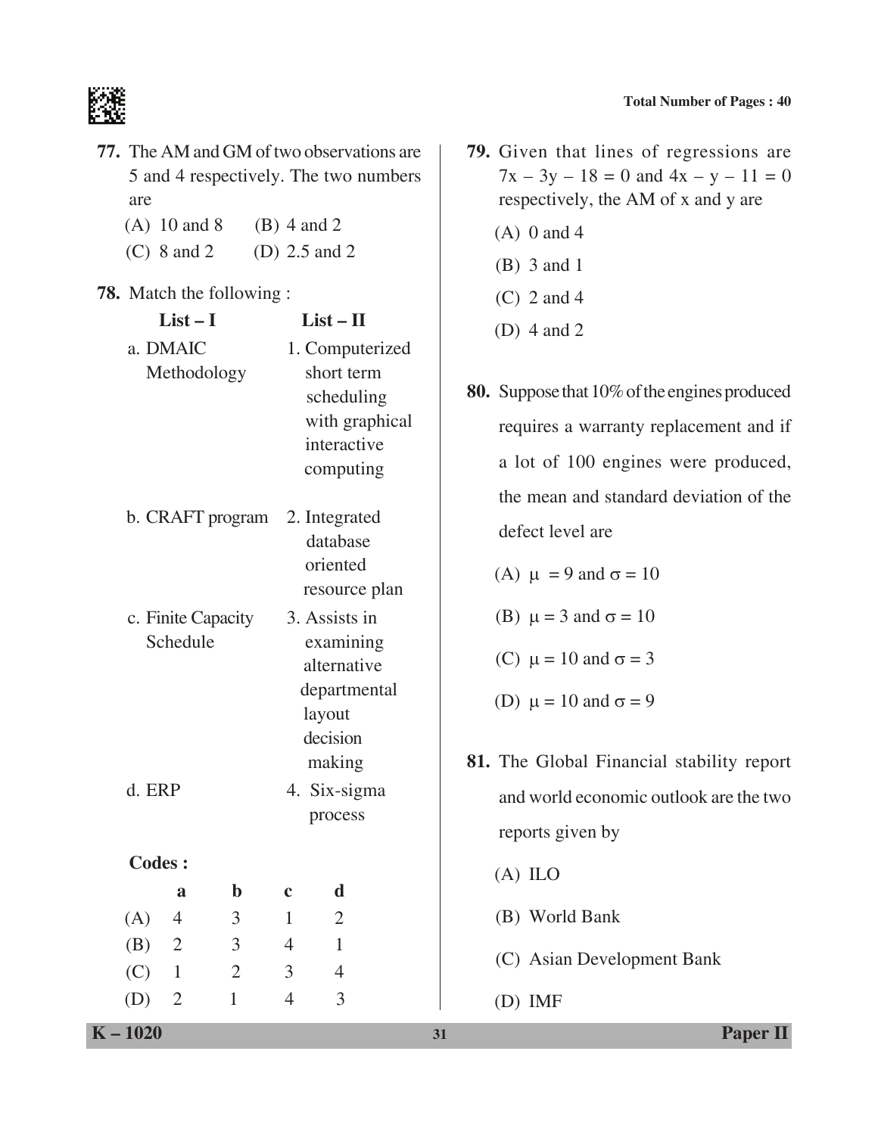

- **77.** The AM and GM of two observations are 5 and 4 respectively. The two numbers are
	- (A)  $10$  and  $8$  (B)  $4$  and  $2$
	- (C) 8 and 2 (D) 2.5 and 2

#### **78.** Match the following :

|               | $List-I$<br>$List - II$<br>a. DMAIC<br>1. Computerized<br>Methodology<br>short term<br>scheduling<br>with graphical<br>interactive<br>computing<br>b. CRAFT program<br>2. Integrated<br>database<br>oriented<br>resource plan<br>3. Assists in<br>c. Finite Capacity<br>Schedule<br>examining<br>alternative<br>departmental<br>layout<br>decision<br>making<br>d. ERP<br>4. Six-sigma<br>process |                                  |                                  | (D) $4$ and $2$                                                                                                              |                                                                                                                                                    |                                                                                               |  |
|---------------|---------------------------------------------------------------------------------------------------------------------------------------------------------------------------------------------------------------------------------------------------------------------------------------------------------------------------------------------------------------------------------------------------|----------------------------------|----------------------------------|------------------------------------------------------------------------------------------------------------------------------|----------------------------------------------------------------------------------------------------------------------------------------------------|-----------------------------------------------------------------------------------------------|--|
|               |                                                                                                                                                                                                                                                                                                                                                                                                   |                                  |                                  | 80. Suppose that 10% of the engines produced<br>requires a warranty replacement and if<br>a lot of 100 engines were produced |                                                                                                                                                    |                                                                                               |  |
|               |                                                                                                                                                                                                                                                                                                                                                                                                   |                                  |                                  |                                                                                                                              |                                                                                                                                                    | the mean and standard deviation of the<br>defect level are<br>(A) $\mu = 9$ and $\sigma = 10$ |  |
|               |                                                                                                                                                                                                                                                                                                                                                                                                   |                                  |                                  |                                                                                                                              | (B) $\mu = 3$ and $\sigma = 10$<br>(C) $\mu = 10$ and $\sigma = 3$<br>(D) $\mu = 10$ and $\sigma = 9$<br>81. The Global Financial stability report |                                                                                               |  |
|               |                                                                                                                                                                                                                                                                                                                                                                                                   |                                  |                                  |                                                                                                                              |                                                                                                                                                    | and world economic outlook are the two<br>reports given by                                    |  |
| <b>Codes:</b> |                                                                                                                                                                                                                                                                                                                                                                                                   |                                  |                                  |                                                                                                                              |                                                                                                                                                    | $(A)$ ILO                                                                                     |  |
| (A)           | a<br>$\overline{4}$                                                                                                                                                                                                                                                                                                                                                                               | $\mathbf b$<br>$\mathfrak{Z}$    | $\mathbf c$<br>$\mathbf{1}$      | $\mathbf d$<br>$\overline{2}$                                                                                                |                                                                                                                                                    | (B) World Bank                                                                                |  |
| (B)<br>(C)    | $\overline{2}$<br>$\mathbf{1}$                                                                                                                                                                                                                                                                                                                                                                    | $\mathfrak{Z}$<br>$\overline{2}$ | $\overline{4}$<br>$\mathfrak{Z}$ | $\mathbf{1}$<br>$\overline{4}$                                                                                               |                                                                                                                                                    | (C) Asian Development Bank                                                                    |  |
| (D)           | $\overline{2}$                                                                                                                                                                                                                                                                                                                                                                                    | $\mathbf{1}$                     | $\overline{4}$                   | $\overline{3}$                                                                                                               |                                                                                                                                                    | $(D)$ IMF                                                                                     |  |
| $K - 1020$    |                                                                                                                                                                                                                                                                                                                                                                                                   |                                  |                                  |                                                                                                                              | 31                                                                                                                                                 | <b>Paper II</b>                                                                               |  |

- **79.** Given that lines of regressions are  $7x - 3y - 18 = 0$  and  $4x - y - 11 = 0$ respectively, the AM of x and y are
	- $(A)$  0 and 4
	- (B) 3 and 1
	- (C) 2 and 4
	- (D) 4 and 2
- **80.** Suppose that 10% of the engines produced requires a warranty replacement and if a lot of 100 engines were produced, the mean and standard deviation of the defect level are
	- (A)  $\mu = 9$  and  $\sigma = 10$
	- (B)  $\mu = 3$  and  $\sigma = 10$
	- (C)  $\mu = 10$  and  $\sigma = 3$
	- (D)  $\mu = 10$  and  $\sigma = 9$
- **81.** The Global Financial stability report and world economic outlook are the two reports given by
	- (A) ILO
	- (B) World Bank
	- (C) Asian Development Bank
	- (D) IMF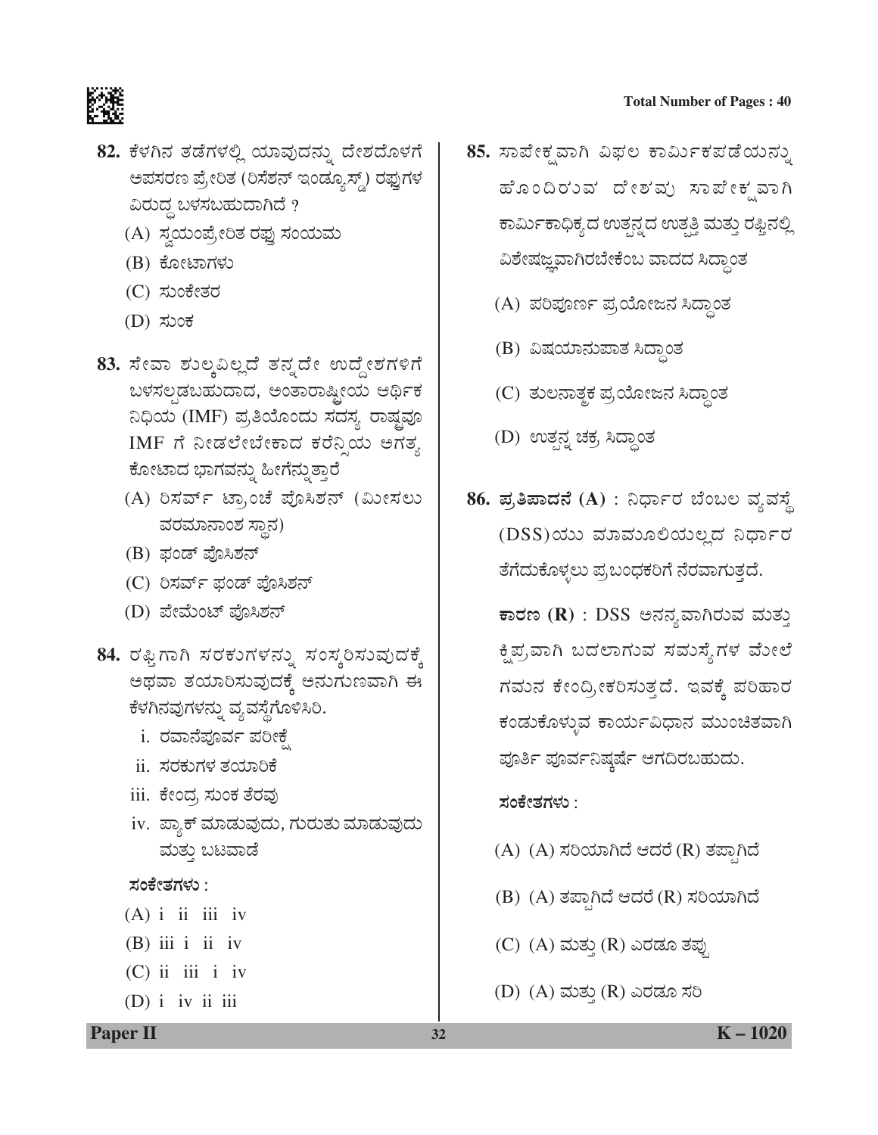

- 82. ಕೆಳಗಿನ ತಡೆಗಳಲ್ಲಿ ಯಾವುದನ್ನು ದೇಶದೊಳಗೆ ಅಪಸರಣ ಪ್ರೇರಿತ (ರಿಸೆಶನ್ ಇಂಡ್ಯೂಸ್ಡ್) ರಫ್ತುಗಳ ವಿರುದ್ಧ ಬಳಸಬಹುದಾಗಿದೆ ?
	- (A) ಸ್ವಯಂಪ್ರೇರಿತ ರಫ್ತು ಸಂಯಮ
	- (B) ಕೋಟಾಗಳು
	- (C) ಸುಂಕೇತರ
	- $(D)$  ಸುಂಕ
- 83. ಸೇವಾ ಶುಲ್ಕವಿಲ್ಲದೆ ತನ್ನದೇ ಉದ್ದೇಶಗಳಿಗೆ ಬಳಸಲ್ಪಡಬಹುದಾದ, ಅಂತಾರಾಷ್ಟೀಯ ಆರ್ಥಿಕ ನಿಧಿಯ (IMF) ಪ್ರತಿಯೊಂದು ಸದಸ್ಯ ರಾಷ್ಠವೂ IMF ಗೆ ನೀಡಲೇಬೇಕಾದ ಕರೆನ್ಸಿಯ ಅಗತ್ಯ ಕೋಟಾದ ಭಾಗವನ್ನು ಹೀಗೆನ್ನುತ್ತಾರೆ
	- (A) ರಿಸರ್ವ್ ಟ್ರಾಂಚೆ ಪೊಸಿಶನ್ (ಮೀಸಲು ವರಮಾನಾಂಶ ಸ್ಥಾನ)
	- (B) ಫಂಡ್ ಪೊಸಿಶನ್
	- (C) ರಿಸರ್ವ್ ಫಂಡ್ ಪೊಸಿಶನ್
	- (D) ಪೇಮೆಂಟ್ ಪೊಸಿಶನ್
- 84. ರಫ್ತಿಗಾಗಿ ಸರಕುಗಳನ್ನು ಸಂಸ್ಕರಿಸುವುದಕ್ಕೆ ಅಥವಾ ತಯಾರಿಸುವುದಕ್ಕೆ ಅನುಗುಣವಾಗಿ ಈ ಕೆಳಗಿನವುಗಳನ್ನು ವ್ಯವಸ್ಥೆಗೊಳಿಸಿರಿ.
	- i. ರವಾನೆಪೂರ್ವ ಪರೀಕ್ಷೆ
	- ii. ಸರಕುಗಳ ತಯಾರಿಕೆ
	- iii. ಕೇಂದ್ರ ಸುಂಕ ತೆರವು
	- iv. ಪ್ಯಾಕ್ ಮಾಡುವುದು, ಗುರುತು ಮಾಡುವುದು ಮತ್ತು ಬಟವಾಡೆ

#### ಸಂಕೇತಗಳು :

- $(A)$  i ii iii iv
- $(B)$  iii i ii iv
- $(C)$  ii iii i iv
- $(D)$  i iv ii iii
- 85. ಸಾಪೇಕ್ಷವಾಗಿ ವಿಫಲ ಕಾರ್ಮಿಕಪಡೆಯನ್ನು ಹೊಂದಿರುವ ದೇಶಮ್ರ ಸಾಪೇಕೃವಾಗಿ ಕಾರ್ಮಿಕಾಧಿಕ್ಯದ ಉತ್ಪನ್ನದ ಉತ್ಪತ್ತಿ ಮತ್ತು ರಫ್ತಿನಲ್ಲಿ ವಿಶೇಷಜ್ಞವಾಗಿರಬೇಕೆಂಬ ವಾದದ ಸಿದ್ಧಾಂತ
	- (A) ಪರಿಪೂರ್ಣ ಪ್ರಯೋಜನ ಸಿದ್ಧಾಂತ
	- (B) ವಿಷಯಾನುಪಾತ ಸಿದ್ಧಾಂತ
	- (C) ತುಲನಾತ್ಮಕ ಪ್ರಯೋಜನ ಸಿದ್ಧಾಂತ
	- (D) ಉತ್ಪನ್ನ ಚಕ್ರ ಸಿದ್ಧಾಂತ
- 86. ಪ್ರತಿಪಾದನೆ (A) : ನಿರ್ಧಾರ ಬೆಂಬಲ ವ್ಯವಸ್ಥೆ (DSS)ಯು ಮಾಮೂಲಿಯಲ್ಲದ ನಿರ್ಧಾರ ತೆಗೆದುಕೊಳ್ಳಲು ಪ್ರಬಂಧಕರಿಗೆ ನೆರವಾಗುತ್ತದೆ.

ಕಾರಣ ( $\mathbf R$ ) : DSS ಅನನ್ಯವಾಗಿರುವ ಮತ್ತು ಕ್ಷಿಪ್ರವಾಗಿ ಬದಲಾಗುವ ಸಮಸ್ಯೆಗಳ ಮೇಲೆ ಗಮುನ ಕೇಂದ್ರೀಕರಿಸುತ್ತದೆ. ಇವಕ್ಕೆ ಪರಿಹಾರ ಕಂಡುಕೊಳ್ಳುವ ಕಾರ್ಯವಿಧಾನ ಮುಂಚಿತವಾಗಿ ಪೂರ್ತಿ ಪೂರ್ವನಿಷ್ಠರ್ಷೆ ಆಗದಿರಬಹುದು.

#### ಸಂಕೇತಗಳು :

- (A) (A) ಸರಿಯಾಗಿದೆ ಆದರೆ (R) ತಪಾಗಿದೆ
- (B) (A) ತಪ್ಪಾಗಿದೆ ಆದರೆ (R) ಸರಿಯಾಗಿದೆ
- (C) (A) ಮತ್ತು (R) ಎರಡೂ ತಪು
- (D) (A) ಮತ್ತು (R) ಎರಡೂ ಸರಿ

**Paper II**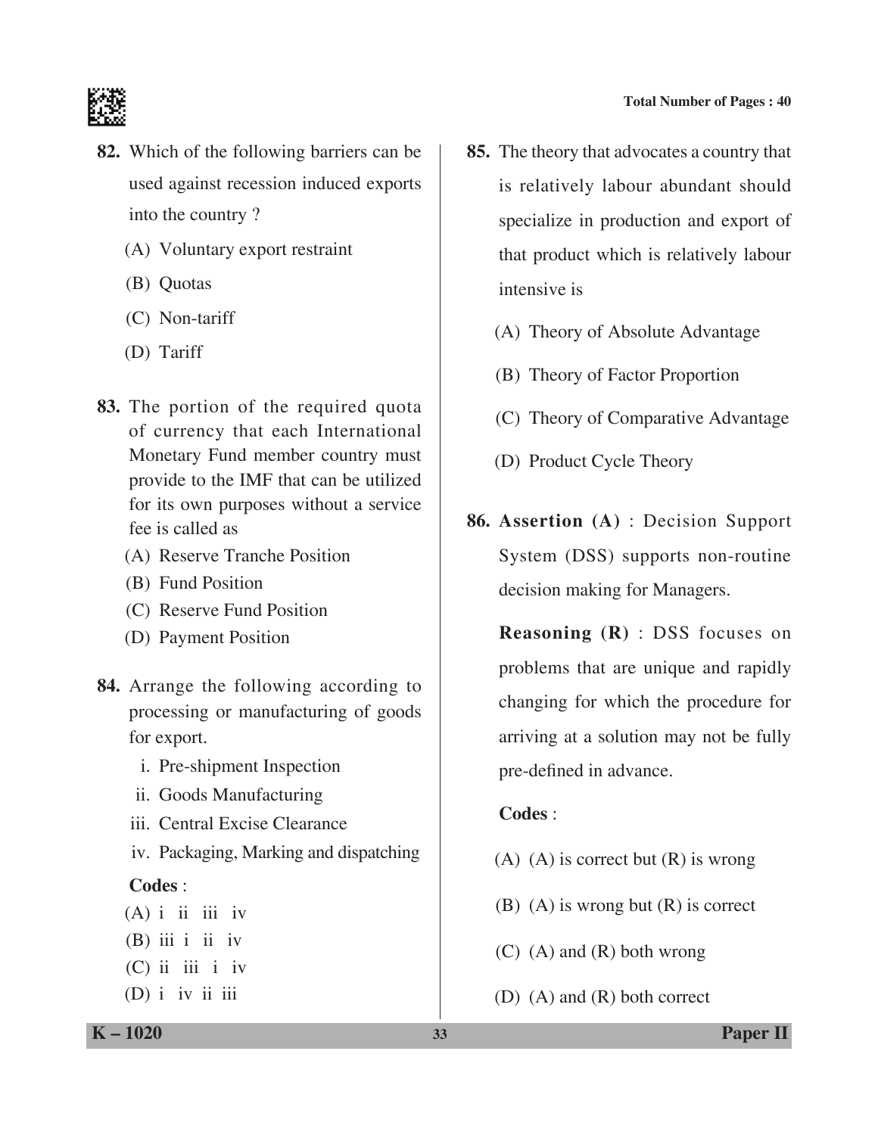

- **82.** Which of the following barriers can be used against recession induced exports into the country ?
	- (A) Voluntary export restraint
	- (B) Quotas
	- (C) Non-tariff
	- (D) Tariff
- **83.** The portion of the required quota of currency that each International Monetary Fund member country must provide to the IMF that can be utilized for its own purposes without a service fee is called as
	- (A) Reserve Tranche Position
	- (B) Fund Position
	- (C) Reserve Fund position
	- (D) Payment position
- **84.** Arrange the following according to processing or manufacturing of goods for export.
	- i. Pre-shipment Inspection
	- ii. Goods Manufacturing
	- iii. Central Excise Clearance
	- iv. Packaging, Marking and dispatching

# **Codes** :

- $(A)$  i ii iii iv
- $(B)$  iii i ii iv
- $(C)$  ii iii i iv
- $(D)$  i iv ii iii
- **85.** The theory that advocates a country that is relatively labour abundant should specialize in production and export of that product which is relatively labour intensive is
	- (A) Theory of Absolute Advantage
	- (B) Theory of Factor Proportion
	- (C) Theory of Comparative Advantage
	- (D) Product Cycle Theory
- **86. Assertion (A)** : Decision Support System (DSS) supports non-routine decision making for Managers.

 **Reasoning (R)** : DSS focuses on problems that are unique and rapidly changing for which the procedure for arriving at a solution may not be fully pre-defined in advance.

# **Codes** :

- $(A)$   $(A)$  is correct but  $(R)$  is wrong
- (B) (A) is wrong but (R) is correct
- (C) (A) and (R) both wrong
- (D) (A) and (R) both correct

**K – 1020 33 Paper II**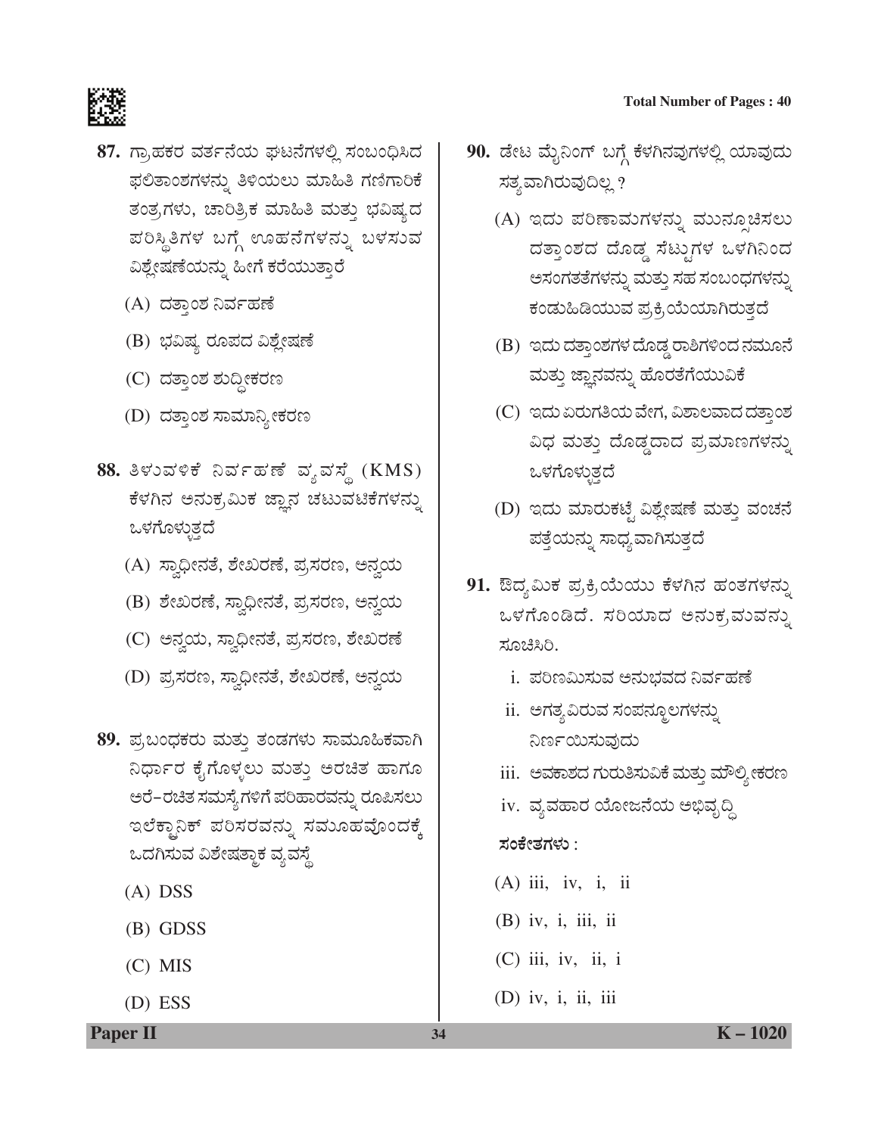

- 87. ಗ್ರಾಹಕರ ವರ್ತನೆಯ ಘಟನೆಗಳಲ್ಲಿ ಸಂಬಂಧಿಸಿದ ಫಲಿತಾಂಶಗಳನ್ನು ತಿಳಿಯಲು ಮಾಹಿತಿ ಗಣಿಗಾರಿಕೆ ತಂತ್ರಗಳು, ಚಾರಿತ್ರಿಕ ಮಾಹಿತಿ ಮತ್ತು ಭವಿಷ್ಯದ ಪರಿಸ್ಥಿತಿಗಳ ಬಗ್ಗೆ ಊಹನೆಗಳನ್ನು ಬಳಸುವ ವಿಶ್ಲೇಷಣೆಯನ್ನು ಹೀಗೆ ಕರೆಯುತ್ತಾರೆ
	- (A) ದತ್ತಾಂಶ ನಿರ್ವಹಣೆ
	- (B) ಭವಿಷ್ಯ ರೂಪದ ವಿಶ್ಲೇಷಣೆ
	- (C) ದತ್ತಾಂಶ ಶುದ್ಧೀಕರಣ
	- (D) ದತ್ತಾಂಶ ಸಾಮಾನ್ಯೀಕರಣ
- 88. ತಿಳುವಳಿಕೆ ನಿರ್ವಹಣೆ ವ್ಯವಸ್ಥೆ (KMS) ಕೆಳಗಿನ ಅನುಕ್ರಮಿಕ ಜ್ಞಾನ ಚಟುವಟಿಕೆಗಳನ್ನು ಒಳಗೊಳ್ಳುತ್ತದೆ
	- (A) ಸ್ವಾಧೀನತೆ, ಶೇಖರಣೆ, ಪ್ರಸರಣ, ಅನ್ವಯ
	- (B) ಶೇಖರಣೆ, ಸ್ವಾಧೀನತೆ, ಪ್ರಸರಣ, ಅನ್ವಯ
	- (C) ಅನ್ವಯ, ಸ್ವಾಧೀನತೆ, ಪ್ರಸರಣ, ಶೇಖರಣೆ
	- (D) ಪ್ರಸರಣ, ಸ್ವಾಧೀನತೆ, ಶೇಖರಣೆ, ಅನ್ವಯ
- 89. ಪ್ರಬಂಧಕರು ಮತ್ತು ತಂಡಗಳು ಸಾಮೂಹಿಕವಾಗಿ ನಿರ್ಧಾರ ಕೈಗೊಳ್ಳಲು ಮತ್ತು ಅರಚಿತ ಹಾಗೂ ಅರೆ–ರಚಿತ ಸಮಸ್ಯೆ ಗಳಿಗೆ ಪರಿಹಾರವನ್ನು ರೂಪಿಸಲು ಇಲೆಕ್ಟಾನಿಕ್ ಪರಿಸರವನ್ನು ಸಮೂಹವೊಂದಕ್ಕೆ ಒದಗಿಸುವ ವಿಶೇಷತ್ತಾಕ ವ್ಯವಸ್ಥೆ
	- (A) DSS
	- (B) GDSS
	- (C) MIS
	- (D) ESS
- 90. ಡೇಟ ಮೈನಿಂಗ್ ಬಗ್ಗೆ ಕೆಳಗಿನವುಗಳಲ್ಲಿ ಯಾವುದು ಸತ್ಯವಾಗಿರುವುದಿಲ್ಲ ?
	- (A) ಇದು ಪರಿಣಾಮಗಳನ್ನು ಮುನ್ನೂಚಿಸಲು ದತ್ತಾಂಶದ ದೊಡ್ಡ ಸೆಟ್ಟುಗಳ ಒಳಗಿನಿಂದ ಅಸಂಗತತೆಗಳನ್ನು ಮತ್ತು ಸಹ ಸಂಬಂಧಗಳನ್ನು ಕಂಡುಹಿಡಿಯುವ ಪ್ರಕ್ರಿಯೆಯಾಗಿರುತ್ತದೆ
	- (B) ಇದು ದತ್ತಾಂಶಗಳ ದೊಡ್ಡ ರಾಶಿಗಳಿಂದ ನಮೂನೆ ಮತ್ತು ಜ್ಞಾನವನ್ನು ಹೊರತೆಗೆಯುವಿಕೆ
	- $(C)$  ಇದು ಏರುಗತಿಯ ವೇಗ, ವಿಶಾಲವಾದ ದತ್ತಾಂಶ ವಿಧ ಮತ್ತು ದೊಡ್ಡದಾದ ಪ್ರಮಾಣಗಳನ್ನು ಒಳಗೊಳ್ಳುತ್ತದೆ
	- (D) ಇದು ಮಾರುಕಟ್ಟೆ ವಿಶ್ಲೇಷಣೆ ಮತ್ತು ವಂಚನೆ ಪತ್ತೆಯನ್ನು ಸಾಧ್ಯವಾಗಿಸುತ್ತದೆ
- 91. ಔದ್ಯಮಿಕ ಪ್ರಕ್ರಿಯೆಯು ಕೆಳಗಿನ ಹಂತಗಳನ್ನು ಒಳಗೊಂಡಿದೆ. ಸರಿಯಾದ ಅನುಕ್ರಮುವನ್ನು ಸೂಚಿಸಿರಿ.
	- i. ಪರಿಣಮಿಸುವ ಅನುಭವದ ನಿರ್ವಹಣೆ
	- ii. ಅಗತ್ಯವಿರುವ ಸಂಪನ್ಮೂಲಗಳನ್ನು ನಿರ್ಣಯಿಸುವುದು
	- iii. ಅವಕಾಶದ ಗುರುತಿಸುವಿಕೆ ಮತ್ತು ಮೌಲ್ಯೀಕರಣ
	- iv. ವ್ಯವಹಾರ ಯೋಜನೆಯ ಅಭಿವೃದ್ಧಿ

#### ಸಂಕೇತಗಳು :

- $(A)$  iii, iv, i, ii
- (B) iv, i, iii, ii
- $(C)$  iii, iv, ii, i
- (D) iv, i, ii, iii

**Paper II 34 K** – 1020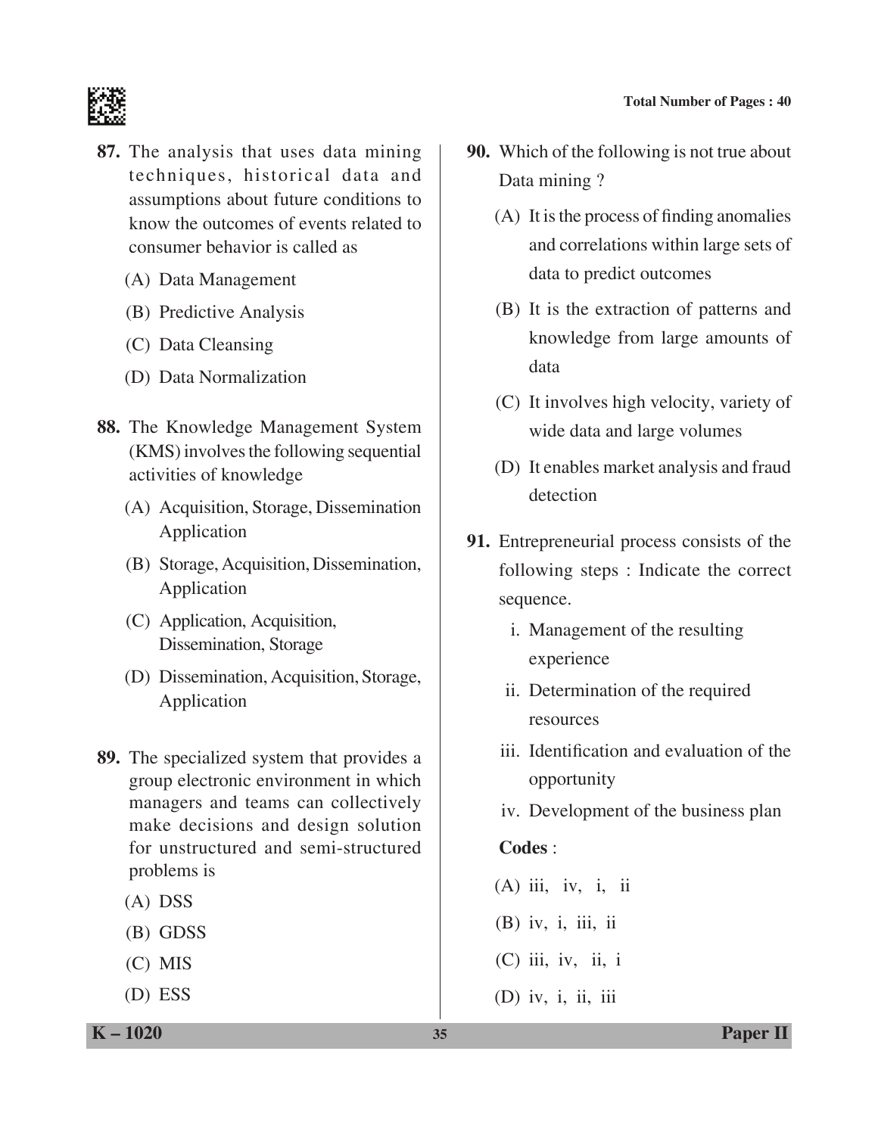

- **87.** The analysis that uses data mining techniques, historical data and assumptions about future conditions to know the outcomes of events related to consumer behavior is called as
	- (A) Data Management
	- (B) Predictive Analysis
	- (C) Data Cleansing
	- (D) Data Normalization
- **88.** The Knowledge Management System (KMS) involves the following sequential activities of knowledge
	- (A) Acquisition, Storage, Dissemination application
	- (B) Storage, Acquisition, Dissemination, Application
	- (C) Application, Acquisition, Dissemination, Storage
	- (D) Dissemination, Acquisition, Storage, Application
- **89.** The specialized system that provides a group electronic environment in which managers and teams can collectively make decisions and design solution for unstructured and semi-structured problems is
	- (A) DSS
	- (B) GDSS
	- (C) MIS
	- (D) ESS
- **90.** Which of the following is not true about Data mining ?
	- (A) It is the process of finding anomalies and correlations within large sets of data to predict outcomes
	- (B) It is the extraction of patterns and knowledge from large amounts of data
	- (C) It involves high velocity, variety of wide data and large volumes
	- (D) It enables market analysis and fraud detection
- **91.** Entrepreneurial process consists of the following steps : Indicate the correct sequence.
	- i. Management of the resulting experience
	- ii. Determination of the required resources
	- iii. Identification and evaluation of the opportunity
	- iv. Development of the business plan

# **Codes** :

- $(A)$  iii, iv, i, ii
- (B) iv, i, iii, ii
- $(C)$  iii, iv, ii, i
- (D) iv, i, ii, iii

**K – 1020 35 Paper II**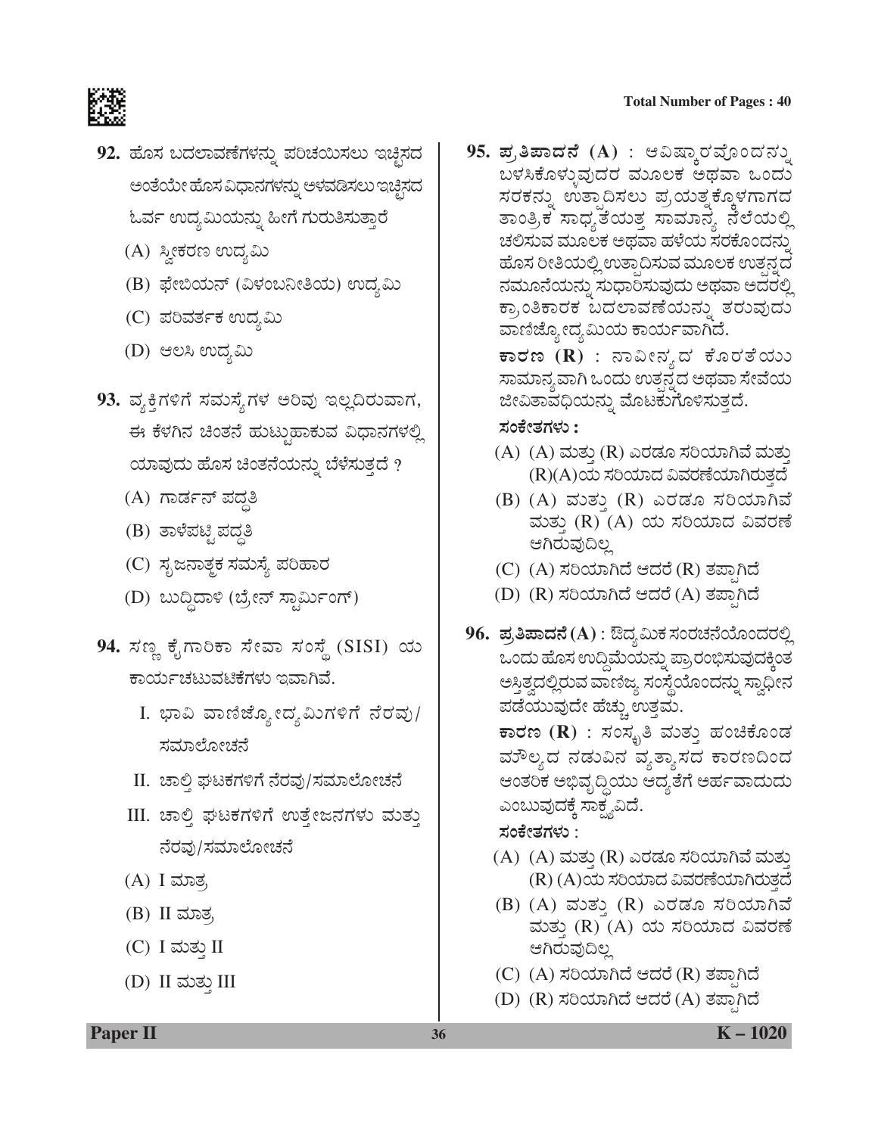#### **Total Number of Pages : 40**



- 92. ಹೊಸ ಬದಲಾವಣೆಗಳನ್ನು ಪರಿಚಯಿಸಲು ಇಚ್ಛಿಸದ ಅಂತೆಯೇ ಹೊಸ ವಿಧಾನಗಳನ್ನು ಅಳವಡಿಸಲು ಇಚ್ಛಿಸದ ಓರ್ವ ಉದ್ಯಮಿಯನ್ನು ಹೀಗೆ ಗುರುತಿಸುತ್ತಾರೆ
	- (A) ಸ್ತೀಕರಣ ಉದ್ಯಮಿ
	- (B) ಫೇಬಿಯನ್ (ವಿಳಂಬನೀತಿಯ) ಉದ್ಯಮಿ
	- (C) ಪರಿವರ್ತಕ ಉದ್ಯಮಿ
	- (D) ಆಲಸಿ ಉದ್ಯಮಿ
- 93. ವ್ಯಕ್ತಿಗಳಿಗೆ ಸಮಸ್ಯೆಗಳ ಅರಿವು ಇಲ್ಲದಿರುವಾಗ, ಈ ಕೆಳಗಿನ ಚಿಂತನೆ ಹುಟ್ಟುಹಾಕುವ ವಿಧಾನಗಳಲ್ಲಿ ಯಾವುದು ಹೊಸ ಚಿಂತನೆಯನ್ನು ಬೆಳೆಸುತ್ತದೆ ?
	- (A) ಗಾರ್ಡನ್ ಪದ್ಧತಿ
	- $(B)$  ತಾಳೆಪಟ್ಟಿ ಪದ್ಧತಿ
	- (C) ಸೃಜನಾತ್ಮಕ ಸಮಸ್ಯೆ ಪರಿಹಾರ
	- (D) ಬುದ್ದಿದಾಳಿ (ಬ್ರೇನ್ ಸ್ಟಾರ್ಮಿಂಗ್)
- 94. ಸಣ್ಣ ಕೈಗಾರಿಕಾ ಸೇವಾ ಸಂಸ್ಥೆ (SISI) ಯ ಕಾರ್ಯಚಟುವಟಿಕೆಗಳು ಇವಾಗಿವೆ.
	- I. ಭಾವಿ ವಾಣಿಜ್ಯೋದ್ಯಮಿಗಳಿಗೆ ನೆರವು/ ಸಮಾಲೋಚನೆ
	- II. ಚಾಲ್ತಿ ಘಟಕಗಳಿಗೆ ನೆರವು/ಸಮಾಲೋಚನೆ
	- III. ಚಾಲ್ತಿ ಘಟಕಗಳಿಗೆ ಉತ್ತೇಜನಗಳು ಮತ್ತು ನೆರವು/ಸಮಾಲೋಚನೆ
	- (A) I ಮಾತ,
	- $(B)$  II ಮಾತ್ರ
	- (C) I ಮತ್ತು II
	- $(D)$  II ಮತ್ತು III

 $95.$  **ಪ್ರತಿಪಾದನೆ (A)** : ಆವಿಷ್ಕಾರವೊಂದನ್ನು ಬಳಸಿಕೊಳ್ಳುವುದರ ಮೂಲಕ ಅಥವಾ ಒಂದು ಸರಕನ್ನು ಉತ್ಪಾದಿಸಲು ಪ್ರಯತ್ನಕ್ಕೊಳಗಾಗದ ತಾಂತ್ರಿಕ ಸಾಧ್ಯತೆಯತ್ತ ಸಾಮಾನ್ಯ ನೆಲೆಯಲ್ಲಿ ಚಲಿಸುವ ಮೂಲಕ ಅಥವಾ ಹಳೆಯ ಸರಕೊಂದನ್ನು ಹೊಸ ರೀತಿಯಲ್ಲಿ ಉತ್ಪಾದಿಸುವ ಮೂಲಕ ಉತ್ಪನ್ನದ ನಮೂನೆಯನ್ನು ಸುಧಾರಿಸುವುದು ಅಥವಾ ಅದರಲ್ಲಿ ಕ್ರಾಂತಿಕಾರಕ ಬದಲಾವಣೆಯನ್ನು ತರುವುದು ವಾಣಿಜ್ಯೋದ್ಯಮಿಯ ಕಾರ್ಯವಾಗಿದೆ.

> $\,$  **ಕಾರಣ (R)** : ನಾವೀನ್ಯದ ಕೊರತೆಯು ಸಾಮಾನ್ಯವಾಗಿ ಒಂದು ಉತ್ಪನ್ನದ ಅಥವಾ ಸೇವೆಯ ಜೀವಿತಾವಧಿಯನ್ನು ಮೊಟಕುಗೊಳಿಸುತ್ತದೆ.

#### ಸಂಕೇತಗಳು :

- (A)  $(A)$  ಮತ್ತು (R) ಎರಡೂ ಸರಿಯಾಗಿವೆ ಮತ್ತು (R)(A)ಯ ಸರಿಯಾದ ವಿವರಣೆಯಾಗಿರುತದೆ
- (B) (A) ಮತ್ತು (R) ಎರಡೂ ಸರಿಯಾಗಿವೆ ಮತ್ತು (R) (A) ಯ ಸರಿಯಾದ ವಿವರಣೆ ಆಗಿರುವುದಿಲ್ಲ
- (C) (A) ಸರಿಯಾಗಿದೆ ಆದರೆ (R) ತಪಾಗಿದೆ
- (D) (R) ಸರಿಯಾಗಿದೆ ಆದರೆ (A) ತಪಾಗಿದೆ
- $96.$  ಪ್ರತಿಪಾದನೆ (A) : ಔದ್ಯಮಿಕ ಸಂರಚನೆಯೊಂದರಲ್ಲಿ ಒಂದು ಹೊಸ ಉದ್ದಿಮೆಯನ್ನು ಪ್ರಾರಂಭಿಸುವುದಕ್ಕಿಂತ ಅಸ್ತಿತ್ವದಲ್ಲಿರುವ ವಾಣಿಜ್ಯ ಸಂಸ್ಥೆಯೊಂದನ್ನು ಸ್ವಾಧೀನ ಪಡೆಯುವುದೇ ಹೆಚ್ಚು ಉತ್ತಮ.

 $\overline{\mathbf{v}}$ ರಣ ( $\mathbf{R})$  : ಸಂಸ್ಕೃತಿ ಮತ್ತು ಹಂಚಿಕೊಂಡ ಮೌಲ್ಯದ ನಡುವಿನ ವ್ಯತ್ಯಾಸದ ಕಾರಣದಿಂದ ಆಂತರಿಕ ಅಭಿವೃದ್ಧಿಯು ಆದ್ಯತೆಗೆ ಅರ್ಹವಾದುದು ಎಂಬುವುದಕ್ಕೆ ಸಾಕ್ಷ್ಯವಿದೆ.

#### ಸಂಕೇತಗಳು :

- (A) (A) ಮತ್ತು (R) ಎರಡೂ ಸರಿಯಾಗಿವೆ ಮತ್ತು (R) (A)ಯ ಸರಿಯಾದ ವಿವರಣೆಯಾಗಿರುತ್ತದೆ
- (B) (A) ಮತ್ತು (R) ಎರಡೂ ಸರಿಯಾಗಿವೆ ಮತ್ತು (R) (A) ಯ ಸರಿಯಾದ ವಿವರಣೆ ಆಗಿರುವುದಿಲ್ಲ
- (C) (A) ಸರಿಯಾಗಿದೆ ಆದರೆ (R) ತಪ್ಪಾಗಿದೆ
- (D) (R) ಸರಿಯಾಗಿದೆ ಆದರೆ (A) ತಪಾಗಿದೆ

**Paper II 36 K** – 1020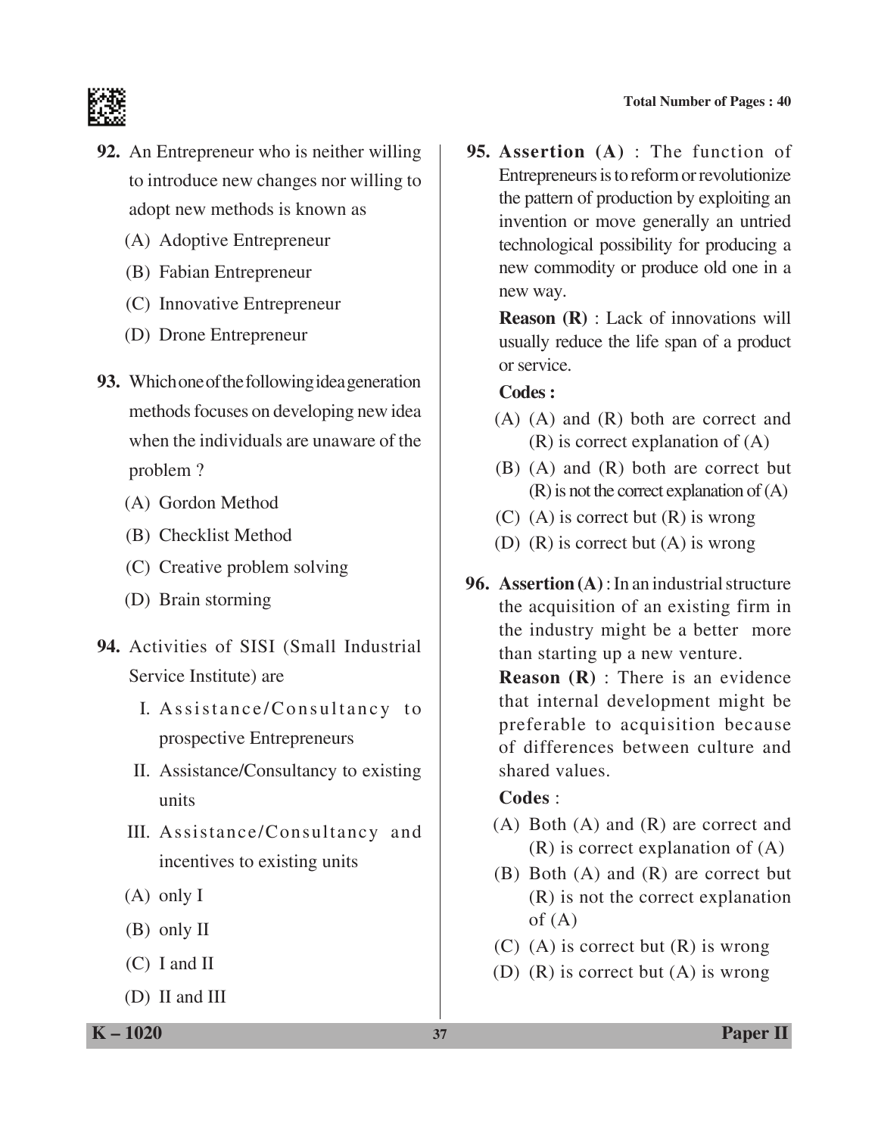

- **92.** An Entrepreneur who is neither willing to introduce new changes nor willing to adopt new methods is known as
	- (A) Adoptive Entrepreneur
	- (B) Fabian Entrepreneur
	- (C) Innovative Entrepreneur
	- (D) Drone Entrepreneur
- **93.** Which one of the following idea generation methods focuses on developing new idea when the individuals are unaware of the problem ?
	- (A) Gordon Method
	- (B) Checklist Method
	- (C) Creative problem solving
	- (D) Brain storming
- **94.** Activities of SISI (Small Industrial Service Institute) are
	- I. Assistance/Consultancy to prospective Entrepreneurs
	- II. Assistance/Consultancy to existing units
	- III. Assistance/Consultancy and incentives to existing units
	- (A) only I
	- (B) only II
	- (C) I and II
	- (D) II and III

**95. Assertion (A)** : The function of Entrepreneurs is to reform or revolutionize the pattern of production by exploiting an invention or move generally an untried technological possibility for producing a new commodity or produce old one in a new way.

> **Reason (R)** : Lack of innovations will usually reduce the life span of a product or service.

#### **Codes :**

- (A) (A) and (R) both are correct and (R) is correct explanation of (A)
- (B) (A) and (R) both are correct but (R) is not the correct explanation of (A)
- (C) (A) is correct but  $(R)$  is wrong
- (D) (R) is correct but (A) is wrong
- **96. Assertion (A)** : In an industrial structure the acquisition of an existing firm in the industry might be a better more than starting up a new venture.

 **Reason (R)** : There is an evidence that internal development might be preferable to acquisition because of differences between culture and shared values.

# **Codes** :

- (A) Both (A) and (R) are correct and (R) is correct explanation of (A)
- (B) Both (A) and (R) are correct but (R) is not the correct explanation of  $(A)$
- (C) (A) is correct but  $(R)$  is wrong
- (D) (R) is correct but (A) is wrong

**K – 1020 37 Paper II**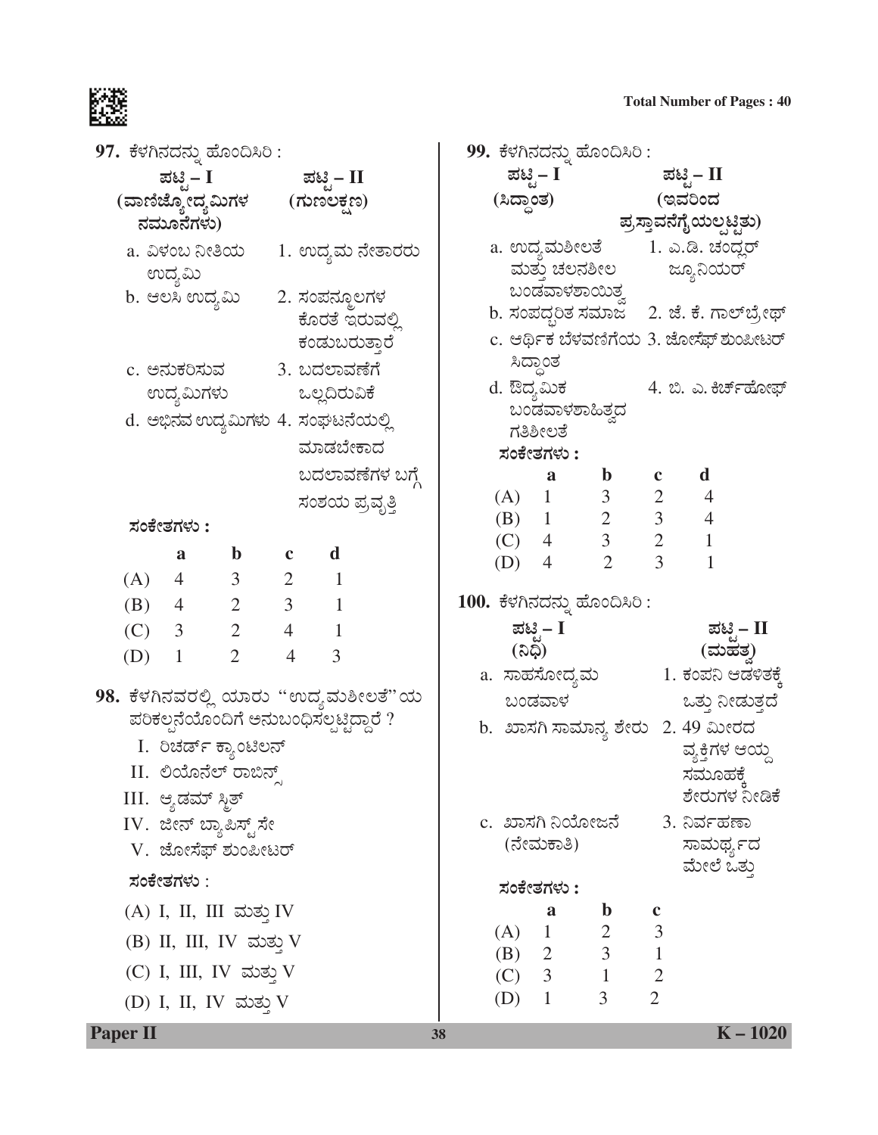

| 97. ಕೆಳಗಿನದನ್ನು ಹೊಂದಿಸಿರಿ :                                                 | 99. ಕೆಳಗಿನದನ್ನು ಹೊಂದಿಸಿರಿ :                                               |
|-----------------------------------------------------------------------------|---------------------------------------------------------------------------|
| ಪಟಿ – I<br>ಪಟ್ಟಿ – II                                                       | ಪಟ್ಟಿ – I<br>ಪಟ್ಟಿ – II                                                   |
| (ವಾಣಿಜ್ಯೋದ್ಯಮಿಗಳ (ಗುಣಲಕ್ಷಣ)                                                 | (ಸಿದ್ಧಾಂತ)<br>(ಇವರಿಂದ                                                     |
| ನಮೂನೆಗಳು)                                                                   | ಪ್ರಸ್ತಾವನೆಗೈಯಲ್ಪಟ್ಟಿತು)                                                   |
| a. ವಿಳಂಬ ನೀತಿಯ       1. ಉದ್ಯಮ ನೇತಾರರು                                       | a. ಉದ್ಯಮಶೀಲತೆ 1. ಎ.ಡಿ. ಚಂದ್ಲರ್                                            |
| ಉದ್ಯಮಿ                                                                      | ಮತ್ತು ಚಲನಶೀಲ<br>ಜ್ಯೂನಿಯರ್                                                 |
| b. ಆಲಸಿ ಉದ್ಯಮಿ<br>2. ಸಂಪನ್ಮೂಲಗಳ                                             | ಬಂಡವಾಳಶಾಯಿತ್ತ<br>b. ಸಂಪದ್ಧರಿತ ಸಮಾಜ – 2. ಜೆ. ಕೆ. ಗಾಲ್ <b>ಬ್ರೇಥ್</b>        |
| ಕೊರತೆ ಇರುವಲ್ಲಿ                                                              | c. ಆರ್ಥಿಕ ಬೆಳವಣಿಗೆಯ 3. ಜೋಸೆಫ್ ಶುಂಪೀಟರ್                                    |
| ಕಂಡುಬರುತ್ತಾರೆ                                                               | ಸಿದ್ಧಾಂತ                                                                  |
| c. ಅನುಕರಿಸುವ           3. ಬದಲಾವಣೆಗೆ                                         | d. ಔದ್ಯಮಿಕ<br>4. ಬಿ. ಎ. ಕಿರ್ಚ್ಹೋಫ್                                        |
| ಉದ್ಯಮಿಗಳು ಒಲ್ಲದಿರುವಿಕೆ                                                      | ಬಂಡವಾಳಶಾಹಿತ್ತದ                                                            |
| d. ಅಭಿನವ ಉದ್ಯಮಿಗಳು 4. ಸಂಘಟನೆಯಲ್ಲಿ                                           | ಗತಿಶೀಲತೆ                                                                  |
| ಮಾಡಬೇಕಾದ                                                                    | ಸಂಕೇತಗಳು :                                                                |
| ಬದಲಾವಣೆಗಳ ಬಗ್ಗೆ                                                             | d<br>$\mathbf b$<br>a                                                     |
| ಸಂಶಯ ಪ್ರವೃತ್ತಿ                                                              | 3 <sup>7</sup><br>$2 \quad 4$<br>(A) 1<br>$3 \t 4$<br>(B) $1 \t 2$        |
| ಸಂಕೇತಗಳು :                                                                  | $4 \quad 3$<br>$\overline{2}$<br>$\mathbf{1}$<br>(C)                      |
| $\mathbf d$<br>$\mathbf{b}$ $\mathbf{c}$<br>a                               | 3 <sup>7</sup><br>$\overline{2}$<br>$\mathbf{1}$<br>$\overline{4}$<br>(D) |
| $\begin{array}{ccccccccc}\n4 & & 3 & & 2 & & 1\n\end{array}$<br>(A)         |                                                                           |
| $4 \qquad 2 \qquad 3 \qquad 1$<br>(B)                                       | 100. ಕೆಳಗಿನದನ್ನು ಹೊಂದಿಸಿರಿ :                                              |
| $2 \t 4 \t 1$<br>(C)<br>3                                                   | ಪಟಿಸೆ – II<br>ಪಟ್ಟಿ – I<br>(ನಿಧಿ)                                         |
| $\overline{2}$<br>$\overline{4}$<br>$\overline{3}$<br>(D)<br>$\overline{1}$ | (ಮಹತ್ರ)<br>a.  ಸಾಹಸೋದ್ಯಮ                          1. ಕಂಪನಿ ಆಡಳಿತಕ್ಕೆ      |
| 98. ಕೆಳಗಿನವರಲ್ಲಿ ಯಾರು ''ಉದ್ಯಮಶೀಲತೆ''ಯ                                       | ಬಂಡವಾಳ<br>ಒತ್ತು ನೀಡುತ್ತದೆ                                                 |
| ಪರಿಕಲ್ಪನೆಯೊಂದಿಗೆ ಅನುಬಂಧಿಸಲ್ಪಟ್ಟಿದ್ದಾರೆ ?                                    | b.  ಖಾಸಗಿ ಸಾಮಾನ್ಯ ಶೇರು   2. 49 ಮೀರದ                                       |
| I. ರಿಚರ್ಡ್ ಕ್ಯಾಂಟಿಲನ್                                                       | ವ್ಯಕ್ತಿಗಳ ಆಯ್ದ                                                            |
| II. ಲಿಯೊನೆಲ್ ರಾಬಿನ್ಸ್                                                       | ಸಮೂಹಕ್ಕೆ                                                                  |
| III. ಆ್ಯಡಮ್ ಸ್ಮಿತ್                                                          | ಶೇರುಗಳ ನೀಡಿಕೆ                                                             |
| IV. ಜೀನ್ ಬ್ಯಾಪಿಸ್ಟ್ ಸೇ                                                      | c.  ಖಾಸಗಿ ನಿಯೋಜನೆ<br>3. ನಿರ್ವಹಣಾ                                          |
| V. ಜೋಸೆಫ್ ಶುಂಪೀಟರ್                                                          | (ನೇಮಕಾತಿ)<br>ಸಾಮರ್ಥ್ಯದ                                                    |
| ಸಂಕೇತಗಳು :                                                                  | ಮೇಲೆ ಒತ್ತು                                                                |
|                                                                             | ಸಂಕೇತಗಳು :<br>a                                                           |
| (A) I, II, III ಮತ್ತು IV                                                     | $\mathbf b$<br>$\mathbf c$<br>3<br>$(A)$ 1 2                              |
| (B) II, III, IV ಮತ್ತು V                                                     | (B) 2 3 1<br>(C) 3 1 2                                                    |
| (C) I, III, IV ಮತ್ತು V                                                      |                                                                           |
| (D) I, II, IV ಮತ್ತು V                                                       | $\overline{2}$<br>3<br>$(D)$ 1                                            |
| <b>Paper II</b>                                                             | $K - 1020$<br>38                                                          |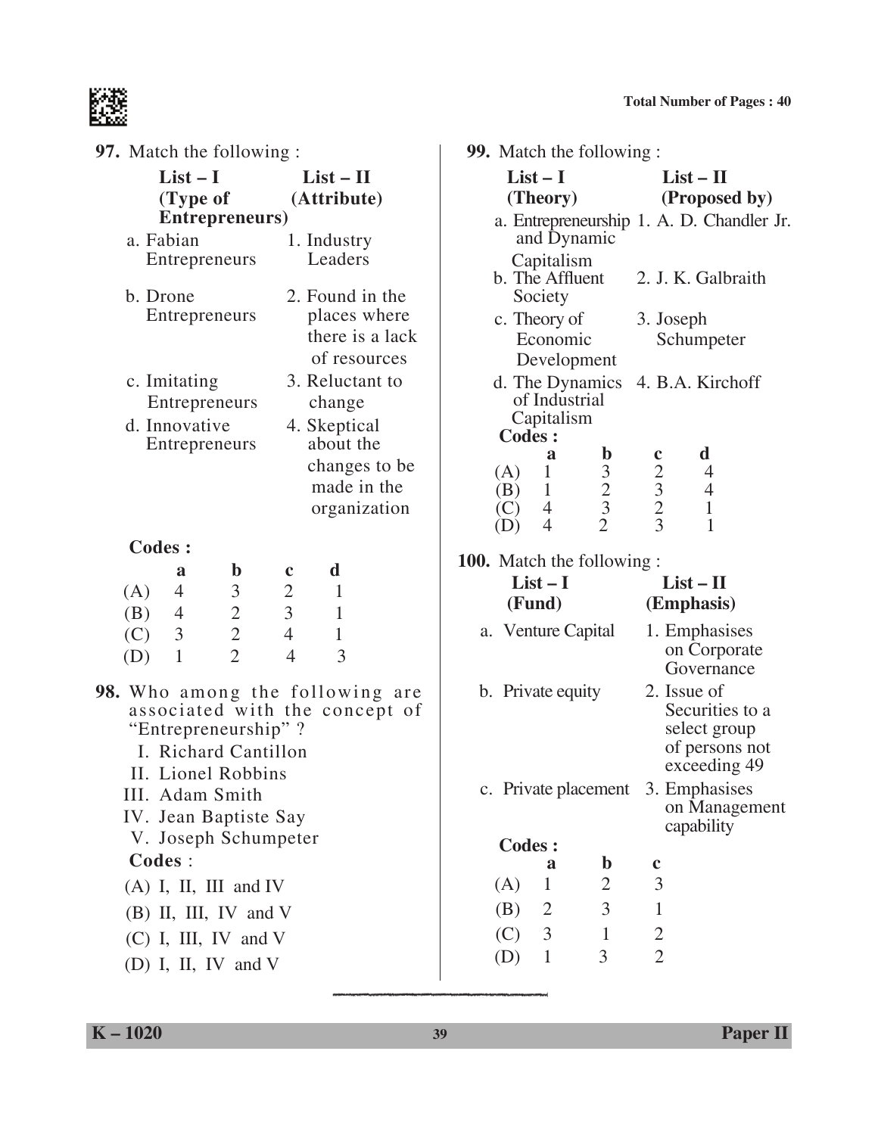

| <b>97.</b> Match the following :                                    |                                | 99. Match the following :                                                                |                                                                  |  |  |
|---------------------------------------------------------------------|--------------------------------|------------------------------------------------------------------------------------------|------------------------------------------------------------------|--|--|
| $List - I$                                                          | $List - II$                    | $List-I$                                                                                 | $List - II$                                                      |  |  |
| (Type of                                                            | (Attribute)                    | (Theory)                                                                                 | (Proposed by)                                                    |  |  |
| Entrepreneurs)                                                      |                                |                                                                                          | a. Entrepreneurship 1. A. D. Chandler Jr.                        |  |  |
| a. Fabian                                                           | 1. Industry                    | and Dynamic                                                                              |                                                                  |  |  |
| Entrepreneurs                                                       | Leaders                        | Capitalism                                                                               |                                                                  |  |  |
|                                                                     |                                | b. The Affluent                                                                          | 2. J. K. Galbraith                                               |  |  |
| b. Drone                                                            | 2. Found in the                | Society                                                                                  |                                                                  |  |  |
| Entrepreneurs                                                       | places where                   | c. Theory of                                                                             | 3. Joseph                                                        |  |  |
|                                                                     | there is a lack                | Economic                                                                                 | Schumpeter                                                       |  |  |
|                                                                     | of resources                   | Development                                                                              |                                                                  |  |  |
| c. Imitating                                                        | 3. Reluctant to                | d. The Dynamics                                                                          | 4. B.A. Kirchoff                                                 |  |  |
| Entrepreneurs                                                       | change                         | of Industrial<br>Capitalism                                                              |                                                                  |  |  |
| d. Innovative                                                       | 4. Skeptical                   | Codes :                                                                                  |                                                                  |  |  |
| Entrepreneurs                                                       | about the                      | $\mathbf b$<br>a                                                                         | d<br>$\mathbf c$                                                 |  |  |
|                                                                     | changes to be<br>made in the   | $\mathbf{1}$<br>(A)                                                                      | $\overline{\mathcal{A}}$                                         |  |  |
|                                                                     |                                | $\begin{array}{c} 3 \\ 2 \\ 3 \\ 2 \end{array}$<br>$\mathbf{1}$<br>(B)<br>$\overline{4}$ | $\begin{array}{c} 2 \\ 3 \\ 2 \\ 3 \end{array}$<br>$\frac{4}{1}$ |  |  |
|                                                                     | organization                   | (C)<br>$\overline{4}$<br>(D)                                                             | $\mathbf{1}$                                                     |  |  |
| <b>Codes:</b>                                                       |                                |                                                                                          |                                                                  |  |  |
| $\mathbf b$<br>a                                                    | d<br>$\mathbf c$               | <b>100.</b> Match the following :                                                        |                                                                  |  |  |
| $\mathfrak{Z}$<br>(A)<br>$\overline{4}$                             | $\mathbf{2}$<br>$\mathbf{1}$   | $List-I$                                                                                 | $List - II$                                                      |  |  |
| (B)<br>$\overline{4}$                                               | $\overline{3}$<br>$\mathbf{1}$ | (Fund)                                                                                   | (Emphasis)                                                       |  |  |
| $\begin{array}{c} 2 \\ 2 \\ 2 \end{array}$<br>$\mathfrak{Z}$<br>(C) | $\overline{4}$<br>$\mathbf{1}$ | a. Venture Capital                                                                       | 1. Emphasises                                                    |  |  |
| $\mathbf{1}$<br>(D)                                                 | 3<br>$\overline{4}$            |                                                                                          | on Corporate                                                     |  |  |
|                                                                     |                                |                                                                                          | Governance                                                       |  |  |
| 98. Who among the following are                                     |                                | 2. Issue of<br>b. Private equity                                                         |                                                                  |  |  |
|                                                                     | associated with the concept of |                                                                                          | Securities to a                                                  |  |  |
| "Entrepreneurship"?                                                 |                                |                                                                                          | select group<br>of persons not                                   |  |  |
| I. Richard Cantillon                                                |                                |                                                                                          | exceeding 49                                                     |  |  |
| II. Lionel Robbins                                                  |                                | c. Private placement                                                                     | 3. Emphasises                                                    |  |  |
| III. Adam Smith                                                     |                                |                                                                                          | on Management                                                    |  |  |
| IV. Jean Baptiste Say                                               |                                |                                                                                          | capability                                                       |  |  |
| V. Joseph Schumpeter                                                |                                | <b>Codes:</b>                                                                            |                                                                  |  |  |
| Codes:                                                              |                                | $\mathbf b$<br>a                                                                         | $\mathbf c$                                                      |  |  |
| $(A)$ I, II, III and IV                                             |                                | $\overline{2}$<br>$\mathbf{1}$<br>(A)                                                    | 3                                                                |  |  |
| $(B)$ II, III, IV and V                                             |                                | 3<br>(B)<br>$\overline{2}$                                                               | $\mathbf{1}$                                                     |  |  |
| $(C)$ I, III, IV and V                                              |                                | $\mathfrak{Z}$<br>(C)<br>$\mathbf{1}$                                                    | 2                                                                |  |  |
| (D) I, II, IV and $V$                                               |                                | 3<br>(D)<br>$\mathbf{1}$                                                                 | $\overline{2}$                                                   |  |  |
|                                                                     |                                |                                                                                          |                                                                  |  |  |